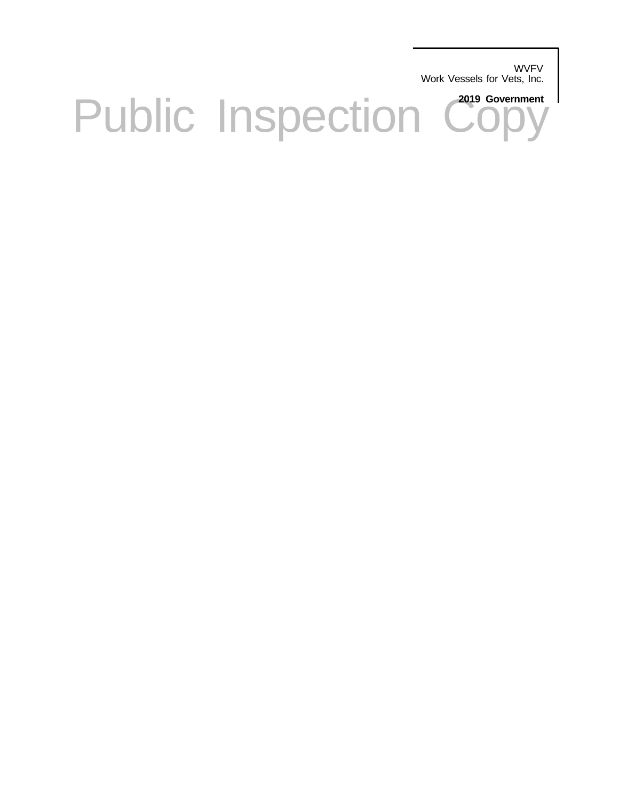**WVFV** Work Vessels for Vets, Inc.

Public Inspection Copy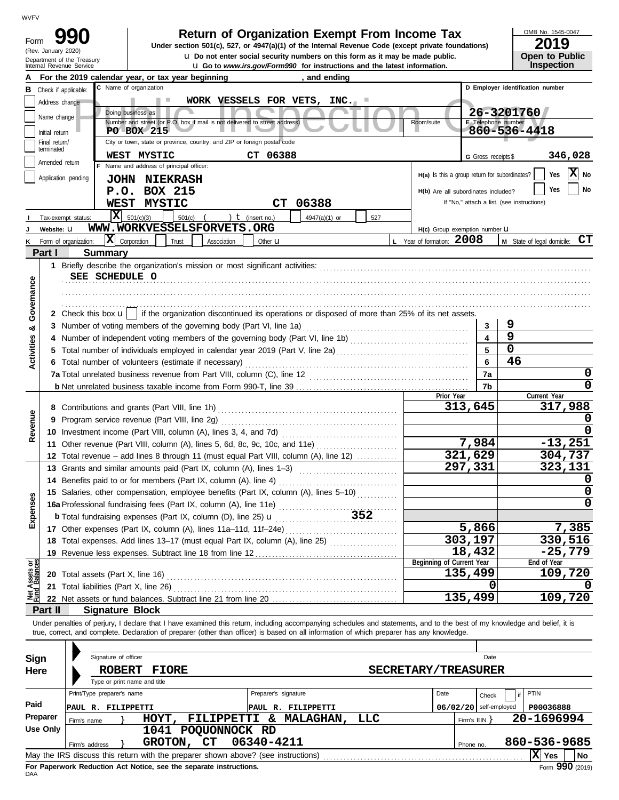|                     | 10<br>u                                               |
|---------------------|-------------------------------------------------------|
| Form                |                                                       |
| (Rev. January 2020) |                                                       |
|                     | Department of the Treasur<br>Internal Revenue Service |

# **990 2000 2019 2019 Depending Solution Solution Solution Script Script Script Script Prom Income Tax 2019 2019**

**u** Go to *www.irs.gov/Form990* for instructions and the latest information. **u** Do not enter social security numbers on this form as it may be made public. OMB No. 1545-0047

| 20 I J                |
|-----------------------|
| <b>Open to Public</b> |
| <b>Inspection</b>     |

|                                |                             | For the 2019 calendar year, or tax year beginning<br>, and ending                                                                                                                                                                                                                                                        |                                               |                          |                                            |
|--------------------------------|-----------------------------|--------------------------------------------------------------------------------------------------------------------------------------------------------------------------------------------------------------------------------------------------------------------------------------------------------------------------|-----------------------------------------------|--------------------------|--------------------------------------------|
| в                              | Check if applicable:        | C Name of organization                                                                                                                                                                                                                                                                                                   |                                               |                          | D Employer identification number           |
|                                | Address change              | WORK VESSELS FOR VETS, INC.                                                                                                                                                                                                                                                                                              |                                               |                          |                                            |
|                                | Name change                 | Doing business as                                                                                                                                                                                                                                                                                                        |                                               |                          | 26-3201760                                 |
|                                |                             | Number and street (or P.O. box if mail is not delivered to street address)                                                                                                                                                                                                                                               | Room/suite                                    | E Telephone number       |                                            |
|                                | Initial return              | <b>PO BOX 215</b>                                                                                                                                                                                                                                                                                                        |                                               |                          | 860-536-4418                               |
|                                | Final return/<br>terminated | City or town, state or province, country, and ZIP or foreign postal code                                                                                                                                                                                                                                                 |                                               |                          |                                            |
|                                | Amended return              | WEST MYSTIC<br>CT 06388                                                                                                                                                                                                                                                                                                  |                                               | G Gross receipts \$      | 346,028                                    |
|                                |                             | F Name and address of principal officer:                                                                                                                                                                                                                                                                                 | H(a) Is this a group return for subordinates? |                          | $ \mathbf{x} $<br>Yes<br>No                |
|                                | Application pending         | <b>JOHN NIEKRASH</b>                                                                                                                                                                                                                                                                                                     |                                               |                          |                                            |
|                                |                             | P.O. BOX 215                                                                                                                                                                                                                                                                                                             | H(b) Are all subordinates included?           |                          | No<br>Yes                                  |
|                                |                             | <b>MYSTIC</b><br>CT<br>06388<br><b>WEST</b>                                                                                                                                                                                                                                                                              |                                               |                          | If "No," attach a list. (see instructions) |
|                                |                             | X<br>501(c)(3)<br>501(c)<br>$t$ (insert no.)<br>4947(a)(1) or<br>527<br>Tax-exempt status:                                                                                                                                                                                                                               |                                               |                          |                                            |
|                                | Website: U                  | WWW.WORKVESSELSFORVETS.ORG                                                                                                                                                                                                                                                                                               | H(c) Group exemption number U                 |                          |                                            |
|                                |                             | $ \mathbf{X} $<br>Corporation<br>Trust<br>Association<br>Form of organization:<br>Other <b>u</b>                                                                                                                                                                                                                         | L Year of formation: 2008                     |                          | CT<br>M State of legal domicile:           |
|                                | Part I                      | <b>Summary</b>                                                                                                                                                                                                                                                                                                           |                                               |                          |                                            |
|                                |                             |                                                                                                                                                                                                                                                                                                                          |                                               |                          |                                            |
|                                |                             | SEE SCHEDULE O                                                                                                                                                                                                                                                                                                           |                                               |                          |                                            |
|                                |                             |                                                                                                                                                                                                                                                                                                                          |                                               |                          |                                            |
|                                |                             |                                                                                                                                                                                                                                                                                                                          |                                               |                          |                                            |
| Governance                     |                             | 2 Check this box $\mathbf{u}$   if the organization discontinued its operations or disposed of more than 25% of its net assets.                                                                                                                                                                                          |                                               |                          |                                            |
| ಯ                              |                             | 3 Number of voting members of the governing body (Part VI, line 1a)                                                                                                                                                                                                                                                      |                                               | 3                        | 9                                          |
|                                |                             |                                                                                                                                                                                                                                                                                                                          |                                               | 4                        | $\overline{9}$                             |
|                                |                             |                                                                                                                                                                                                                                                                                                                          |                                               | 5                        | $\mathbf 0$                                |
| <b>Activities</b>              |                             | 6 Total number of volunteers (estimate if necessary)                                                                                                                                                                                                                                                                     |                                               | 6                        | 46                                         |
|                                |                             |                                                                                                                                                                                                                                                                                                                          |                                               | 7a                       | 0                                          |
|                                |                             |                                                                                                                                                                                                                                                                                                                          |                                               | 7b                       | $\Omega$                                   |
|                                |                             |                                                                                                                                                                                                                                                                                                                          | Prior Year                                    |                          | Current Year                               |
|                                |                             |                                                                                                                                                                                                                                                                                                                          |                                               | 313,645                  | 317,988                                    |
|                                | 9                           | Program service revenue (Part VIII, line 2g)                                                                                                                                                                                                                                                                             |                                               |                          | O                                          |
| Revenue                        |                             |                                                                                                                                                                                                                                                                                                                          |                                               |                          |                                            |
|                                |                             | 11 Other revenue (Part VIII, column (A), lines 5, 6d, 8c, 9c, 10c, and 11e)                                                                                                                                                                                                                                              |                                               | 7,984                    | $-13,251$                                  |
|                                |                             | 12 Total revenue – add lines 8 through 11 (must equal Part VIII, column (A), line 12)                                                                                                                                                                                                                                    |                                               | 321,629                  | 304,737                                    |
|                                |                             | 13 Grants and similar amounts paid (Part IX, column (A), lines 1-3)                                                                                                                                                                                                                                                      |                                               | 297,331                  | 323,131                                    |
|                                |                             | 14 Benefits paid to or for members (Part IX, column (A), line 4)                                                                                                                                                                                                                                                         |                                               |                          | 0                                          |
|                                |                             | 15 Salaries, other compensation, employee benefits (Part IX, column (A), lines 5-10)                                                                                                                                                                                                                                     |                                               |                          | 0                                          |
| Expenses                       |                             | 16a Professional fundraising fees (Part IX, column (A), line 11e)<br>.                                                                                                                                                                                                                                                   |                                               |                          | 0                                          |
|                                |                             | 352<br><b>b</b> Total fundraising expenses (Part IX, column (D), line 25) <b>u</b>                                                                                                                                                                                                                                       |                                               |                          |                                            |
|                                |                             | 17 Other expenses (Part IX, column (A), lines 11a-11d, 11f-24e)                                                                                                                                                                                                                                                          |                                               | 5,866                    | 7,385                                      |
|                                |                             | 18 Total expenses. Add lines 13-17 (must equal Part IX, column (A), line 25) [                                                                                                                                                                                                                                           |                                               | 303,197                  | 330,516                                    |
|                                |                             | 19 Revenue less expenses. Subtract line 18 from line 12                                                                                                                                                                                                                                                                  |                                               | 18,432                   | $-25,779$                                  |
|                                |                             |                                                                                                                                                                                                                                                                                                                          | Beginning of Current Year                     |                          | End of Year                                |
| Net Assets or<br>Fund Balances |                             | 20 Total assets (Part X, line 16)                                                                                                                                                                                                                                                                                        |                                               | 135,499                  | 109,720                                    |
|                                |                             | 21 Total liabilities (Part X, line 26) Mathematical Contract Contract Contract Contract Contract Contract Contract Contract Contract Contract Contract Contract Contract Contract Contract Contract Contract Contract Contract                                                                                           |                                               | O                        |                                            |
|                                |                             | 22 Net assets or fund balances. Subtract line 21 from line 20                                                                                                                                                                                                                                                            |                                               | 135,499                  | 109,720                                    |
|                                | Part II                     | <b>Signature Block</b>                                                                                                                                                                                                                                                                                                   |                                               |                          |                                            |
|                                |                             | Under penalties of perjury, I declare that I have examined this return, including accompanying schedules and statements, and to the best of my knowledge and belief, it is<br>true, correct, and complete. Declaration of preparer (other than officer) is based on all information of which preparer has any knowledge. |                                               |                          |                                            |
|                                |                             |                                                                                                                                                                                                                                                                                                                          |                                               |                          |                                            |
|                                |                             | Signature of officer                                                                                                                                                                                                                                                                                                     |                                               | Date                     |                                            |
| <b>Sign</b>                    |                             |                                                                                                                                                                                                                                                                                                                          |                                               |                          |                                            |
| Here                           |                             | <b>ROBERT</b><br><b>FIORE</b>                                                                                                                                                                                                                                                                                            | SECRETARY/TREASURER                           |                          |                                            |
|                                |                             | Type or print name and title                                                                                                                                                                                                                                                                                             |                                               |                          |                                            |
|                                |                             | Print/Type preparer's name<br>Preparer's signature                                                                                                                                                                                                                                                                       | Date                                          | Check                    | <b>PTIN</b>                                |
| Paid                           |                             | PAUL R. FILIPPETTI<br>PAUL R. FILIPPETTI                                                                                                                                                                                                                                                                                 |                                               | $06/02/20$ self-employed | P00036888                                  |
|                                | Preparer                    | FILIPPETTI & MALAGHAN,<br>LLC<br>HOYT,<br>Firm's name                                                                                                                                                                                                                                                                    |                                               | Firm's $EIN$ }           | 20-1696994                                 |
|                                | <b>Use Only</b>             | POQUONNOCK RD<br>1041                                                                                                                                                                                                                                                                                                    |                                               |                          |                                            |
|                                |                             | GROTON, CT<br>06340-4211<br>Firm's address                                                                                                                                                                                                                                                                               |                                               | Phone no.                | 860-536-9685                               |
|                                |                             | May the IRS discuss this return with the preparer shown above? (see instructions)                                                                                                                                                                                                                                        |                                               |                          | $ X $ Yes<br>No                            |

| Sign     |                                                                                       | Signature of officer                          |              |                                                                                   |                      |                    |                            |      |              | Date                   |      |                  |
|----------|---------------------------------------------------------------------------------------|-----------------------------------------------|--------------|-----------------------------------------------------------------------------------|----------------------|--------------------|----------------------------|------|--------------|------------------------|------|------------------|
| Here     |                                                                                       | <b>ROBERT</b><br>Type or print name and title | <b>FIORE</b> |                                                                                   |                      |                    | <b>SECRETARY/TREASURER</b> |      |              |                        |      |                  |
|          |                                                                                       | Print/Type preparer's name                    |              |                                                                                   | Preparer's signature |                    |                            | Date | Check        |                        | PTIN |                  |
| Paid     |                                                                                       | PAUL R. FILIPPETTI                            |              |                                                                                   |                      | PAUL R. FILIPPETTI |                            |      |              | 06/02/20 self-employed |      | P00036888        |
| Preparer | Firm's name                                                                           |                                               | HOYT,        | FILIPPETTI                                                                        | δc                   | <b>MALAGHAN,</b>   | LLC                        |      | Firm's $EIN$ |                        |      | 20-1696994       |
| Use Only |                                                                                       |                                               | 1041         | POQUONNOCK RD                                                                     |                      |                    |                            |      |              |                        |      |                  |
|          | Firm's address                                                                        |                                               | GROTON,      | CT.                                                                               | 06340-4211           |                    |                            |      | Phone no.    |                        |      | 860-536-9685     |
|          |                                                                                       |                                               |              | May the IRS discuss this return with the preparer shown above? (see instructions) |                      |                    |                            |      |              |                        |      | ΙxΙ<br>No<br>Yes |
| DAA      | Form 990 (2019)<br>For Paperwork Reduction Act Notice, see the separate instructions. |                                               |              |                                                                                   |                      |                    |                            |      |              |                        |      |                  |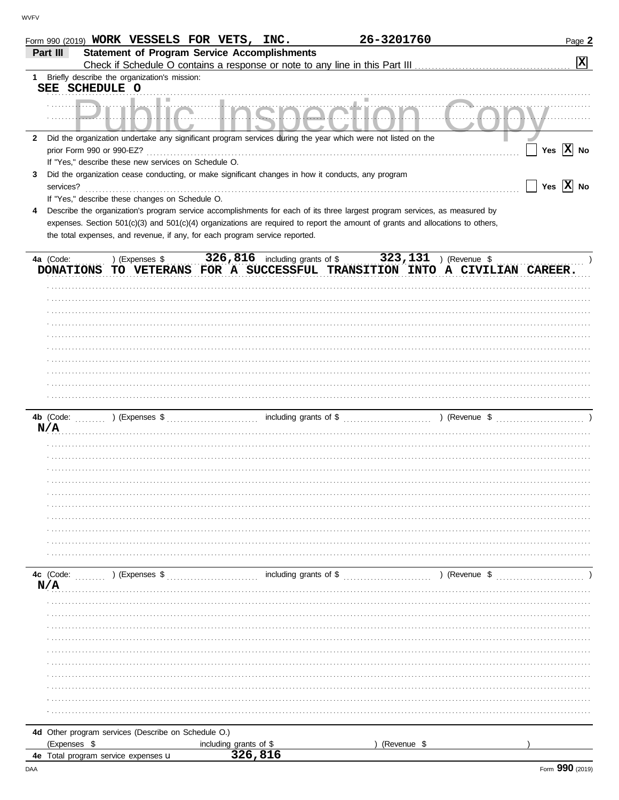|           | Form 990 (2019) WORK VESSELS FOR VETS, INC.                                                                                                                                   |                                   | 26-3201760                                                          | Page 2                      |
|-----------|-------------------------------------------------------------------------------------------------------------------------------------------------------------------------------|-----------------------------------|---------------------------------------------------------------------|-----------------------------|
| Part III  | <b>Statement of Program Service Accomplishments</b>                                                                                                                           |                                   |                                                                     |                             |
|           |                                                                                                                                                                               |                                   |                                                                     | $\mathbf{x}$                |
|           | 1 Briefly describe the organization's mission:                                                                                                                                |                                   |                                                                     |                             |
|           | SEE SCHEDULE O                                                                                                                                                                |                                   |                                                                     |                             |
|           |                                                                                                                                                                               |                                   |                                                                     |                             |
|           |                                                                                                                                                                               |                                   |                                                                     |                             |
| 2         | Did the organization undertake any significant program services during the year which were not listed on the                                                                  |                                   |                                                                     |                             |
|           | prior Form 990 or 990-EZ?                                                                                                                                                     |                                   |                                                                     | Yes $\boxed{\mathbf{X}}$ No |
|           | If "Yes," describe these new services on Schedule O.                                                                                                                          |                                   |                                                                     |                             |
| 3         | Did the organization cease conducting, or make significant changes in how it conducts, any program                                                                            |                                   |                                                                     |                             |
|           | services?                                                                                                                                                                     |                                   |                                                                     | Yes $\overline{X}$ No       |
| 4         | If "Yes," describe these changes on Schedule O.<br>Describe the organization's program service accomplishments for each of its three largest program services, as measured by |                                   |                                                                     |                             |
|           | expenses. Section 501(c)(3) and 501(c)(4) organizations are required to report the amount of grants and allocations to others,                                                |                                   |                                                                     |                             |
|           | the total expenses, and revenue, if any, for each program service reported.                                                                                                   |                                   |                                                                     |                             |
|           |                                                                                                                                                                               |                                   |                                                                     |                             |
|           | 4a (Code:  ) (Expenses \$  326, 816 including grants of \$  323, 131                                                                                                          |                                   |                                                                     | ) (Revenue \$               |
|           | DONATIONS TO VETERANS FOR A SUCCESSFUL TRANSITION INTO A CIVILIAN CAREER.                                                                                                     |                                   |                                                                     |                             |
|           |                                                                                                                                                                               |                                   |                                                                     |                             |
|           |                                                                                                                                                                               |                                   |                                                                     |                             |
|           |                                                                                                                                                                               |                                   |                                                                     |                             |
|           |                                                                                                                                                                               |                                   |                                                                     |                             |
|           |                                                                                                                                                                               |                                   |                                                                     |                             |
|           |                                                                                                                                                                               |                                   |                                                                     |                             |
|           |                                                                                                                                                                               |                                   |                                                                     |                             |
|           |                                                                                                                                                                               |                                   |                                                                     |                             |
|           |                                                                                                                                                                               |                                   |                                                                     |                             |
|           |                                                                                                                                                                               |                                   |                                                                     |                             |
| N/A       |                                                                                                                                                                               |                                   |                                                                     |                             |
|           |                                                                                                                                                                               |                                   |                                                                     |                             |
|           |                                                                                                                                                                               |                                   |                                                                     |                             |
|           |                                                                                                                                                                               |                                   |                                                                     |                             |
|           |                                                                                                                                                                               |                                   |                                                                     |                             |
|           |                                                                                                                                                                               |                                   |                                                                     |                             |
|           |                                                                                                                                                                               |                                   |                                                                     |                             |
|           |                                                                                                                                                                               |                                   |                                                                     |                             |
|           |                                                                                                                                                                               |                                   |                                                                     |                             |
|           |                                                                                                                                                                               |                                   |                                                                     |                             |
|           |                                                                                                                                                                               |                                   |                                                                     |                             |
| 4c (Code: | $\ldots$ ) (Expenses \$                                                                                                                                                       |                                   | $\ldots$ including grants of \$ $\ldots$ $\ldots$ $\ldots$ $\ldots$ | ) (Revenue \$               |
| N/A       |                                                                                                                                                                               |                                   |                                                                     |                             |
|           |                                                                                                                                                                               |                                   |                                                                     |                             |
|           |                                                                                                                                                                               |                                   |                                                                     |                             |
|           |                                                                                                                                                                               |                                   |                                                                     |                             |
|           |                                                                                                                                                                               |                                   |                                                                     |                             |
|           |                                                                                                                                                                               |                                   |                                                                     |                             |
|           |                                                                                                                                                                               |                                   |                                                                     |                             |
|           |                                                                                                                                                                               |                                   |                                                                     |                             |
|           |                                                                                                                                                                               |                                   |                                                                     |                             |
|           |                                                                                                                                                                               |                                   |                                                                     |                             |
|           |                                                                                                                                                                               |                                   |                                                                     |                             |
|           | 4d Other program services (Describe on Schedule O.)                                                                                                                           |                                   |                                                                     |                             |
|           | (Expenses \$                                                                                                                                                                  | including grants of \$<br>326,816 | (Revenue \$                                                         |                             |
|           | 4e Total program service expenses u                                                                                                                                           |                                   |                                                                     |                             |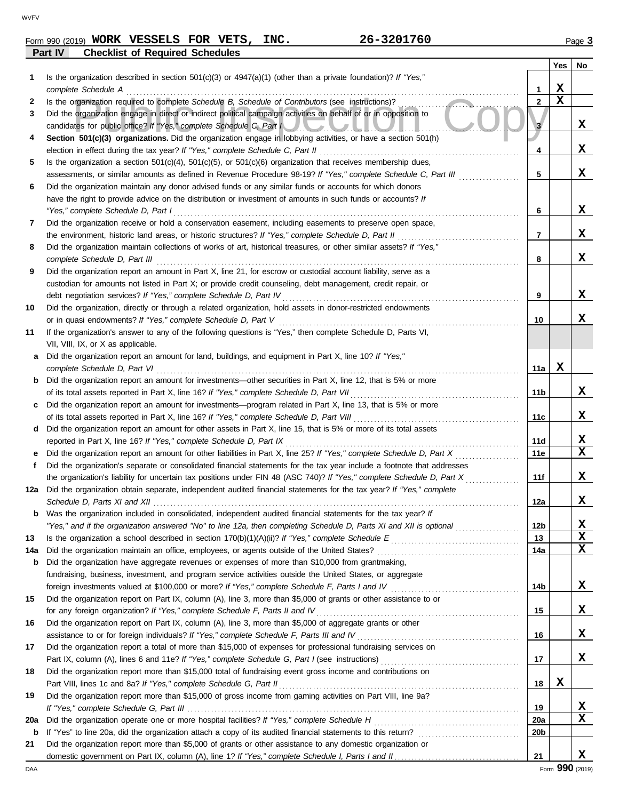| Form 990 (2019) WORK | VESSELS.                               | <b>FOR</b> | <b>VETS</b> | INC. | 3201760<br>26– | Page |
|----------------------|----------------------------------------|------------|-------------|------|----------------|------|
| Part IV              | <b>Checklist of Required Schedules</b> |            |             |      |                |      |

|     |                                                                                                                                                                                                                                               |                 | Yes | No          |
|-----|-----------------------------------------------------------------------------------------------------------------------------------------------------------------------------------------------------------------------------------------------|-----------------|-----|-------------|
| 1   | Is the organization described in section $501(c)(3)$ or $4947(a)(1)$ (other than a private foundation)? If "Yes,"                                                                                                                             |                 |     |             |
|     | complete Schedule A                                                                                                                                                                                                                           | 1               | х   |             |
| 2   | Is the organization required to complete Schedule B, Schedule of Contributors (see instructions)?                                                                                                                                             | $\overline{2}$  | X   |             |
| 3   | Did the organization engage in direct or indirect political campaign activities on behalf of or in opposition to<br>candidates for public office? If "Yes," complete Schedule C, Part I                                                       | 3               |     | x           |
| 4   | Section 501(c)(3) organizations. Did the organization engage in lobbying activities, or have a section 501(h)                                                                                                                                 |                 |     |             |
|     | election in effect during the tax year? If "Yes," complete Schedule C, Part II                                                                                                                                                                | 4               |     | x           |
| 5   | Is the organization a section $501(c)(4)$ , $501(c)(5)$ , or $501(c)(6)$ organization that receives membership dues,                                                                                                                          |                 |     |             |
|     | assessments, or similar amounts as defined in Revenue Procedure 98-19? If "Yes," complete Schedule C, Part III                                                                                                                                | 5               |     | x           |
| 6   | Did the organization maintain any donor advised funds or any similar funds or accounts for which donors                                                                                                                                       |                 |     |             |
|     | have the right to provide advice on the distribution or investment of amounts in such funds or accounts? If                                                                                                                                   |                 |     |             |
|     | "Yes," complete Schedule D, Part I                                                                                                                                                                                                            | 6               |     | X           |
| 7   | Did the organization receive or hold a conservation easement, including easements to preserve open space,                                                                                                                                     |                 |     |             |
|     | the environment, historic land areas, or historic structures? If "Yes," complete Schedule D, Part II                                                                                                                                          | $\overline{7}$  |     | x           |
| 8   | Did the organization maintain collections of works of art, historical treasures, or other similar assets? If "Yes,"                                                                                                                           |                 |     |             |
|     | complete Schedule D, Part III                                                                                                                                                                                                                 | 8               |     | x           |
| 9   | Did the organization report an amount in Part X, line 21, for escrow or custodial account liability, serve as a<br>custodian for amounts not listed in Part X; or provide credit counseling, debt management, credit repair, or               |                 |     |             |
|     | debt negotiation services? If "Yes," complete Schedule D, Part IV                                                                                                                                                                             | 9               |     | x           |
| 10  | Did the organization, directly or through a related organization, hold assets in donor-restricted endowments                                                                                                                                  |                 |     |             |
|     | or in quasi endowments? If "Yes," complete Schedule D, Part V                                                                                                                                                                                 | 10              |     | x           |
| 11  | If the organization's answer to any of the following questions is "Yes," then complete Schedule D, Parts VI,                                                                                                                                  |                 |     |             |
|     | VII, VIII, IX, or X as applicable.                                                                                                                                                                                                            |                 |     |             |
| a   | Did the organization report an amount for land, buildings, and equipment in Part X, line 10? If "Yes,"                                                                                                                                        |                 |     |             |
|     | complete Schedule D, Part VI                                                                                                                                                                                                                  | 11a             | x   |             |
| b   | Did the organization report an amount for investments—other securities in Part X, line 12, that is 5% or more                                                                                                                                 |                 |     |             |
|     | of its total assets reported in Part X, line 16? If "Yes," complete Schedule D, Part VII                                                                                                                                                      | 11b             |     | x           |
| c   | Did the organization report an amount for investments—program related in Part X, line 13, that is 5% or more                                                                                                                                  |                 |     |             |
|     |                                                                                                                                                                                                                                               | 11c             |     | x           |
| d   | Did the organization report an amount for other assets in Part X, line 15, that is 5% or more of its total assets                                                                                                                             |                 |     |             |
|     | reported in Part X, line 16? If "Yes," complete Schedule D, Part IX                                                                                                                                                                           | 11d             |     | X           |
|     | Did the organization report an amount for other liabilities in Part X, line 25? If "Yes," complete Schedule D, Part X                                                                                                                         | 11e             |     | $\mathbf x$ |
| f   | Did the organization's separate or consolidated financial statements for the tax year include a footnote that addresses                                                                                                                       |                 |     | x           |
| 12a | the organization's liability for uncertain tax positions under FIN 48 (ASC 740)? If "Yes," complete Schedule D, Part X<br>Did the organization obtain separate, independent audited financial statements for the tax year? If "Yes," complete | 11f             |     |             |
|     |                                                                                                                                                                                                                                               | 12a             |     | x           |
|     | Was the organization included in consolidated, independent audited financial statements for the tax year? If                                                                                                                                  |                 |     |             |
|     | "Yes," and if the organization answered "No" to line 12a, then completing Schedule D, Parts XI and XII is optional                                                                                                                            | 12b             |     | X           |
| 13  |                                                                                                                                                                                                                                               | 13              |     | X           |
| 14a |                                                                                                                                                                                                                                               | 14a             |     | $\mathbf x$ |
| b   | Did the organization have aggregate revenues or expenses of more than \$10,000 from grantmaking,                                                                                                                                              |                 |     |             |
|     | fundraising, business, investment, and program service activities outside the United States, or aggregate                                                                                                                                     |                 |     |             |
|     |                                                                                                                                                                                                                                               | 14b             |     | X           |
| 15  | Did the organization report on Part IX, column (A), line 3, more than \$5,000 of grants or other assistance to or                                                                                                                             |                 |     |             |
|     | for any foreign organization? If "Yes," complete Schedule F, Parts II and IV [[[[[[[[[[[[[[[[[[[[[[[[[[[[[[[[                                                                                                                                 | 15              |     | X           |
| 16  | Did the organization report on Part IX, column (A), line 3, more than \$5,000 of aggregate grants or other                                                                                                                                    |                 |     |             |
|     | assistance to or for foreign individuals? If "Yes," complete Schedule F, Parts III and IV [[[[[[[[[[[[[[[[[[[                                                                                                                                 | 16              |     | X           |
| 17  | Did the organization report a total of more than \$15,000 of expenses for professional fundraising services on                                                                                                                                |                 |     | X           |
|     |                                                                                                                                                                                                                                               | 17              |     |             |
| 18  | Did the organization report more than \$15,000 total of fundraising event gross income and contributions on                                                                                                                                   | 18              | X   |             |
| 19  | Did the organization report more than \$15,000 of gross income from gaming activities on Part VIII, line 9a?                                                                                                                                  |                 |     |             |
|     |                                                                                                                                                                                                                                               | 19              |     | X           |
| 20a | Did the organization operate one or more hospital facilities? If "Yes," complete Schedule H                                                                                                                                                   | 20a             |     | x           |
| b   |                                                                                                                                                                                                                                               | 20 <sub>b</sub> |     |             |
| 21  | Did the organization report more than \$5,000 of grants or other assistance to any domestic organization or                                                                                                                                   |                 |     |             |
|     |                                                                                                                                                                                                                                               | 21              |     | X           |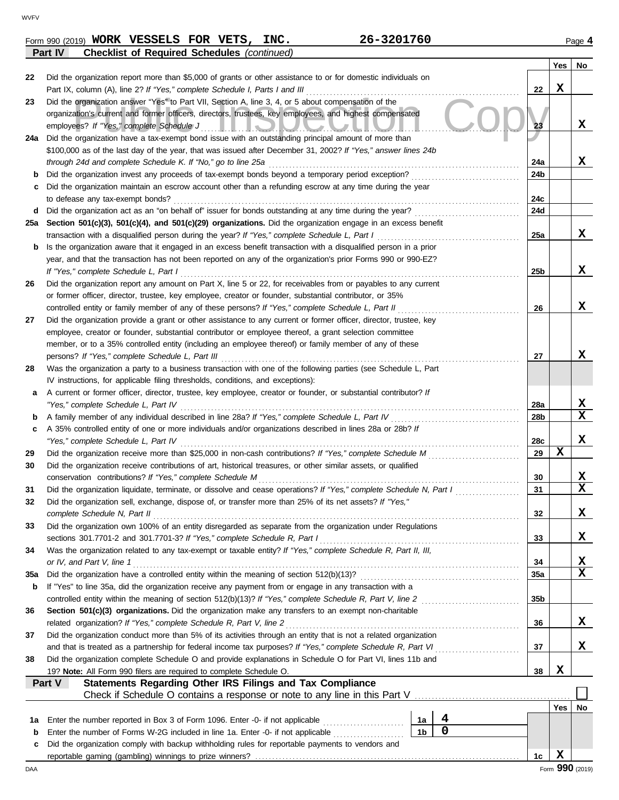|     | Part IV<br><b>Checklist of Required Schedules (continued)</b>                                                                                                                                                |     |     |                         |
|-----|--------------------------------------------------------------------------------------------------------------------------------------------------------------------------------------------------------------|-----|-----|-------------------------|
|     |                                                                                                                                                                                                              |     | Yes | No.                     |
| 22  | Did the organization report more than \$5,000 of grants or other assistance to or for domestic individuals on                                                                                                |     |     |                         |
|     | Part IX, column (A), line 2? If "Yes," complete Schedule I, Parts I and III                                                                                                                                  | 22  | х   |                         |
| 23  | Did the organization answer "Yes" to Part VII, Section A, line 3, 4, or 5 about compensation of the                                                                                                          |     |     |                         |
|     | organization's current and former officers, directors, trustees, key employees, and highest compensated                                                                                                      |     |     |                         |
|     | employees? If "Yes," complete Schedule J<br><u>ETOTO MONDANIA E</u>                                                                                                                                          | 23  |     | x                       |
| 24a | Did the organization have a tax-exempt bond issue with an outstanding principal amount of more than                                                                                                          |     |     |                         |
|     | \$100,000 as of the last day of the year, that was issued after December 31, 2002? If "Yes," answer lines 24b                                                                                                |     |     |                         |
|     | through 24d and complete Schedule K. If "No," go to line 25a                                                                                                                                                 | 24a |     | x                       |
| b   | Did the organization invest any proceeds of tax-exempt bonds beyond a temporary period exception?                                                                                                            | 24b |     |                         |
| с   | Did the organization maintain an escrow account other than a refunding escrow at any time during the year                                                                                                    |     |     |                         |
|     | to defease any tax-exempt bonds?                                                                                                                                                                             | 24c |     |                         |
| d   | Did the organization act as an "on behalf of" issuer for bonds outstanding at any time during the year?                                                                                                      | 24d |     |                         |
| 25а | Section 501(c)(3), 501(c)(4), and 501(c)(29) organizations. Did the organization engage in an excess benefit                                                                                                 |     |     |                         |
|     | transaction with a disqualified person during the year? If "Yes," complete Schedule L, Part I                                                                                                                | 25a |     | x                       |
| b   | Is the organization aware that it engaged in an excess benefit transaction with a disqualified person in a prior                                                                                             |     |     |                         |
|     | year, and that the transaction has not been reported on any of the organization's prior Forms 990 or 990-EZ?                                                                                                 |     |     |                         |
|     | If "Yes," complete Schedule L, Part I                                                                                                                                                                        | 25b |     | X                       |
| 26  | Did the organization report any amount on Part X, line 5 or 22, for receivables from or payables to any current                                                                                              |     |     |                         |
|     | or former officer, director, trustee, key employee, creator or founder, substantial contributor, or 35%                                                                                                      |     |     |                         |
|     | controlled entity or family member of any of these persons? If "Yes," complete Schedule L, Part II                                                                                                           | 26  |     | x                       |
| 27  | Did the organization provide a grant or other assistance to any current or former officer, director, trustee, key                                                                                            |     |     |                         |
|     | employee, creator or founder, substantial contributor or employee thereof, a grant selection committee                                                                                                       |     |     |                         |
|     | member, or to a 35% controlled entity (including an employee thereof) or family member of any of these                                                                                                       |     |     |                         |
|     | persons? If "Yes," complete Schedule L, Part III                                                                                                                                                             | 27  |     | x                       |
| 28  | Was the organization a party to a business transaction with one of the following parties (see Schedule L, Part                                                                                               |     |     |                         |
|     | IV instructions, for applicable filing thresholds, conditions, and exceptions):<br>A current or former officer, director, trustee, key employee, creator or founder, or substantial contributor? If          |     |     |                         |
| а   | "Yes," complete Schedule L, Part IV                                                                                                                                                                          |     |     | x                       |
|     |                                                                                                                                                                                                              | 28a |     | $\mathbf x$             |
| b   | A family member of any individual described in line 28a? If "Yes," complete Schedule L, Part IV<br>A 35% controlled entity of one or more individuals and/or organizations described in lines 28a or 28b? If | 28b |     |                         |
| c   | "Yes," complete Schedule L, Part IV                                                                                                                                                                          | 28c |     | X                       |
| 29  | Did the organization receive more than \$25,000 in non-cash contributions? If "Yes," complete Schedule M                                                                                                     | 29  | х   |                         |
| 30  | .<br>Did the organization receive contributions of art, historical treasures, or other similar assets, or qualified                                                                                          |     |     |                         |
|     | conservation contributions? If "Yes," complete Schedule M                                                                                                                                                    | 30  |     | X                       |
| 31  | Did the organization liquidate, terminate, or dissolve and cease operations? If "Yes," complete Schedule N, Part I                                                                                           | 31  |     | $\overline{\mathbf{x}}$ |
|     | Did the organization sell, exchange, dispose of, or transfer more than 25% of its net assets? If "Yes,"                                                                                                      |     |     |                         |
|     | complete Schedule N, Part II                                                                                                                                                                                 | 32  |     | X                       |
| 33  | Did the organization own 100% of an entity disregarded as separate from the organization under Regulations                                                                                                   |     |     |                         |
|     | sections 301.7701-2 and 301.7701-3? If "Yes," complete Schedule R, Part I                                                                                                                                    | 33  |     | X                       |
| 34  | Was the organization related to any tax-exempt or taxable entity? If "Yes," complete Schedule R, Part II, III,                                                                                               |     |     |                         |
|     | or IV, and Part V, line 1                                                                                                                                                                                    | 34  |     | x                       |
| 35a |                                                                                                                                                                                                              | 35a |     | $\mathbf x$             |
| b   | If "Yes" to line 35a, did the organization receive any payment from or engage in any transaction with a                                                                                                      |     |     |                         |
|     | controlled entity within the meaning of section 512(b)(13)? If "Yes," complete Schedule R, Part V, line 2                                                                                                    | 35b |     |                         |
| 36  | Section 501(c)(3) organizations. Did the organization make any transfers to an exempt non-charitable                                                                                                         |     |     |                         |
|     | related organization? If "Yes," complete Schedule R, Part V, line 2                                                                                                                                          | 36  |     | X                       |
| 37  | Did the organization conduct more than 5% of its activities through an entity that is not a related organization                                                                                             |     |     |                         |
|     | and that is treated as a partnership for federal income tax purposes? If "Yes," complete Schedule R, Part VI                                                                                                 | 37  |     | X                       |
| 38  | Did the organization complete Schedule O and provide explanations in Schedule O for Part VI, lines 11b and                                                                                                   |     |     |                         |
|     | 19? Note: All Form 990 filers are required to complete Schedule O.                                                                                                                                           | 38  | X   |                         |
|     | Part V<br>Statements Regarding Other IRS Filings and Tax Compliance                                                                                                                                          |     |     |                         |
|     | Check if Schedule O contains a response or note to any line in this Part V                                                                                                                                   |     |     |                         |
|     |                                                                                                                                                                                                              |     | Yes | No                      |
| 1а  | 4<br>Enter the number reported in Box 3 of Form 1096. Enter -0- if not applicable<br>1a                                                                                                                      |     |     |                         |
| b   | $\mathbf 0$<br>1 <sub>b</sub><br>Enter the number of Forms W-2G included in line 1a. Enter -0- if not applicable<br>.                                                                                        |     |     |                         |
| c   | Did the organization comply with backup withholding rules for reportable payments to vendors and                                                                                                             |     |     |                         |
|     |                                                                                                                                                                                                              | 1c  | X   |                         |
| DAA |                                                                                                                                                                                                              |     |     | Form 990 (2019)         |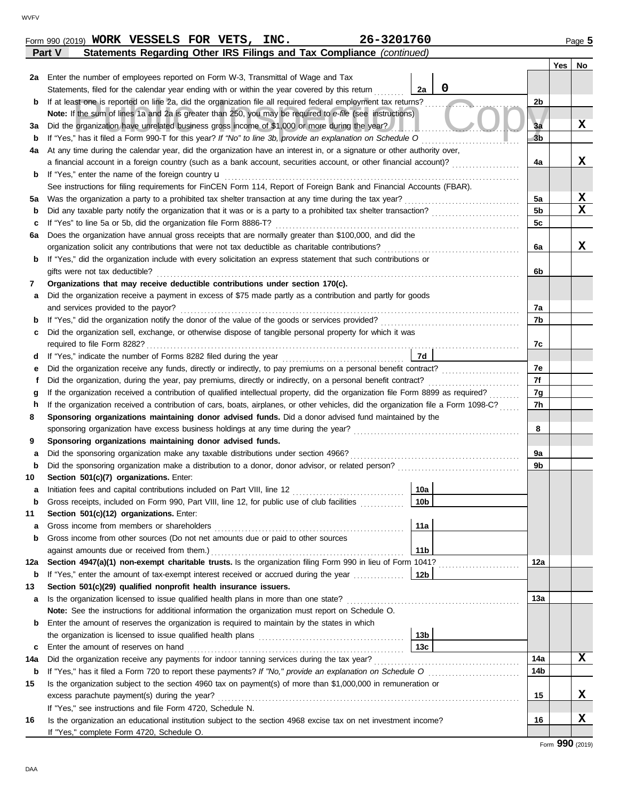| Enter the number of employees reported on Form W-3, Transmittal of Wage and Tax<br>2a<br>0<br>Statements, filed for the calendar year ending with or within the year covered by this return<br>2a<br>If at least one is reported on line 2a, did the organization file all required federal employment tax returns?<br>2b<br>b<br>Note: If the sum of lines 1a and 2a is greater than 250, you may be required to e-file (see instructions)<br>Did the organization have unrelated business gross income of \$1,000 or more during the year?<br>3a<br>За<br>3 <sub>b</sub><br>If "Yes," has it filed a Form 990-T for this year? If "No" to line 3b, provide an explanation on Schedule O<br>b<br>At any time during the calendar year, did the organization have an interest in, or a signature or other authority over,<br>4a<br>a financial account in a foreign country (such as a bank account, securities account, or other financial account)?<br>4a<br>If "Yes," enter the name of the foreign country <b>u</b><br>b<br>See instructions for filing requirements for FinCEN Form 114, Report of Foreign Bank and Financial Accounts (FBAR).<br>5a<br>Was the organization a party to a prohibited tax shelter transaction at any time during the tax year?<br>5а<br>5 <sub>b</sub><br>Did any taxable party notify the organization that it was or is a party to a prohibited tax shelter transaction?<br>b<br>5c<br>If "Yes" to line 5a or 5b, did the organization file Form 8886-T?<br>c<br>Does the organization have annual gross receipts that are normally greater than \$100,000, and did the<br>6а<br>organization solicit any contributions that were not tax deductible as charitable contributions?<br>6a<br>If "Yes," did the organization include with every solicitation an express statement that such contributions or<br>b<br>gifts were not tax deductible?<br>6b<br>Organizations that may receive deductible contributions under section 170(c).<br>7<br>Did the organization receive a payment in excess of \$75 made partly as a contribution and partly for goods<br>а<br>and services provided to the payor?<br>7a<br>If "Yes," did the organization notify the donor of the value of the goods or services provided?<br>7b<br>b<br>Did the organization sell, exchange, or otherwise dispose of tangible personal property for which it was<br>с<br>7c<br>7d<br>If "Yes," indicate the number of Forms 8282 filed during the year<br>d<br>7e<br>Did the organization receive any funds, directly or indirectly, to pay premiums on a personal benefit contract?<br>е<br>7f<br>Did the organization, during the year, pay premiums, directly or indirectly, on a personal benefit contract?<br>f<br>If the organization received a contribution of qualified intellectual property, did the organization file Form 8899 as required?<br>7g<br>g<br>If the organization received a contribution of cars, boats, airplanes, or other vehicles, did the organization file a Form 1098-C?<br>7h<br>h<br>Sponsoring organizations maintaining donor advised funds. Did a donor advised fund maintained by the<br>8<br>sponsoring organization have excess business holdings at any time during the year?<br>8<br>Sponsoring organizations maintaining donor advised funds.<br>9<br>Did the sponsoring organization make any taxable distributions under section 4966?<br>9a<br>а<br>Did the sponsoring organization make a distribution to a donor, donor advisor, or related person?<br>9b<br>b<br>Section 501(c)(7) organizations. Enter:<br>10<br>10a<br>Initiation fees and capital contributions included on Part VIII, line 12<br>а<br>Gross receipts, included on Form 990, Part VIII, line 12, for public use of club facilities<br>10 <sub>b</sub><br>b<br>Section 501(c)(12) organizations. Enter:<br>11<br>Gross income from members or shareholders<br>11a<br>а<br>Gross income from other sources (Do not net amounts due or paid to other sources<br>b<br>against amounts due or received from them.)<br>11b<br>Section 4947(a)(1) non-exempt charitable trusts. Is the organization filing Form 990 in lieu of Form 1041?<br>12a<br>12a<br>If "Yes," enter the amount of tax-exempt interest received or accrued during the year<br>12 <sub>b</sub><br>b<br>Section 501(c)(29) qualified nonprofit health insurance issuers.<br>13<br>Is the organization licensed to issue qualified health plans in more than one state?<br>13a<br>а<br>Note: See the instructions for additional information the organization must report on Schedule O.<br>Enter the amount of reserves the organization is required to maintain by the states in which<br>b | X<br>х |
|---------------------------------------------------------------------------------------------------------------------------------------------------------------------------------------------------------------------------------------------------------------------------------------------------------------------------------------------------------------------------------------------------------------------------------------------------------------------------------------------------------------------------------------------------------------------------------------------------------------------------------------------------------------------------------------------------------------------------------------------------------------------------------------------------------------------------------------------------------------------------------------------------------------------------------------------------------------------------------------------------------------------------------------------------------------------------------------------------------------------------------------------------------------------------------------------------------------------------------------------------------------------------------------------------------------------------------------------------------------------------------------------------------------------------------------------------------------------------------------------------------------------------------------------------------------------------------------------------------------------------------------------------------------------------------------------------------------------------------------------------------------------------------------------------------------------------------------------------------------------------------------------------------------------------------------------------------------------------------------------------------------------------------------------------------------------------------------------------------------------------------------------------------------------------------------------------------------------------------------------------------------------------------------------------------------------------------------------------------------------------------------------------------------------------------------------------------------------------------------------------------------------------------------------------------------------------------------------------------------------------------------------------------------------------------------------------------------------------------------------------------------------------------------------------------------------------------------------------------------------------------------------------------------------------------------------------------------------------------------------------------------------------------------------------------------------------------------------------------------------------------------------------------------------------------------------------------------------------------------------------------------------------------------------------------------------------------------------------------------------------------------------------------------------------------------------------------------------------------------------------------------------------------------------------------------------------------------------------------------------------------------------------------------------------------------------------------------------------------------------------------------------------------------------------------------------------------------------------------------------------------------------------------------------------------------------------------------------------------------------------------------------------------------------------------------------------------------------------------------------------------------------------------------------------------------------------------------------------------------------------------------------------------------------------------------------------------------------------------------------------------------------------------------------------------------------------------------------------------------------------------------------------------------------------------------------------------------------------------------------------------------------------------------------------------------------|--------|
|                                                                                                                                                                                                                                                                                                                                                                                                                                                                                                                                                                                                                                                                                                                                                                                                                                                                                                                                                                                                                                                                                                                                                                                                                                                                                                                                                                                                                                                                                                                                                                                                                                                                                                                                                                                                                                                                                                                                                                                                                                                                                                                                                                                                                                                                                                                                                                                                                                                                                                                                                                                                                                                                                                                                                                                                                                                                                                                                                                                                                                                                                                                                                                                                                                                                                                                                                                                                                                                                                                                                                                                                                                                                                                                                                                                                                                                                                                                                                                                                                                                                                                                                                                                                                                                                                                                                                                                                                                                                                                                                                                                                                                                                                             |        |
|                                                                                                                                                                                                                                                                                                                                                                                                                                                                                                                                                                                                                                                                                                                                                                                                                                                                                                                                                                                                                                                                                                                                                                                                                                                                                                                                                                                                                                                                                                                                                                                                                                                                                                                                                                                                                                                                                                                                                                                                                                                                                                                                                                                                                                                                                                                                                                                                                                                                                                                                                                                                                                                                                                                                                                                                                                                                                                                                                                                                                                                                                                                                                                                                                                                                                                                                                                                                                                                                                                                                                                                                                                                                                                                                                                                                                                                                                                                                                                                                                                                                                                                                                                                                                                                                                                                                                                                                                                                                                                                                                                                                                                                                                             |        |
|                                                                                                                                                                                                                                                                                                                                                                                                                                                                                                                                                                                                                                                                                                                                                                                                                                                                                                                                                                                                                                                                                                                                                                                                                                                                                                                                                                                                                                                                                                                                                                                                                                                                                                                                                                                                                                                                                                                                                                                                                                                                                                                                                                                                                                                                                                                                                                                                                                                                                                                                                                                                                                                                                                                                                                                                                                                                                                                                                                                                                                                                                                                                                                                                                                                                                                                                                                                                                                                                                                                                                                                                                                                                                                                                                                                                                                                                                                                                                                                                                                                                                                                                                                                                                                                                                                                                                                                                                                                                                                                                                                                                                                                                                             |        |
|                                                                                                                                                                                                                                                                                                                                                                                                                                                                                                                                                                                                                                                                                                                                                                                                                                                                                                                                                                                                                                                                                                                                                                                                                                                                                                                                                                                                                                                                                                                                                                                                                                                                                                                                                                                                                                                                                                                                                                                                                                                                                                                                                                                                                                                                                                                                                                                                                                                                                                                                                                                                                                                                                                                                                                                                                                                                                                                                                                                                                                                                                                                                                                                                                                                                                                                                                                                                                                                                                                                                                                                                                                                                                                                                                                                                                                                                                                                                                                                                                                                                                                                                                                                                                                                                                                                                                                                                                                                                                                                                                                                                                                                                                             |        |
|                                                                                                                                                                                                                                                                                                                                                                                                                                                                                                                                                                                                                                                                                                                                                                                                                                                                                                                                                                                                                                                                                                                                                                                                                                                                                                                                                                                                                                                                                                                                                                                                                                                                                                                                                                                                                                                                                                                                                                                                                                                                                                                                                                                                                                                                                                                                                                                                                                                                                                                                                                                                                                                                                                                                                                                                                                                                                                                                                                                                                                                                                                                                                                                                                                                                                                                                                                                                                                                                                                                                                                                                                                                                                                                                                                                                                                                                                                                                                                                                                                                                                                                                                                                                                                                                                                                                                                                                                                                                                                                                                                                                                                                                                             |        |
|                                                                                                                                                                                                                                                                                                                                                                                                                                                                                                                                                                                                                                                                                                                                                                                                                                                                                                                                                                                                                                                                                                                                                                                                                                                                                                                                                                                                                                                                                                                                                                                                                                                                                                                                                                                                                                                                                                                                                                                                                                                                                                                                                                                                                                                                                                                                                                                                                                                                                                                                                                                                                                                                                                                                                                                                                                                                                                                                                                                                                                                                                                                                                                                                                                                                                                                                                                                                                                                                                                                                                                                                                                                                                                                                                                                                                                                                                                                                                                                                                                                                                                                                                                                                                                                                                                                                                                                                                                                                                                                                                                                                                                                                                             |        |
|                                                                                                                                                                                                                                                                                                                                                                                                                                                                                                                                                                                                                                                                                                                                                                                                                                                                                                                                                                                                                                                                                                                                                                                                                                                                                                                                                                                                                                                                                                                                                                                                                                                                                                                                                                                                                                                                                                                                                                                                                                                                                                                                                                                                                                                                                                                                                                                                                                                                                                                                                                                                                                                                                                                                                                                                                                                                                                                                                                                                                                                                                                                                                                                                                                                                                                                                                                                                                                                                                                                                                                                                                                                                                                                                                                                                                                                                                                                                                                                                                                                                                                                                                                                                                                                                                                                                                                                                                                                                                                                                                                                                                                                                                             |        |
|                                                                                                                                                                                                                                                                                                                                                                                                                                                                                                                                                                                                                                                                                                                                                                                                                                                                                                                                                                                                                                                                                                                                                                                                                                                                                                                                                                                                                                                                                                                                                                                                                                                                                                                                                                                                                                                                                                                                                                                                                                                                                                                                                                                                                                                                                                                                                                                                                                                                                                                                                                                                                                                                                                                                                                                                                                                                                                                                                                                                                                                                                                                                                                                                                                                                                                                                                                                                                                                                                                                                                                                                                                                                                                                                                                                                                                                                                                                                                                                                                                                                                                                                                                                                                                                                                                                                                                                                                                                                                                                                                                                                                                                                                             |        |
|                                                                                                                                                                                                                                                                                                                                                                                                                                                                                                                                                                                                                                                                                                                                                                                                                                                                                                                                                                                                                                                                                                                                                                                                                                                                                                                                                                                                                                                                                                                                                                                                                                                                                                                                                                                                                                                                                                                                                                                                                                                                                                                                                                                                                                                                                                                                                                                                                                                                                                                                                                                                                                                                                                                                                                                                                                                                                                                                                                                                                                                                                                                                                                                                                                                                                                                                                                                                                                                                                                                                                                                                                                                                                                                                                                                                                                                                                                                                                                                                                                                                                                                                                                                                                                                                                                                                                                                                                                                                                                                                                                                                                                                                                             |        |
|                                                                                                                                                                                                                                                                                                                                                                                                                                                                                                                                                                                                                                                                                                                                                                                                                                                                                                                                                                                                                                                                                                                                                                                                                                                                                                                                                                                                                                                                                                                                                                                                                                                                                                                                                                                                                                                                                                                                                                                                                                                                                                                                                                                                                                                                                                                                                                                                                                                                                                                                                                                                                                                                                                                                                                                                                                                                                                                                                                                                                                                                                                                                                                                                                                                                                                                                                                                                                                                                                                                                                                                                                                                                                                                                                                                                                                                                                                                                                                                                                                                                                                                                                                                                                                                                                                                                                                                                                                                                                                                                                                                                                                                                                             |        |
|                                                                                                                                                                                                                                                                                                                                                                                                                                                                                                                                                                                                                                                                                                                                                                                                                                                                                                                                                                                                                                                                                                                                                                                                                                                                                                                                                                                                                                                                                                                                                                                                                                                                                                                                                                                                                                                                                                                                                                                                                                                                                                                                                                                                                                                                                                                                                                                                                                                                                                                                                                                                                                                                                                                                                                                                                                                                                                                                                                                                                                                                                                                                                                                                                                                                                                                                                                                                                                                                                                                                                                                                                                                                                                                                                                                                                                                                                                                                                                                                                                                                                                                                                                                                                                                                                                                                                                                                                                                                                                                                                                                                                                                                                             | х      |
|                                                                                                                                                                                                                                                                                                                                                                                                                                                                                                                                                                                                                                                                                                                                                                                                                                                                                                                                                                                                                                                                                                                                                                                                                                                                                                                                                                                                                                                                                                                                                                                                                                                                                                                                                                                                                                                                                                                                                                                                                                                                                                                                                                                                                                                                                                                                                                                                                                                                                                                                                                                                                                                                                                                                                                                                                                                                                                                                                                                                                                                                                                                                                                                                                                                                                                                                                                                                                                                                                                                                                                                                                                                                                                                                                                                                                                                                                                                                                                                                                                                                                                                                                                                                                                                                                                                                                                                                                                                                                                                                                                                                                                                                                             | X.     |
|                                                                                                                                                                                                                                                                                                                                                                                                                                                                                                                                                                                                                                                                                                                                                                                                                                                                                                                                                                                                                                                                                                                                                                                                                                                                                                                                                                                                                                                                                                                                                                                                                                                                                                                                                                                                                                                                                                                                                                                                                                                                                                                                                                                                                                                                                                                                                                                                                                                                                                                                                                                                                                                                                                                                                                                                                                                                                                                                                                                                                                                                                                                                                                                                                                                                                                                                                                                                                                                                                                                                                                                                                                                                                                                                                                                                                                                                                                                                                                                                                                                                                                                                                                                                                                                                                                                                                                                                                                                                                                                                                                                                                                                                                             |        |
|                                                                                                                                                                                                                                                                                                                                                                                                                                                                                                                                                                                                                                                                                                                                                                                                                                                                                                                                                                                                                                                                                                                                                                                                                                                                                                                                                                                                                                                                                                                                                                                                                                                                                                                                                                                                                                                                                                                                                                                                                                                                                                                                                                                                                                                                                                                                                                                                                                                                                                                                                                                                                                                                                                                                                                                                                                                                                                                                                                                                                                                                                                                                                                                                                                                                                                                                                                                                                                                                                                                                                                                                                                                                                                                                                                                                                                                                                                                                                                                                                                                                                                                                                                                                                                                                                                                                                                                                                                                                                                                                                                                                                                                                                             |        |
|                                                                                                                                                                                                                                                                                                                                                                                                                                                                                                                                                                                                                                                                                                                                                                                                                                                                                                                                                                                                                                                                                                                                                                                                                                                                                                                                                                                                                                                                                                                                                                                                                                                                                                                                                                                                                                                                                                                                                                                                                                                                                                                                                                                                                                                                                                                                                                                                                                                                                                                                                                                                                                                                                                                                                                                                                                                                                                                                                                                                                                                                                                                                                                                                                                                                                                                                                                                                                                                                                                                                                                                                                                                                                                                                                                                                                                                                                                                                                                                                                                                                                                                                                                                                                                                                                                                                                                                                                                                                                                                                                                                                                                                                                             | X      |
|                                                                                                                                                                                                                                                                                                                                                                                                                                                                                                                                                                                                                                                                                                                                                                                                                                                                                                                                                                                                                                                                                                                                                                                                                                                                                                                                                                                                                                                                                                                                                                                                                                                                                                                                                                                                                                                                                                                                                                                                                                                                                                                                                                                                                                                                                                                                                                                                                                                                                                                                                                                                                                                                                                                                                                                                                                                                                                                                                                                                                                                                                                                                                                                                                                                                                                                                                                                                                                                                                                                                                                                                                                                                                                                                                                                                                                                                                                                                                                                                                                                                                                                                                                                                                                                                                                                                                                                                                                                                                                                                                                                                                                                                                             |        |
|                                                                                                                                                                                                                                                                                                                                                                                                                                                                                                                                                                                                                                                                                                                                                                                                                                                                                                                                                                                                                                                                                                                                                                                                                                                                                                                                                                                                                                                                                                                                                                                                                                                                                                                                                                                                                                                                                                                                                                                                                                                                                                                                                                                                                                                                                                                                                                                                                                                                                                                                                                                                                                                                                                                                                                                                                                                                                                                                                                                                                                                                                                                                                                                                                                                                                                                                                                                                                                                                                                                                                                                                                                                                                                                                                                                                                                                                                                                                                                                                                                                                                                                                                                                                                                                                                                                                                                                                                                                                                                                                                                                                                                                                                             |        |
|                                                                                                                                                                                                                                                                                                                                                                                                                                                                                                                                                                                                                                                                                                                                                                                                                                                                                                                                                                                                                                                                                                                                                                                                                                                                                                                                                                                                                                                                                                                                                                                                                                                                                                                                                                                                                                                                                                                                                                                                                                                                                                                                                                                                                                                                                                                                                                                                                                                                                                                                                                                                                                                                                                                                                                                                                                                                                                                                                                                                                                                                                                                                                                                                                                                                                                                                                                                                                                                                                                                                                                                                                                                                                                                                                                                                                                                                                                                                                                                                                                                                                                                                                                                                                                                                                                                                                                                                                                                                                                                                                                                                                                                                                             |        |
|                                                                                                                                                                                                                                                                                                                                                                                                                                                                                                                                                                                                                                                                                                                                                                                                                                                                                                                                                                                                                                                                                                                                                                                                                                                                                                                                                                                                                                                                                                                                                                                                                                                                                                                                                                                                                                                                                                                                                                                                                                                                                                                                                                                                                                                                                                                                                                                                                                                                                                                                                                                                                                                                                                                                                                                                                                                                                                                                                                                                                                                                                                                                                                                                                                                                                                                                                                                                                                                                                                                                                                                                                                                                                                                                                                                                                                                                                                                                                                                                                                                                                                                                                                                                                                                                                                                                                                                                                                                                                                                                                                                                                                                                                             |        |
|                                                                                                                                                                                                                                                                                                                                                                                                                                                                                                                                                                                                                                                                                                                                                                                                                                                                                                                                                                                                                                                                                                                                                                                                                                                                                                                                                                                                                                                                                                                                                                                                                                                                                                                                                                                                                                                                                                                                                                                                                                                                                                                                                                                                                                                                                                                                                                                                                                                                                                                                                                                                                                                                                                                                                                                                                                                                                                                                                                                                                                                                                                                                                                                                                                                                                                                                                                                                                                                                                                                                                                                                                                                                                                                                                                                                                                                                                                                                                                                                                                                                                                                                                                                                                                                                                                                                                                                                                                                                                                                                                                                                                                                                                             |        |
|                                                                                                                                                                                                                                                                                                                                                                                                                                                                                                                                                                                                                                                                                                                                                                                                                                                                                                                                                                                                                                                                                                                                                                                                                                                                                                                                                                                                                                                                                                                                                                                                                                                                                                                                                                                                                                                                                                                                                                                                                                                                                                                                                                                                                                                                                                                                                                                                                                                                                                                                                                                                                                                                                                                                                                                                                                                                                                                                                                                                                                                                                                                                                                                                                                                                                                                                                                                                                                                                                                                                                                                                                                                                                                                                                                                                                                                                                                                                                                                                                                                                                                                                                                                                                                                                                                                                                                                                                                                                                                                                                                                                                                                                                             |        |
|                                                                                                                                                                                                                                                                                                                                                                                                                                                                                                                                                                                                                                                                                                                                                                                                                                                                                                                                                                                                                                                                                                                                                                                                                                                                                                                                                                                                                                                                                                                                                                                                                                                                                                                                                                                                                                                                                                                                                                                                                                                                                                                                                                                                                                                                                                                                                                                                                                                                                                                                                                                                                                                                                                                                                                                                                                                                                                                                                                                                                                                                                                                                                                                                                                                                                                                                                                                                                                                                                                                                                                                                                                                                                                                                                                                                                                                                                                                                                                                                                                                                                                                                                                                                                                                                                                                                                                                                                                                                                                                                                                                                                                                                                             |        |
|                                                                                                                                                                                                                                                                                                                                                                                                                                                                                                                                                                                                                                                                                                                                                                                                                                                                                                                                                                                                                                                                                                                                                                                                                                                                                                                                                                                                                                                                                                                                                                                                                                                                                                                                                                                                                                                                                                                                                                                                                                                                                                                                                                                                                                                                                                                                                                                                                                                                                                                                                                                                                                                                                                                                                                                                                                                                                                                                                                                                                                                                                                                                                                                                                                                                                                                                                                                                                                                                                                                                                                                                                                                                                                                                                                                                                                                                                                                                                                                                                                                                                                                                                                                                                                                                                                                                                                                                                                                                                                                                                                                                                                                                                             |        |
|                                                                                                                                                                                                                                                                                                                                                                                                                                                                                                                                                                                                                                                                                                                                                                                                                                                                                                                                                                                                                                                                                                                                                                                                                                                                                                                                                                                                                                                                                                                                                                                                                                                                                                                                                                                                                                                                                                                                                                                                                                                                                                                                                                                                                                                                                                                                                                                                                                                                                                                                                                                                                                                                                                                                                                                                                                                                                                                                                                                                                                                                                                                                                                                                                                                                                                                                                                                                                                                                                                                                                                                                                                                                                                                                                                                                                                                                                                                                                                                                                                                                                                                                                                                                                                                                                                                                                                                                                                                                                                                                                                                                                                                                                             |        |
|                                                                                                                                                                                                                                                                                                                                                                                                                                                                                                                                                                                                                                                                                                                                                                                                                                                                                                                                                                                                                                                                                                                                                                                                                                                                                                                                                                                                                                                                                                                                                                                                                                                                                                                                                                                                                                                                                                                                                                                                                                                                                                                                                                                                                                                                                                                                                                                                                                                                                                                                                                                                                                                                                                                                                                                                                                                                                                                                                                                                                                                                                                                                                                                                                                                                                                                                                                                                                                                                                                                                                                                                                                                                                                                                                                                                                                                                                                                                                                                                                                                                                                                                                                                                                                                                                                                                                                                                                                                                                                                                                                                                                                                                                             |        |
|                                                                                                                                                                                                                                                                                                                                                                                                                                                                                                                                                                                                                                                                                                                                                                                                                                                                                                                                                                                                                                                                                                                                                                                                                                                                                                                                                                                                                                                                                                                                                                                                                                                                                                                                                                                                                                                                                                                                                                                                                                                                                                                                                                                                                                                                                                                                                                                                                                                                                                                                                                                                                                                                                                                                                                                                                                                                                                                                                                                                                                                                                                                                                                                                                                                                                                                                                                                                                                                                                                                                                                                                                                                                                                                                                                                                                                                                                                                                                                                                                                                                                                                                                                                                                                                                                                                                                                                                                                                                                                                                                                                                                                                                                             |        |
|                                                                                                                                                                                                                                                                                                                                                                                                                                                                                                                                                                                                                                                                                                                                                                                                                                                                                                                                                                                                                                                                                                                                                                                                                                                                                                                                                                                                                                                                                                                                                                                                                                                                                                                                                                                                                                                                                                                                                                                                                                                                                                                                                                                                                                                                                                                                                                                                                                                                                                                                                                                                                                                                                                                                                                                                                                                                                                                                                                                                                                                                                                                                                                                                                                                                                                                                                                                                                                                                                                                                                                                                                                                                                                                                                                                                                                                                                                                                                                                                                                                                                                                                                                                                                                                                                                                                                                                                                                                                                                                                                                                                                                                                                             |        |
|                                                                                                                                                                                                                                                                                                                                                                                                                                                                                                                                                                                                                                                                                                                                                                                                                                                                                                                                                                                                                                                                                                                                                                                                                                                                                                                                                                                                                                                                                                                                                                                                                                                                                                                                                                                                                                                                                                                                                                                                                                                                                                                                                                                                                                                                                                                                                                                                                                                                                                                                                                                                                                                                                                                                                                                                                                                                                                                                                                                                                                                                                                                                                                                                                                                                                                                                                                                                                                                                                                                                                                                                                                                                                                                                                                                                                                                                                                                                                                                                                                                                                                                                                                                                                                                                                                                                                                                                                                                                                                                                                                                                                                                                                             |        |
|                                                                                                                                                                                                                                                                                                                                                                                                                                                                                                                                                                                                                                                                                                                                                                                                                                                                                                                                                                                                                                                                                                                                                                                                                                                                                                                                                                                                                                                                                                                                                                                                                                                                                                                                                                                                                                                                                                                                                                                                                                                                                                                                                                                                                                                                                                                                                                                                                                                                                                                                                                                                                                                                                                                                                                                                                                                                                                                                                                                                                                                                                                                                                                                                                                                                                                                                                                                                                                                                                                                                                                                                                                                                                                                                                                                                                                                                                                                                                                                                                                                                                                                                                                                                                                                                                                                                                                                                                                                                                                                                                                                                                                                                                             |        |
|                                                                                                                                                                                                                                                                                                                                                                                                                                                                                                                                                                                                                                                                                                                                                                                                                                                                                                                                                                                                                                                                                                                                                                                                                                                                                                                                                                                                                                                                                                                                                                                                                                                                                                                                                                                                                                                                                                                                                                                                                                                                                                                                                                                                                                                                                                                                                                                                                                                                                                                                                                                                                                                                                                                                                                                                                                                                                                                                                                                                                                                                                                                                                                                                                                                                                                                                                                                                                                                                                                                                                                                                                                                                                                                                                                                                                                                                                                                                                                                                                                                                                                                                                                                                                                                                                                                                                                                                                                                                                                                                                                                                                                                                                             |        |
|                                                                                                                                                                                                                                                                                                                                                                                                                                                                                                                                                                                                                                                                                                                                                                                                                                                                                                                                                                                                                                                                                                                                                                                                                                                                                                                                                                                                                                                                                                                                                                                                                                                                                                                                                                                                                                                                                                                                                                                                                                                                                                                                                                                                                                                                                                                                                                                                                                                                                                                                                                                                                                                                                                                                                                                                                                                                                                                                                                                                                                                                                                                                                                                                                                                                                                                                                                                                                                                                                                                                                                                                                                                                                                                                                                                                                                                                                                                                                                                                                                                                                                                                                                                                                                                                                                                                                                                                                                                                                                                                                                                                                                                                                             |        |
|                                                                                                                                                                                                                                                                                                                                                                                                                                                                                                                                                                                                                                                                                                                                                                                                                                                                                                                                                                                                                                                                                                                                                                                                                                                                                                                                                                                                                                                                                                                                                                                                                                                                                                                                                                                                                                                                                                                                                                                                                                                                                                                                                                                                                                                                                                                                                                                                                                                                                                                                                                                                                                                                                                                                                                                                                                                                                                                                                                                                                                                                                                                                                                                                                                                                                                                                                                                                                                                                                                                                                                                                                                                                                                                                                                                                                                                                                                                                                                                                                                                                                                                                                                                                                                                                                                                                                                                                                                                                                                                                                                                                                                                                                             |        |
|                                                                                                                                                                                                                                                                                                                                                                                                                                                                                                                                                                                                                                                                                                                                                                                                                                                                                                                                                                                                                                                                                                                                                                                                                                                                                                                                                                                                                                                                                                                                                                                                                                                                                                                                                                                                                                                                                                                                                                                                                                                                                                                                                                                                                                                                                                                                                                                                                                                                                                                                                                                                                                                                                                                                                                                                                                                                                                                                                                                                                                                                                                                                                                                                                                                                                                                                                                                                                                                                                                                                                                                                                                                                                                                                                                                                                                                                                                                                                                                                                                                                                                                                                                                                                                                                                                                                                                                                                                                                                                                                                                                                                                                                                             |        |
|                                                                                                                                                                                                                                                                                                                                                                                                                                                                                                                                                                                                                                                                                                                                                                                                                                                                                                                                                                                                                                                                                                                                                                                                                                                                                                                                                                                                                                                                                                                                                                                                                                                                                                                                                                                                                                                                                                                                                                                                                                                                                                                                                                                                                                                                                                                                                                                                                                                                                                                                                                                                                                                                                                                                                                                                                                                                                                                                                                                                                                                                                                                                                                                                                                                                                                                                                                                                                                                                                                                                                                                                                                                                                                                                                                                                                                                                                                                                                                                                                                                                                                                                                                                                                                                                                                                                                                                                                                                                                                                                                                                                                                                                                             |        |
|                                                                                                                                                                                                                                                                                                                                                                                                                                                                                                                                                                                                                                                                                                                                                                                                                                                                                                                                                                                                                                                                                                                                                                                                                                                                                                                                                                                                                                                                                                                                                                                                                                                                                                                                                                                                                                                                                                                                                                                                                                                                                                                                                                                                                                                                                                                                                                                                                                                                                                                                                                                                                                                                                                                                                                                                                                                                                                                                                                                                                                                                                                                                                                                                                                                                                                                                                                                                                                                                                                                                                                                                                                                                                                                                                                                                                                                                                                                                                                                                                                                                                                                                                                                                                                                                                                                                                                                                                                                                                                                                                                                                                                                                                             |        |
|                                                                                                                                                                                                                                                                                                                                                                                                                                                                                                                                                                                                                                                                                                                                                                                                                                                                                                                                                                                                                                                                                                                                                                                                                                                                                                                                                                                                                                                                                                                                                                                                                                                                                                                                                                                                                                                                                                                                                                                                                                                                                                                                                                                                                                                                                                                                                                                                                                                                                                                                                                                                                                                                                                                                                                                                                                                                                                                                                                                                                                                                                                                                                                                                                                                                                                                                                                                                                                                                                                                                                                                                                                                                                                                                                                                                                                                                                                                                                                                                                                                                                                                                                                                                                                                                                                                                                                                                                                                                                                                                                                                                                                                                                             |        |
|                                                                                                                                                                                                                                                                                                                                                                                                                                                                                                                                                                                                                                                                                                                                                                                                                                                                                                                                                                                                                                                                                                                                                                                                                                                                                                                                                                                                                                                                                                                                                                                                                                                                                                                                                                                                                                                                                                                                                                                                                                                                                                                                                                                                                                                                                                                                                                                                                                                                                                                                                                                                                                                                                                                                                                                                                                                                                                                                                                                                                                                                                                                                                                                                                                                                                                                                                                                                                                                                                                                                                                                                                                                                                                                                                                                                                                                                                                                                                                                                                                                                                                                                                                                                                                                                                                                                                                                                                                                                                                                                                                                                                                                                                             |        |
|                                                                                                                                                                                                                                                                                                                                                                                                                                                                                                                                                                                                                                                                                                                                                                                                                                                                                                                                                                                                                                                                                                                                                                                                                                                                                                                                                                                                                                                                                                                                                                                                                                                                                                                                                                                                                                                                                                                                                                                                                                                                                                                                                                                                                                                                                                                                                                                                                                                                                                                                                                                                                                                                                                                                                                                                                                                                                                                                                                                                                                                                                                                                                                                                                                                                                                                                                                                                                                                                                                                                                                                                                                                                                                                                                                                                                                                                                                                                                                                                                                                                                                                                                                                                                                                                                                                                                                                                                                                                                                                                                                                                                                                                                             |        |
|                                                                                                                                                                                                                                                                                                                                                                                                                                                                                                                                                                                                                                                                                                                                                                                                                                                                                                                                                                                                                                                                                                                                                                                                                                                                                                                                                                                                                                                                                                                                                                                                                                                                                                                                                                                                                                                                                                                                                                                                                                                                                                                                                                                                                                                                                                                                                                                                                                                                                                                                                                                                                                                                                                                                                                                                                                                                                                                                                                                                                                                                                                                                                                                                                                                                                                                                                                                                                                                                                                                                                                                                                                                                                                                                                                                                                                                                                                                                                                                                                                                                                                                                                                                                                                                                                                                                                                                                                                                                                                                                                                                                                                                                                             |        |
|                                                                                                                                                                                                                                                                                                                                                                                                                                                                                                                                                                                                                                                                                                                                                                                                                                                                                                                                                                                                                                                                                                                                                                                                                                                                                                                                                                                                                                                                                                                                                                                                                                                                                                                                                                                                                                                                                                                                                                                                                                                                                                                                                                                                                                                                                                                                                                                                                                                                                                                                                                                                                                                                                                                                                                                                                                                                                                                                                                                                                                                                                                                                                                                                                                                                                                                                                                                                                                                                                                                                                                                                                                                                                                                                                                                                                                                                                                                                                                                                                                                                                                                                                                                                                                                                                                                                                                                                                                                                                                                                                                                                                                                                                             |        |
|                                                                                                                                                                                                                                                                                                                                                                                                                                                                                                                                                                                                                                                                                                                                                                                                                                                                                                                                                                                                                                                                                                                                                                                                                                                                                                                                                                                                                                                                                                                                                                                                                                                                                                                                                                                                                                                                                                                                                                                                                                                                                                                                                                                                                                                                                                                                                                                                                                                                                                                                                                                                                                                                                                                                                                                                                                                                                                                                                                                                                                                                                                                                                                                                                                                                                                                                                                                                                                                                                                                                                                                                                                                                                                                                                                                                                                                                                                                                                                                                                                                                                                                                                                                                                                                                                                                                                                                                                                                                                                                                                                                                                                                                                             |        |
|                                                                                                                                                                                                                                                                                                                                                                                                                                                                                                                                                                                                                                                                                                                                                                                                                                                                                                                                                                                                                                                                                                                                                                                                                                                                                                                                                                                                                                                                                                                                                                                                                                                                                                                                                                                                                                                                                                                                                                                                                                                                                                                                                                                                                                                                                                                                                                                                                                                                                                                                                                                                                                                                                                                                                                                                                                                                                                                                                                                                                                                                                                                                                                                                                                                                                                                                                                                                                                                                                                                                                                                                                                                                                                                                                                                                                                                                                                                                                                                                                                                                                                                                                                                                                                                                                                                                                                                                                                                                                                                                                                                                                                                                                             |        |
|                                                                                                                                                                                                                                                                                                                                                                                                                                                                                                                                                                                                                                                                                                                                                                                                                                                                                                                                                                                                                                                                                                                                                                                                                                                                                                                                                                                                                                                                                                                                                                                                                                                                                                                                                                                                                                                                                                                                                                                                                                                                                                                                                                                                                                                                                                                                                                                                                                                                                                                                                                                                                                                                                                                                                                                                                                                                                                                                                                                                                                                                                                                                                                                                                                                                                                                                                                                                                                                                                                                                                                                                                                                                                                                                                                                                                                                                                                                                                                                                                                                                                                                                                                                                                                                                                                                                                                                                                                                                                                                                                                                                                                                                                             |        |
|                                                                                                                                                                                                                                                                                                                                                                                                                                                                                                                                                                                                                                                                                                                                                                                                                                                                                                                                                                                                                                                                                                                                                                                                                                                                                                                                                                                                                                                                                                                                                                                                                                                                                                                                                                                                                                                                                                                                                                                                                                                                                                                                                                                                                                                                                                                                                                                                                                                                                                                                                                                                                                                                                                                                                                                                                                                                                                                                                                                                                                                                                                                                                                                                                                                                                                                                                                                                                                                                                                                                                                                                                                                                                                                                                                                                                                                                                                                                                                                                                                                                                                                                                                                                                                                                                                                                                                                                                                                                                                                                                                                                                                                                                             |        |
|                                                                                                                                                                                                                                                                                                                                                                                                                                                                                                                                                                                                                                                                                                                                                                                                                                                                                                                                                                                                                                                                                                                                                                                                                                                                                                                                                                                                                                                                                                                                                                                                                                                                                                                                                                                                                                                                                                                                                                                                                                                                                                                                                                                                                                                                                                                                                                                                                                                                                                                                                                                                                                                                                                                                                                                                                                                                                                                                                                                                                                                                                                                                                                                                                                                                                                                                                                                                                                                                                                                                                                                                                                                                                                                                                                                                                                                                                                                                                                                                                                                                                                                                                                                                                                                                                                                                                                                                                                                                                                                                                                                                                                                                                             |        |
| 13 <sub>b</sub>                                                                                                                                                                                                                                                                                                                                                                                                                                                                                                                                                                                                                                                                                                                                                                                                                                                                                                                                                                                                                                                                                                                                                                                                                                                                                                                                                                                                                                                                                                                                                                                                                                                                                                                                                                                                                                                                                                                                                                                                                                                                                                                                                                                                                                                                                                                                                                                                                                                                                                                                                                                                                                                                                                                                                                                                                                                                                                                                                                                                                                                                                                                                                                                                                                                                                                                                                                                                                                                                                                                                                                                                                                                                                                                                                                                                                                                                                                                                                                                                                                                                                                                                                                                                                                                                                                                                                                                                                                                                                                                                                                                                                                                                             |        |
| Enter the amount of reserves on hand<br>13 <sub>c</sub><br>c                                                                                                                                                                                                                                                                                                                                                                                                                                                                                                                                                                                                                                                                                                                                                                                                                                                                                                                                                                                                                                                                                                                                                                                                                                                                                                                                                                                                                                                                                                                                                                                                                                                                                                                                                                                                                                                                                                                                                                                                                                                                                                                                                                                                                                                                                                                                                                                                                                                                                                                                                                                                                                                                                                                                                                                                                                                                                                                                                                                                                                                                                                                                                                                                                                                                                                                                                                                                                                                                                                                                                                                                                                                                                                                                                                                                                                                                                                                                                                                                                                                                                                                                                                                                                                                                                                                                                                                                                                                                                                                                                                                                                                |        |
| 14a<br>14a                                                                                                                                                                                                                                                                                                                                                                                                                                                                                                                                                                                                                                                                                                                                                                                                                                                                                                                                                                                                                                                                                                                                                                                                                                                                                                                                                                                                                                                                                                                                                                                                                                                                                                                                                                                                                                                                                                                                                                                                                                                                                                                                                                                                                                                                                                                                                                                                                                                                                                                                                                                                                                                                                                                                                                                                                                                                                                                                                                                                                                                                                                                                                                                                                                                                                                                                                                                                                                                                                                                                                                                                                                                                                                                                                                                                                                                                                                                                                                                                                                                                                                                                                                                                                                                                                                                                                                                                                                                                                                                                                                                                                                                                                  | X      |
| 14b<br>b                                                                                                                                                                                                                                                                                                                                                                                                                                                                                                                                                                                                                                                                                                                                                                                                                                                                                                                                                                                                                                                                                                                                                                                                                                                                                                                                                                                                                                                                                                                                                                                                                                                                                                                                                                                                                                                                                                                                                                                                                                                                                                                                                                                                                                                                                                                                                                                                                                                                                                                                                                                                                                                                                                                                                                                                                                                                                                                                                                                                                                                                                                                                                                                                                                                                                                                                                                                                                                                                                                                                                                                                                                                                                                                                                                                                                                                                                                                                                                                                                                                                                                                                                                                                                                                                                                                                                                                                                                                                                                                                                                                                                                                                                    |        |
| Is the organization subject to the section 4960 tax on payment(s) of more than \$1,000,000 in remuneration or<br>15                                                                                                                                                                                                                                                                                                                                                                                                                                                                                                                                                                                                                                                                                                                                                                                                                                                                                                                                                                                                                                                                                                                                                                                                                                                                                                                                                                                                                                                                                                                                                                                                                                                                                                                                                                                                                                                                                                                                                                                                                                                                                                                                                                                                                                                                                                                                                                                                                                                                                                                                                                                                                                                                                                                                                                                                                                                                                                                                                                                                                                                                                                                                                                                                                                                                                                                                                                                                                                                                                                                                                                                                                                                                                                                                                                                                                                                                                                                                                                                                                                                                                                                                                                                                                                                                                                                                                                                                                                                                                                                                                                         |        |
| 15<br>excess parachute payment(s) during the year?                                                                                                                                                                                                                                                                                                                                                                                                                                                                                                                                                                                                                                                                                                                                                                                                                                                                                                                                                                                                                                                                                                                                                                                                                                                                                                                                                                                                                                                                                                                                                                                                                                                                                                                                                                                                                                                                                                                                                                                                                                                                                                                                                                                                                                                                                                                                                                                                                                                                                                                                                                                                                                                                                                                                                                                                                                                                                                                                                                                                                                                                                                                                                                                                                                                                                                                                                                                                                                                                                                                                                                                                                                                                                                                                                                                                                                                                                                                                                                                                                                                                                                                                                                                                                                                                                                                                                                                                                                                                                                                                                                                                                                          | х      |
| If "Yes," see instructions and file Form 4720, Schedule N.                                                                                                                                                                                                                                                                                                                                                                                                                                                                                                                                                                                                                                                                                                                                                                                                                                                                                                                                                                                                                                                                                                                                                                                                                                                                                                                                                                                                                                                                                                                                                                                                                                                                                                                                                                                                                                                                                                                                                                                                                                                                                                                                                                                                                                                                                                                                                                                                                                                                                                                                                                                                                                                                                                                                                                                                                                                                                                                                                                                                                                                                                                                                                                                                                                                                                                                                                                                                                                                                                                                                                                                                                                                                                                                                                                                                                                                                                                                                                                                                                                                                                                                                                                                                                                                                                                                                                                                                                                                                                                                                                                                                                                  |        |
| 16<br>16<br>Is the organization an educational institution subject to the section 4968 excise tax on net investment income?                                                                                                                                                                                                                                                                                                                                                                                                                                                                                                                                                                                                                                                                                                                                                                                                                                                                                                                                                                                                                                                                                                                                                                                                                                                                                                                                                                                                                                                                                                                                                                                                                                                                                                                                                                                                                                                                                                                                                                                                                                                                                                                                                                                                                                                                                                                                                                                                                                                                                                                                                                                                                                                                                                                                                                                                                                                                                                                                                                                                                                                                                                                                                                                                                                                                                                                                                                                                                                                                                                                                                                                                                                                                                                                                                                                                                                                                                                                                                                                                                                                                                                                                                                                                                                                                                                                                                                                                                                                                                                                                                                 | х      |
| If "Yes," complete Form 4720, Schedule O.                                                                                                                                                                                                                                                                                                                                                                                                                                                                                                                                                                                                                                                                                                                                                                                                                                                                                                                                                                                                                                                                                                                                                                                                                                                                                                                                                                                                                                                                                                                                                                                                                                                                                                                                                                                                                                                                                                                                                                                                                                                                                                                                                                                                                                                                                                                                                                                                                                                                                                                                                                                                                                                                                                                                                                                                                                                                                                                                                                                                                                                                                                                                                                                                                                                                                                                                                                                                                                                                                                                                                                                                                                                                                                                                                                                                                                                                                                                                                                                                                                                                                                                                                                                                                                                                                                                                                                                                                                                                                                                                                                                                                                                   |        |

### **Part V Statements Regarding Other IRS Filings and Tax Compliance** *(continued)* **Form 990 (2019) WORK VESSELS FOR VETS, INC.** 26-3201760 2010 2010 2010 2010 2020

| 26-3201760 |  |
|------------|--|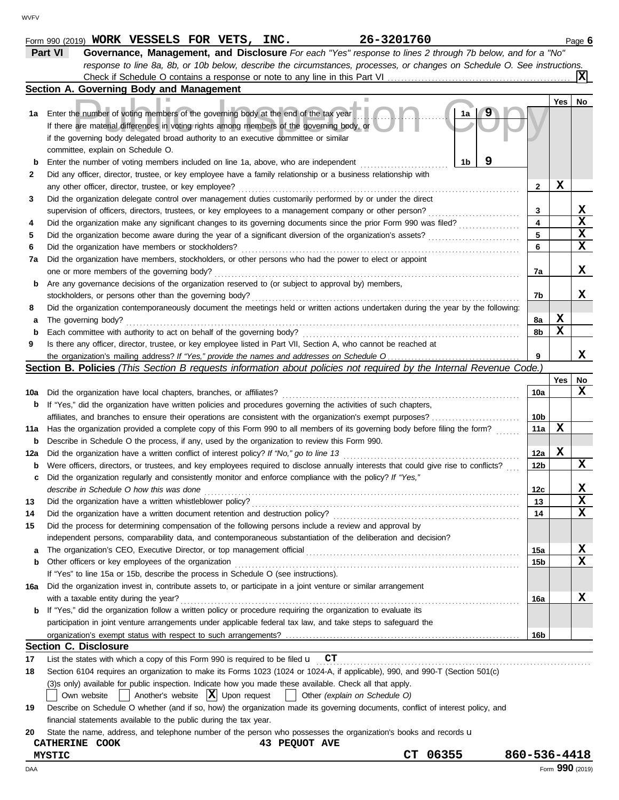|             | response to line 8a, 8b, or 10b below, describe the circumstances, processes, or changes on Schedule O. See instructions.           |                 |                 |             |
|-------------|-------------------------------------------------------------------------------------------------------------------------------------|-----------------|-----------------|-------------|
|             |                                                                                                                                     |                 |                 |             |
|             | Section A. Governing Body and Management                                                                                            |                 |                 |             |
|             |                                                                                                                                     |                 | Yes             | No          |
| 1а          | 1a<br>Enter the number of voting members of the governing body at the end of the tax year                                           |                 |                 |             |
|             | If there are material differences in voting rights among members of the governing body, or                                          |                 |                 |             |
|             | if the governing body delegated broad authority to an executive committee or similar                                                |                 |                 |             |
|             | committee, explain on Schedule O.                                                                                                   |                 |                 |             |
| b           | 9<br>1b<br>Enter the number of voting members included on line 1a, above, who are independent                                       |                 |                 |             |
| 2           | Did any officer, director, trustee, or key employee have a family relationship or a business relationship with                      |                 |                 |             |
|             | any other officer, director, trustee, or key employee?                                                                              | 2               | X               |             |
| 3           | Did the organization delegate control over management duties customarily performed by or under the direct                           |                 |                 |             |
|             | supervision of officers, directors, trustees, or key employees to a management company or other person?                             | 3               |                 | х           |
| 4           | Did the organization make any significant changes to its governing documents since the prior Form 990 was filed?                    | 4               |                 | $\mathbf x$ |
| 5           | Did the organization become aware during the year of a significant diversion of the organization's assets?                          | 5               |                 | X           |
| 6           | Did the organization have members or stockholders?                                                                                  | 6               |                 | X           |
| 7a          | Did the organization have members, stockholders, or other persons who had the power to elect or appoint                             |                 |                 |             |
|             | one or more members of the governing body?                                                                                          | 7a              |                 | х           |
| b           | Are any governance decisions of the organization reserved to (or subject to approval by) members,                                   |                 |                 |             |
|             | stockholders, or persons other than the governing body?                                                                             | 7b              |                 | х           |
| 8           | Did the organization contemporaneously document the meetings held or written actions undertaken during the year by the following:   |                 |                 |             |
| а           | The governing body?                                                                                                                 | 8a              | X               |             |
| $\mathbf b$ | Each committee with authority to act on behalf of the governing body?                                                               | 8b              | x               |             |
| 9           | Is there any officer, director, trustee, or key employee listed in Part VII, Section A, who cannot be reached at                    |                 |                 |             |
|             |                                                                                                                                     | 9               |                 | x           |
|             | Section B. Policies (This Section B requests information about policies not required by the Internal Revenue Code.)                 |                 |                 |             |
|             |                                                                                                                                     |                 | Yes             | No          |
| 10a         | Did the organization have local chapters, branches, or affiliates?                                                                  | 10a             |                 | х           |
| b           | If "Yes," did the organization have written policies and procedures governing the activities of such chapters,                      |                 |                 |             |
|             |                                                                                                                                     | 10b             |                 |             |
| 11a         | Has the organization provided a complete copy of this Form 990 to all members of its governing body before filing the form?         | 11a             | X               |             |
| b           | Describe in Schedule O the process, if any, used by the organization to review this Form 990.                                       |                 |                 |             |
| 12a         | Did the organization have a written conflict of interest policy? If "No," go to line 13                                             | 12a             | X               |             |
| b           | Were officers, directors, or trustees, and key employees required to disclose annually interests that could give rise to conflicts? | 12 <sub>b</sub> |                 | х           |
| с           | Did the organization regularly and consistently monitor and enforce compliance with the policy? If "Yes,"                           |                 |                 |             |
|             | describe in Schedule O how this was done                                                                                            | 12c             |                 | х           |
| 13          | Did the organization have a written whistleblower policy?                                                                           | 13              |                 | $\mathbf x$ |
| 14          | Did the organization have a written document retention and destruction policy?                                                      | 14              |                 | X           |
| 15          | Did the process for determining compensation of the following persons include a review and approval by                              |                 |                 |             |
|             | independent persons, comparability data, and contemporaneous substantiation of the deliberation and decision?                       |                 |                 |             |
| а           | The organization's CEO, Executive Director, or top management official                                                              | 15a             |                 | х           |
| b           | Other officers or key employees of the organization                                                                                 | 15 <sub>b</sub> |                 | X           |
|             | If "Yes" to line 15a or 15b, describe the process in Schedule O (see instructions).                                                 |                 |                 |             |
| 16a         | Did the organization invest in, contribute assets to, or participate in a joint venture or similar arrangement                      |                 |                 |             |
|             | with a taxable entity during the year?                                                                                              | 16a             |                 | X           |
| b           | If "Yes," did the organization follow a written policy or procedure requiring the organization to evaluate its                      |                 |                 |             |
|             | participation in joint venture arrangements under applicable federal tax law, and take steps to safeguard the                       |                 |                 |             |
|             |                                                                                                                                     | 16b             |                 |             |
|             | <b>Section C. Disclosure</b>                                                                                                        |                 |                 |             |
|             |                                                                                                                                     |                 |                 |             |
| 17          | List the states with which a copy of this Form 990 is required to be filed $\mathbf{u}$ CT                                          |                 |                 |             |
| 18          | Section 6104 requires an organization to make its Forms 1023 (1024 or 1024-A, if applicable), 990, and 990-T (Section 501(c)        |                 |                 |             |
|             | (3)s only) available for public inspection. Indicate how you made these available. Check all that apply.                            |                 |                 |             |
|             | Another's website $ \mathbf{X} $ Upon request<br>Other (explain on Schedule O)<br>Own website                                       |                 |                 |             |
| 19          | Describe on Schedule O whether (and if so, how) the organization made its governing documents, conflict of interest policy, and     |                 |                 |             |
|             | financial statements available to the public during the tax year.                                                                   |                 |                 |             |
| 20          | State the name, address, and telephone number of the person who possesses the organization's books and records u                    |                 |                 |             |
|             | 43 PEQUOT AVE<br><b>CATHERINE COOK</b>                                                                                              |                 |                 |             |
|             | 06355<br>CT.<br><b>MYSTIC</b>                                                                                                       | 860-536-4418    |                 |             |
| DAA         |                                                                                                                                     |                 | Form 990 (2019) |             |

**Form 990 (2019) WORK VESSELS FOR VETS, INC.** 26-3201760 2010 2010 2010 2010 2020 **Part VI Governance, Management, and Disclosure** *For each "Yes" response to lines 2 through 7b below, and for a "No"*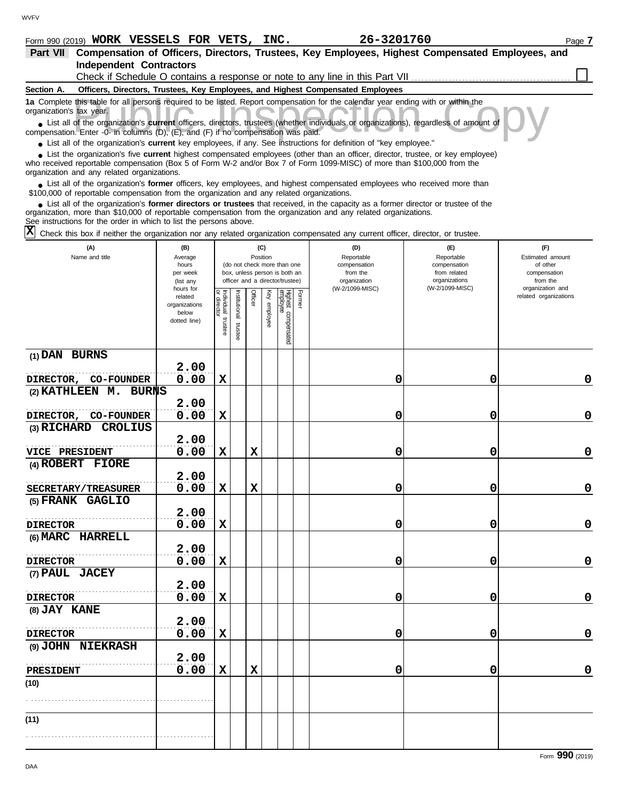### **Form 990 (2019) WORK VESSELS FOR VETS, INC.** 26-3201760 2010 2010 2010 2010 2021

| Part VII Compensation of Officers, Directors, Trustees, Key Employees, Highest Compensated Employees, and<br><b>Independent Contractors</b>                                                                                                                                                                                   |                        |             |              |          |          |                                 |        |                                                                                 |                                  |                              |   |
|-------------------------------------------------------------------------------------------------------------------------------------------------------------------------------------------------------------------------------------------------------------------------------------------------------------------------------|------------------------|-------------|--------------|----------|----------|---------------------------------|--------|---------------------------------------------------------------------------------|----------------------------------|------------------------------|---|
|                                                                                                                                                                                                                                                                                                                               |                        |             |              |          |          |                                 |        | Check if Schedule O contains a response or note to any line in this Part VII    |                                  |                              |   |
| Section A.                                                                                                                                                                                                                                                                                                                    |                        |             |              |          |          |                                 |        | Officers, Directors, Trustees, Key Employees, and Highest Compensated Employees |                                  |                              |   |
| 1a Complete this table for all persons required to be listed. Report compensation for the calendar year ending with or within the<br>organization's tax year.                                                                                                                                                                 |                        |             |              |          |          |                                 |        |                                                                                 |                                  |                              |   |
| List all of the organization's current officers, directors, trustees (whether individuals or organizations), regardless of amount of<br>compensation. Enter -0- in columns (D), (E), and (F) if no compensation was paid.                                                                                                     |                        |             |              |          |          |                                 |        |                                                                                 |                                  |                              |   |
| • List all of the organization's current key employees, if any. See instructions for definition of "key employee."<br>• List the organization's five current highest compensated employees (other than an officer, director, trustee, or key employee)                                                                        |                        |             |              |          |          |                                 |        |                                                                                 |                                  |                              |   |
| who received reportable compensation (Box 5 of Form W-2 and/or Box 7 of Form 1099-MISC) of more than \$100,000 from the<br>organization and any related organizations.                                                                                                                                                        |                        |             |              |          |          |                                 |        |                                                                                 |                                  |                              |   |
| • List all of the organization's former officers, key employees, and highest compensated employees who received more than<br>\$100,000 of reportable compensation from the organization and any related organizations.                                                                                                        |                        |             |              |          |          |                                 |        |                                                                                 |                                  |                              |   |
| • List all of the organization's former directors or trustees that received, in the capacity as a former director or trustee of the<br>organization, more than \$10,000 of reportable compensation from the organization and any related organizations.<br>See instructions for the order in which to list the persons above. |                        |             |              |          |          |                                 |        |                                                                                 |                                  |                              |   |
| x<br>Check this box if neither the organization nor any related organization compensated any current officer, director, or trustee.                                                                                                                                                                                           |                        |             |              |          |          |                                 |        |                                                                                 |                                  |                              |   |
| (A)                                                                                                                                                                                                                                                                                                                           | (B)                    |             |              |          | (C)      |                                 |        | (D)                                                                             | (E)                              | (F)                          |   |
| Name and title                                                                                                                                                                                                                                                                                                                | Average<br>hours       |             |              | Position |          | (do not check more than one     |        | Reportable<br>compensation                                                      | Reportable<br>compensation       | Estimated amount<br>of other |   |
|                                                                                                                                                                                                                                                                                                                               | per week               |             |              |          |          | box, unless person is both an   |        | from the                                                                        | from related                     | compensation                 |   |
|                                                                                                                                                                                                                                                                                                                               | (list any<br>hours for |             |              |          |          | officer and a director/trustee) |        | organization<br>(W-2/1099-MISC)                                                 | organizations<br>(W-2/1099-MISC) | from the<br>organization and |   |
|                                                                                                                                                                                                                                                                                                                               | related                | Individual  | nstitutional | Officer  | Ķey      |                                 | Former |                                                                                 |                                  | related organizations        |   |
|                                                                                                                                                                                                                                                                                                                               | organizations<br>below | director    |              |          | employee |                                 |        |                                                                                 |                                  |                              |   |
|                                                                                                                                                                                                                                                                                                                               | dotted line)           | trustee     |              |          |          |                                 |        |                                                                                 |                                  |                              |   |
|                                                                                                                                                                                                                                                                                                                               |                        |             | trustee      |          |          | Highest compensated<br>employee |        |                                                                                 |                                  |                              |   |
| (1) DAN BURNS                                                                                                                                                                                                                                                                                                                 |                        |             |              |          |          |                                 |        |                                                                                 |                                  |                              |   |
|                                                                                                                                                                                                                                                                                                                               | 2.00                   |             |              |          |          |                                 |        |                                                                                 |                                  |                              |   |
| DIRECTOR, CO-FOUNDER                                                                                                                                                                                                                                                                                                          | 0.00                   | X           |              |          |          |                                 |        | 0                                                                               | 0                                |                              | 0 |
| (2) KATHLEEN M. BURNS                                                                                                                                                                                                                                                                                                         |                        |             |              |          |          |                                 |        |                                                                                 |                                  |                              |   |
|                                                                                                                                                                                                                                                                                                                               | 2.00                   |             |              |          |          |                                 |        |                                                                                 |                                  |                              |   |
| DIRECTOR, CO-FOUNDER                                                                                                                                                                                                                                                                                                          | 0.00                   | X           |              |          |          |                                 |        | 0                                                                               | 0                                |                              | 0 |
| (3) RICHARD CROLIUS                                                                                                                                                                                                                                                                                                           |                        |             |              |          |          |                                 |        |                                                                                 |                                  |                              |   |
| VICE PRESIDENT                                                                                                                                                                                                                                                                                                                | 2.00<br>0.00           | X           |              | х        |          |                                 |        | 0                                                                               | 0                                |                              | 0 |
| (4) ROBERT FIORE                                                                                                                                                                                                                                                                                                              |                        |             |              |          |          |                                 |        |                                                                                 |                                  |                              |   |
|                                                                                                                                                                                                                                                                                                                               | 2.00                   |             |              |          |          |                                 |        |                                                                                 |                                  |                              |   |
| SECRETARY/TREASURER                                                                                                                                                                                                                                                                                                           | 0.00                   | X           |              | X        |          |                                 |        | 0                                                                               | 0                                |                              | 0 |
| (5) FRANK GAGLIO                                                                                                                                                                                                                                                                                                              |                        |             |              |          |          |                                 |        |                                                                                 |                                  |                              |   |
|                                                                                                                                                                                                                                                                                                                               | 2.00                   |             |              |          |          |                                 |        |                                                                                 |                                  |                              |   |
| <b>DIRECTOR</b>                                                                                                                                                                                                                                                                                                               | 0.00                   | X           |              |          |          |                                 |        | 0                                                                               | 0                                |                              | 0 |
| (6) MARC HARRELL                                                                                                                                                                                                                                                                                                              | 2.00                   |             |              |          |          |                                 |        |                                                                                 |                                  |                              |   |
| <b>DIRECTOR</b>                                                                                                                                                                                                                                                                                                               | 0.00                   | X           |              |          |          |                                 |        | 0                                                                               | 0                                |                              | 0 |
| (7) PAUL JACEY                                                                                                                                                                                                                                                                                                                |                        |             |              |          |          |                                 |        |                                                                                 |                                  |                              |   |
|                                                                                                                                                                                                                                                                                                                               | 2.00                   |             |              |          |          |                                 |        |                                                                                 |                                  |                              |   |
| <b>DIRECTOR</b>                                                                                                                                                                                                                                                                                                               | 0.00                   | X           |              |          |          |                                 |        | 0                                                                               | 0                                |                              | 0 |
| (8) JAY KANE                                                                                                                                                                                                                                                                                                                  |                        |             |              |          |          |                                 |        |                                                                                 |                                  |                              |   |
|                                                                                                                                                                                                                                                                                                                               | 2.00                   |             |              |          |          |                                 |        |                                                                                 |                                  |                              |   |
| <b>DIRECTOR</b>                                                                                                                                                                                                                                                                                                               | 0.00                   | $\mathbf x$ |              |          |          |                                 |        | 0                                                                               | 0                                |                              | 0 |
| (9) JOHN NIEKRASH                                                                                                                                                                                                                                                                                                             |                        |             |              |          |          |                                 |        |                                                                                 |                                  |                              |   |
| PRESIDENT                                                                                                                                                                                                                                                                                                                     | 2.00<br>0.00           | X           |              | X        |          |                                 |        | 0                                                                               | 0                                |                              | 0 |
| (10)                                                                                                                                                                                                                                                                                                                          |                        |             |              |          |          |                                 |        |                                                                                 |                                  |                              |   |
|                                                                                                                                                                                                                                                                                                                               |                        |             |              |          |          |                                 |        |                                                                                 |                                  |                              |   |
|                                                                                                                                                                                                                                                                                                                               |                        |             |              |          |          |                                 |        |                                                                                 |                                  |                              |   |
| (11)                                                                                                                                                                                                                                                                                                                          |                        |             |              |          |          |                                 |        |                                                                                 |                                  |                              |   |

. . . . . . . . . . . . . . . . . . . . . . . . . . . . . . . . . . . . . . . . . . . . . . . . . . . . . . .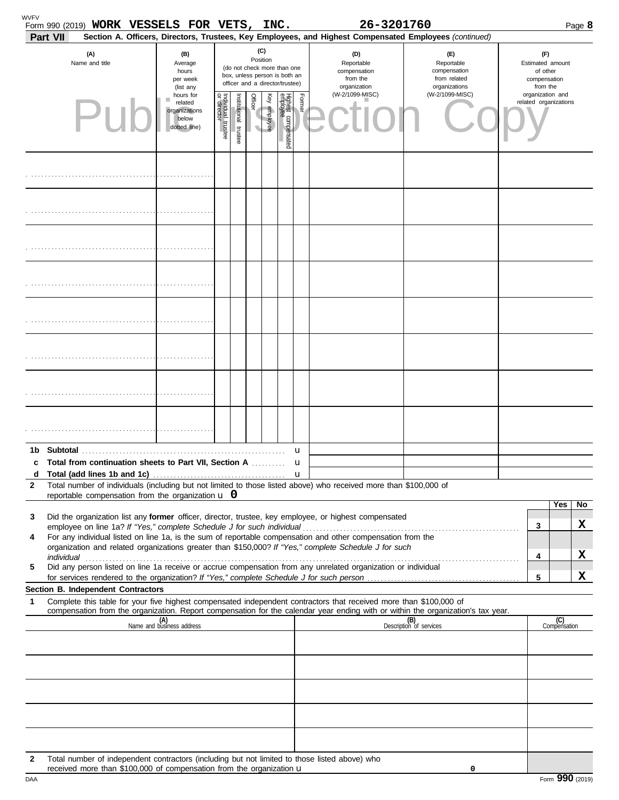| <b>WVFV</b>  | Form 990 (2019) WORK VESSELS FOR VETS, INC.<br><b>Part VII</b>                                                                                                                                                                                         |                                                                |                                   |                       |                                                                                                             |              |                                 |             | 26-3201760<br>Section A. Officers, Directors, Trustees, Key Employees, and Highest Compensated Employees (continued) |                                                                    |                                                                 |                       | Page 8 |
|--------------|--------------------------------------------------------------------------------------------------------------------------------------------------------------------------------------------------------------------------------------------------------|----------------------------------------------------------------|-----------------------------------|-----------------------|-------------------------------------------------------------------------------------------------------------|--------------|---------------------------------|-------------|----------------------------------------------------------------------------------------------------------------------|--------------------------------------------------------------------|-----------------------------------------------------------------|-----------------------|--------|
|              | (A)<br>Name and title                                                                                                                                                                                                                                  | (B)<br>Average<br>hours<br>per week<br>(list any               |                                   |                       | Position<br>(do not check more than one<br>box, unless person is both an<br>officer and a director/trustee) | (C)          |                                 |             | (D)<br>Reportable<br>compensation<br>from the<br>organization                                                        | (E)<br>Reportable<br>compensation<br>from related<br>organizations | (F)<br>Estimated amount<br>of other<br>compensation<br>from the |                       |        |
|              |                                                                                                                                                                                                                                                        | hours for<br>related<br>organizations<br>below<br>dotted line) | Individual trustee<br>or director | Institutional trustee | Officer                                                                                                     | Key employee | Highest compensated<br>employee | Former      | (W-2/1099-MISC)                                                                                                      | (W-2/1099-MISC)                                                    | organization and                                                | related organizations |        |
|              |                                                                                                                                                                                                                                                        |                                                                |                                   |                       |                                                                                                             |              |                                 |             |                                                                                                                      |                                                                    |                                                                 |                       |        |
|              |                                                                                                                                                                                                                                                        |                                                                |                                   |                       |                                                                                                             |              |                                 |             |                                                                                                                      |                                                                    |                                                                 |                       |        |
|              |                                                                                                                                                                                                                                                        |                                                                |                                   |                       |                                                                                                             |              |                                 |             |                                                                                                                      |                                                                    |                                                                 |                       |        |
|              |                                                                                                                                                                                                                                                        |                                                                |                                   |                       |                                                                                                             |              |                                 |             |                                                                                                                      |                                                                    |                                                                 |                       |        |
|              |                                                                                                                                                                                                                                                        |                                                                |                                   |                       |                                                                                                             |              |                                 |             |                                                                                                                      |                                                                    |                                                                 |                       |        |
|              |                                                                                                                                                                                                                                                        |                                                                |                                   |                       |                                                                                                             |              |                                 |             |                                                                                                                      |                                                                    |                                                                 |                       |        |
|              |                                                                                                                                                                                                                                                        |                                                                |                                   |                       |                                                                                                             |              |                                 |             |                                                                                                                      |                                                                    |                                                                 |                       |        |
|              |                                                                                                                                                                                                                                                        |                                                                |                                   |                       |                                                                                                             |              |                                 |             |                                                                                                                      |                                                                    |                                                                 |                       |        |
| 1b<br>c<br>d | Subtotal<br>Total from continuation sheets to Part VII, Section A                                                                                                                                                                                      |                                                                |                                   |                       |                                                                                                             |              |                                 | u<br>u<br>u |                                                                                                                      |                                                                    |                                                                 |                       |        |
| 2            | Total number of individuals (including but not limited to those listed above) who received more than \$100,000 of<br>reportable compensation from the organization $\bf{u}$ 0                                                                          |                                                                |                                   |                       |                                                                                                             |              |                                 |             |                                                                                                                      |                                                                    |                                                                 |                       |        |
| 3            | Did the organization list any former officer, director, trustee, key employee, or highest compensated                                                                                                                                                  |                                                                |                                   |                       |                                                                                                             |              |                                 |             |                                                                                                                      |                                                                    |                                                                 | Yes                   | No     |
| 4            | For any individual listed on line 1a, is the sum of reportable compensation and other compensation from the<br>organization and related organizations greater than \$150,000? If "Yes," complete Schedule J for such                                   |                                                                |                                   |                       |                                                                                                             |              |                                 |             |                                                                                                                      |                                                                    | 3                                                               |                       | x      |
| 5            | individual<br>Did any person listed on line 1a receive or accrue compensation from any unrelated organization or individual                                                                                                                            |                                                                |                                   |                       |                                                                                                             |              |                                 |             |                                                                                                                      |                                                                    | 4                                                               |                       | X      |
|              | for services rendered to the organization? If "Yes," complete Schedule J for such person<br>Section B. Independent Contractors                                                                                                                         |                                                                |                                   |                       |                                                                                                             |              |                                 |             |                                                                                                                      |                                                                    | 5                                                               |                       | x      |
| 1            | Complete this table for your five highest compensated independent contractors that received more than \$100,000 of<br>compensation from the organization. Report compensation for the calendar year ending with or within the organization's tax year. |                                                                |                                   |                       |                                                                                                             |              |                                 |             |                                                                                                                      |                                                                    |                                                                 |                       |        |
|              |                                                                                                                                                                                                                                                        | (A)<br>Name and business address                               |                                   |                       |                                                                                                             |              |                                 |             |                                                                                                                      | (B)<br>Description of services                                     |                                                                 | (C)<br>Compensation   |        |
|              |                                                                                                                                                                                                                                                        |                                                                |                                   |                       |                                                                                                             |              |                                 |             |                                                                                                                      |                                                                    |                                                                 |                       |        |
|              |                                                                                                                                                                                                                                                        |                                                                |                                   |                       |                                                                                                             |              |                                 |             |                                                                                                                      |                                                                    |                                                                 |                       |        |
|              |                                                                                                                                                                                                                                                        |                                                                |                                   |                       |                                                                                                             |              |                                 |             |                                                                                                                      |                                                                    |                                                                 |                       |        |
|              |                                                                                                                                                                                                                                                        |                                                                |                                   |                       |                                                                                                             |              |                                 |             |                                                                                                                      |                                                                    |                                                                 |                       |        |
|              |                                                                                                                                                                                                                                                        |                                                                |                                   |                       |                                                                                                             |              |                                 |             |                                                                                                                      |                                                                    |                                                                 |                       |        |
| 2            | Total number of independent contractors (including but not limited to those listed above) who<br>received more than \$100,000 of compensation from the organization $\mathbf u$                                                                        |                                                                |                                   |                       |                                                                                                             |              |                                 |             |                                                                                                                      | 0                                                                  |                                                                 |                       |        |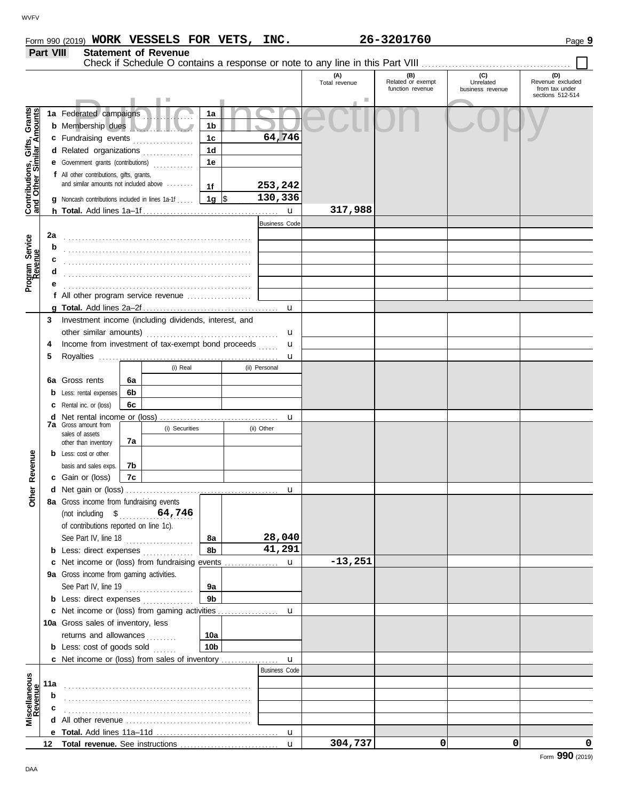**Part VIII Statement of Revenue**

# **Form 990 (2019) WORK VESSELS FOR VETS, INC.** 26-3201760 2010 2010 2019 2019 2020

|                                 |     |                                                                                                     |    |                |                 |                                                |              | (A)           | (B)<br>Related or exempt | (C)                           | (D)                                |
|---------------------------------|-----|-----------------------------------------------------------------------------------------------------|----|----------------|-----------------|------------------------------------------------|--------------|---------------|--------------------------|-------------------------------|------------------------------------|
|                                 |     |                                                                                                     |    |                |                 |                                                |              | Total revenue | function revenue         | Unrelated<br>business revenue | Revenue excluded<br>from tax under |
|                                 |     |                                                                                                     |    |                |                 |                                                |              |               |                          |                               | sections 512-514                   |
|                                 |     | 1a Federated campaigns                                                                              |    |                | 1a              |                                                |              |               |                          |                               |                                    |
| Gifts, Grants                   |     | b Membership dues                                                                                   |    |                | 1 <sub>b</sub>  |                                                |              |               |                          |                               |                                    |
|                                 |     | c Fundraising events                                                                                |    |                | 1 <sub>c</sub>  | 64,746                                         |              |               |                          |                               |                                    |
|                                 |     |                                                                                                     |    |                | 1 <sub>d</sub>  |                                                |              |               |                          |                               |                                    |
|                                 |     | d Related organizations                                                                             |    |                |                 |                                                |              |               |                          |                               |                                    |
|                                 |     | e Government grants (contributions)                                                                 |    |                | 1e              |                                                |              |               |                          |                               |                                    |
|                                 |     | f All other contributions, gifts, grants,<br>and similar amounts not included above                 |    |                |                 |                                                |              |               |                          |                               |                                    |
|                                 |     |                                                                                                     |    |                | 1f              | 253,242                                        |              |               |                          |                               |                                    |
| Contributions,<br>and Other Sim |     | <b>g</b> Noncash contributions included in lines 1a-1f $\vert$ <b>1g</b> $\vert$ \$                 |    |                |                 | 130,336                                        |              |               |                          |                               |                                    |
|                                 |     |                                                                                                     |    |                |                 |                                                | $\mathbf{u}$ | 317,988       |                          |                               |                                    |
|                                 |     |                                                                                                     |    |                |                 | <b>Business Code</b>                           |              |               |                          |                               |                                    |
|                                 | 2a  |                                                                                                     |    |                |                 |                                                |              |               |                          |                               |                                    |
|                                 | b   |                                                                                                     |    |                |                 |                                                |              |               |                          |                               |                                    |
|                                 | c   |                                                                                                     |    |                |                 |                                                |              |               |                          |                               |                                    |
|                                 | d   |                                                                                                     |    |                |                 |                                                |              |               |                          |                               |                                    |
| Program Service<br>Revenue      | е   |                                                                                                     |    |                |                 |                                                |              |               |                          |                               |                                    |
|                                 |     | f All other program service revenue $\ldots$ , $\ldots$ , $\ldots$                                  |    |                |                 |                                                |              |               |                          |                               |                                    |
|                                 |     |                                                                                                     |    |                |                 |                                                | u            |               |                          |                               |                                    |
|                                 | 3   | Investment income (including dividends, interest, and                                               |    |                |                 |                                                |              |               |                          |                               |                                    |
|                                 |     | other similar amounts)                                                                              |    |                |                 |                                                | u            |               |                          |                               |                                    |
|                                 |     | Income from investment of tax-exempt bond proceeds                                                  |    |                |                 |                                                | u            |               |                          |                               |                                    |
|                                 | 5   |                                                                                                     |    |                |                 |                                                |              |               |                          |                               |                                    |
|                                 |     |                                                                                                     |    | (i) Real       |                 | (ii) Personal                                  | u            |               |                          |                               |                                    |
|                                 |     |                                                                                                     |    |                |                 |                                                |              |               |                          |                               |                                    |
|                                 |     | <b>6a</b> Gross rents                                                                               | 6а |                |                 |                                                |              |               |                          |                               |                                    |
|                                 |     | <b>b</b> Less: rental expenses                                                                      | 6b |                |                 |                                                |              |               |                          |                               |                                    |
|                                 |     | <b>c</b> Rental inc. or (loss)                                                                      | 6c |                |                 |                                                |              |               |                          |                               |                                    |
|                                 |     | <b>7a</b> Gross amount from                                                                         |    |                |                 |                                                | u            |               |                          |                               |                                    |
|                                 |     | sales of assets                                                                                     |    | (i) Securities |                 | (ii) Other                                     |              |               |                          |                               |                                    |
|                                 |     | other than inventory                                                                                | 7a |                |                 |                                                |              |               |                          |                               |                                    |
|                                 |     | <b>b</b> Less: cost or other                                                                        |    |                |                 |                                                |              |               |                          |                               |                                    |
|                                 |     | basis and sales exps.                                                                               | 7b |                |                 |                                                |              |               |                          |                               |                                    |
| Revenue                         |     | c Gain or (loss)                                                                                    | 7c |                |                 |                                                |              |               |                          |                               |                                    |
|                                 |     |                                                                                                     |    |                |                 |                                                | u            |               |                          |                               |                                    |
| Other                           |     | 8a Gross income from fundraising events                                                             |    |                |                 |                                                |              |               |                          |                               |                                    |
|                                 |     |                                                                                                     |    |                |                 |                                                |              |               |                          |                               |                                    |
|                                 |     | of contributions reported on line 1c).                                                              |    |                |                 |                                                |              |               |                          |                               |                                    |
|                                 |     | See Part IV, line 18                                                                                |    |                | 8а              | 28,040                                         |              |               |                          |                               |                                    |
|                                 |     | <b>b</b> Less: direct expenses                                                                      |    |                | 8 <sub>b</sub>  | 41,291                                         |              |               |                          |                               |                                    |
|                                 |     |                                                                                                     |    |                |                 | c Net income or (loss) from fundraising events | u            | $-13,251$     |                          |                               |                                    |
|                                 |     | 9a Gross income from gaming activities.                                                             |    |                |                 |                                                |              |               |                          |                               |                                    |
|                                 |     | See Part IV, line 19                                                                                |    |                | 9а              |                                                |              |               |                          |                               |                                    |
|                                 |     | <b>b</b> Less: direct expenses <i>minimum</i>                                                       |    |                | 9 <sub>b</sub>  |                                                |              |               |                          |                               |                                    |
|                                 |     |                                                                                                     |    |                |                 | c Net income or (loss) from gaming activities  | u            |               |                          |                               |                                    |
|                                 |     | 10a Gross sales of inventory, less                                                                  |    |                |                 |                                                |              |               |                          |                               |                                    |
|                                 |     | returns and allowances                                                                              |    |                | 10a             |                                                |              |               |                          |                               |                                    |
|                                 |     | <b>b</b> Less: cost of goods sold                                                                   |    |                | 10 <sub>b</sub> |                                                |              |               |                          |                               |                                    |
|                                 |     |                                                                                                     |    |                |                 |                                                | u            |               |                          |                               |                                    |
|                                 |     |                                                                                                     |    |                |                 | <b>Business Code</b>                           |              |               |                          |                               |                                    |
|                                 | 11a |                                                                                                     |    |                |                 |                                                |              |               |                          |                               |                                    |
| Miscellaneous<br>Revenue        | b   |                                                                                                     |    |                |                 |                                                |              |               |                          |                               |                                    |
|                                 | c   |                                                                                                     |    |                |                 |                                                |              |               |                          |                               |                                    |
|                                 |     | <b>d</b> All other revenue $\ldots, \ldots, \ldots, \ldots, \ldots, \ldots, \ldots, \ldots, \ldots$ |    |                |                 |                                                |              |               |                          |                               |                                    |
|                                 |     |                                                                                                     |    |                |                 |                                                |              |               |                          |                               |                                    |
|                                 | 12  |                                                                                                     |    |                |                 |                                                | $\mathbf{u}$ | 304,737       | 0                        | $\Omega$                      | 0                                  |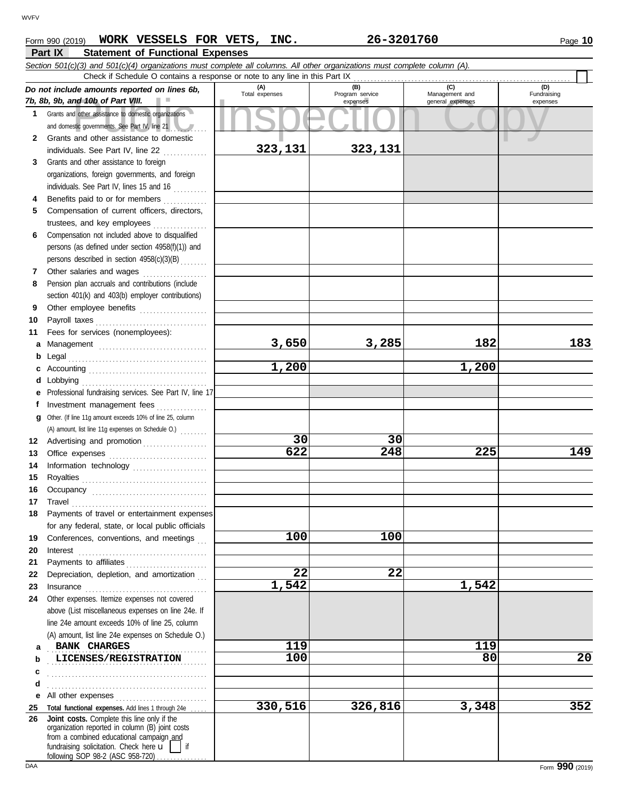| WORK VESSELS FOR VETS,<br>Form 990 (2019)                                                                                  | INC. | 26-3201760 |     | Page 10 |  |
|----------------------------------------------------------------------------------------------------------------------------|------|------------|-----|---------|--|
| <b>Part IX</b><br><b>Statement of Functional Expenses</b>                                                                  |      |            |     |         |  |
| Section 501(c)(3) and 501(c)(4) organizations must complete all columns. All other organizations must complete column (A). |      |            |     |         |  |
| Check if Schedule O contains a response or note to any line in this Part IX                                                |      |            |     |         |  |
| Do not include amounts reported on lines 6b                                                                                |      | (B)        | (C) | (D)     |  |

|              | Do not include amounts reported on lines 6b,                                                                                                                                                                                                                                                                                                                                                                                                                                                                                | (A)<br>Total expenses | (B)<br>Program service | (ပ)<br>Management and | (ש<br>Fundraising |
|--------------|-----------------------------------------------------------------------------------------------------------------------------------------------------------------------------------------------------------------------------------------------------------------------------------------------------------------------------------------------------------------------------------------------------------------------------------------------------------------------------------------------------------------------------|-----------------------|------------------------|-----------------------|-------------------|
|              | 7b, 8b, 9b, and 10b of Part VIII.                                                                                                                                                                                                                                                                                                                                                                                                                                                                                           |                       | expenses               | general expenses      | expenses          |
| 1            | Grants and other assistance to domestic organizations<br>and domestic governments. See Part IV, line 21                                                                                                                                                                                                                                                                                                                                                                                                                     |                       |                        |                       |                   |
| $\mathbf{2}$ | Grants and other assistance to domestic                                                                                                                                                                                                                                                                                                                                                                                                                                                                                     |                       |                        |                       |                   |
|              | individuals. See Part IV, line 22                                                                                                                                                                                                                                                                                                                                                                                                                                                                                           | 323,131               | 323,131                |                       |                   |
| 3            | Grants and other assistance to foreign                                                                                                                                                                                                                                                                                                                                                                                                                                                                                      |                       |                        |                       |                   |
|              | organizations, foreign governments, and foreign                                                                                                                                                                                                                                                                                                                                                                                                                                                                             |                       |                        |                       |                   |
|              | individuals. See Part IV, lines 15 and 16                                                                                                                                                                                                                                                                                                                                                                                                                                                                                   |                       |                        |                       |                   |
| 4            | Benefits paid to or for members                                                                                                                                                                                                                                                                                                                                                                                                                                                                                             |                       |                        |                       |                   |
| 5            | Compensation of current officers, directors,                                                                                                                                                                                                                                                                                                                                                                                                                                                                                |                       |                        |                       |                   |
|              |                                                                                                                                                                                                                                                                                                                                                                                                                                                                                                                             |                       |                        |                       |                   |
| 6            | Compensation not included above to disqualified                                                                                                                                                                                                                                                                                                                                                                                                                                                                             |                       |                        |                       |                   |
|              | persons (as defined under section 4958(f)(1)) and                                                                                                                                                                                                                                                                                                                                                                                                                                                                           |                       |                        |                       |                   |
|              | persons described in section 4958(c)(3)(B)                                                                                                                                                                                                                                                                                                                                                                                                                                                                                  |                       |                        |                       |                   |
| 7            | Other salaries and wages                                                                                                                                                                                                                                                                                                                                                                                                                                                                                                    |                       |                        |                       |                   |
| 8            | Pension plan accruals and contributions (include                                                                                                                                                                                                                                                                                                                                                                                                                                                                            |                       |                        |                       |                   |
|              | section 401(k) and 403(b) employer contributions)                                                                                                                                                                                                                                                                                                                                                                                                                                                                           |                       |                        |                       |                   |
| 9            | Other employee benefits                                                                                                                                                                                                                                                                                                                                                                                                                                                                                                     |                       |                        |                       |                   |
| 10           |                                                                                                                                                                                                                                                                                                                                                                                                                                                                                                                             |                       |                        |                       |                   |
| 11           | Fees for services (nonemployees):                                                                                                                                                                                                                                                                                                                                                                                                                                                                                           |                       |                        |                       |                   |
| a            | Management                                                                                                                                                                                                                                                                                                                                                                                                                                                                                                                  | 3,650                 | 3,285                  | 182                   | 183               |
| b            |                                                                                                                                                                                                                                                                                                                                                                                                                                                                                                                             |                       |                        |                       |                   |
| c            |                                                                                                                                                                                                                                                                                                                                                                                                                                                                                                                             | 1,200                 |                        | 1,200                 |                   |
| d            |                                                                                                                                                                                                                                                                                                                                                                                                                                                                                                                             |                       |                        |                       |                   |
| е            | Professional fundraising services. See Part IV, line 17                                                                                                                                                                                                                                                                                                                                                                                                                                                                     |                       |                        |                       |                   |
| f            | Investment management fees                                                                                                                                                                                                                                                                                                                                                                                                                                                                                                  |                       |                        |                       |                   |
| g            | Other. (If line 11g amount exceeds 10% of line 25, column                                                                                                                                                                                                                                                                                                                                                                                                                                                                   |                       |                        |                       |                   |
|              | (A) amount, list line 11g expenses on Schedule O.)                                                                                                                                                                                                                                                                                                                                                                                                                                                                          |                       |                        |                       |                   |
|              | 12 Advertising and promotion                                                                                                                                                                                                                                                                                                                                                                                                                                                                                                | 30                    | 30                     |                       |                   |
| 13           | Office expenses                                                                                                                                                                                                                                                                                                                                                                                                                                                                                                             | 622                   | 248                    | 225                   | 149               |
| 14           | Information technology                                                                                                                                                                                                                                                                                                                                                                                                                                                                                                      |                       |                        |                       |                   |
| 15           |                                                                                                                                                                                                                                                                                                                                                                                                                                                                                                                             |                       |                        |                       |                   |
| 16           |                                                                                                                                                                                                                                                                                                                                                                                                                                                                                                                             |                       |                        |                       |                   |
| 17           | $\begin{minipage}[c]{0.9\linewidth} \begin{tabular}{l} \textbf{Travel} \end{tabular} \end{minipage} \end{minipage} \begin{minipage}[c]{0.9\linewidth} \begin{tabular}{l} \textbf{True} \end{tabular} \end{minipage} \end{minipage} \begin{minipage}[c]{0.9\linewidth} \begin{tabular}{l} \textbf{True} \end{tabular} \end{minipage} \end{minipage} \begin{minipage}[c]{0.9\linewidth} \begin{tabular}{l} \textbf{True} \end{tabular} \end{minipage} \end{minipage} \begin{minipage}[c]{0.9\linewidth} \begin{tabular}{l} \$ |                       |                        |                       |                   |
| 18           | Payments of travel or entertainment expenses                                                                                                                                                                                                                                                                                                                                                                                                                                                                                |                       |                        |                       |                   |
|              | for any federal, state, or local public officials                                                                                                                                                                                                                                                                                                                                                                                                                                                                           |                       |                        |                       |                   |
| 19           | Conferences, conventions, and meetings                                                                                                                                                                                                                                                                                                                                                                                                                                                                                      | 100                   | 100                    |                       |                   |
| 20           | $Interest$                                                                                                                                                                                                                                                                                                                                                                                                                                                                                                                  |                       |                        |                       |                   |
| 21           | Payments to affiliates                                                                                                                                                                                                                                                                                                                                                                                                                                                                                                      |                       |                        |                       |                   |
| 22           | Depreciation, depletion, and amortization                                                                                                                                                                                                                                                                                                                                                                                                                                                                                   | 22                    | 22                     |                       |                   |
| 23           |                                                                                                                                                                                                                                                                                                                                                                                                                                                                                                                             | 1,542                 |                        | 1,542                 |                   |
| 24           | Other expenses. Itemize expenses not covered                                                                                                                                                                                                                                                                                                                                                                                                                                                                                |                       |                        |                       |                   |
|              | above (List miscellaneous expenses on line 24e. If                                                                                                                                                                                                                                                                                                                                                                                                                                                                          |                       |                        |                       |                   |
|              | line 24e amount exceeds 10% of line 25, column                                                                                                                                                                                                                                                                                                                                                                                                                                                                              |                       |                        |                       |                   |
|              | (A) amount, list line 24e expenses on Schedule O.)                                                                                                                                                                                                                                                                                                                                                                                                                                                                          |                       |                        |                       |                   |
| a            | <b>BANK CHARGES</b>                                                                                                                                                                                                                                                                                                                                                                                                                                                                                                         | 119                   |                        | 119                   |                   |
| b            | LICENSES/REGISTRATION                                                                                                                                                                                                                                                                                                                                                                                                                                                                                                       | 100                   |                        | 80                    | 20                |
| c            |                                                                                                                                                                                                                                                                                                                                                                                                                                                                                                                             |                       |                        |                       |                   |
| d            |                                                                                                                                                                                                                                                                                                                                                                                                                                                                                                                             |                       |                        |                       |                   |
| е            | All other expenses                                                                                                                                                                                                                                                                                                                                                                                                                                                                                                          | 330,516               | 326,816                | 3,348                 | 352               |
| 25<br>26     | Total functional expenses. Add lines 1 through 24e<br>Joint costs. Complete this line only if the                                                                                                                                                                                                                                                                                                                                                                                                                           |                       |                        |                       |                   |
|              | organization reported in column (B) joint costs                                                                                                                                                                                                                                                                                                                                                                                                                                                                             |                       |                        |                       |                   |
|              | from a combined educational campaign and                                                                                                                                                                                                                                                                                                                                                                                                                                                                                    |                       |                        |                       |                   |
|              | fundraising solicitation. Check here $\mathbf{u}$  <br>l if<br>following SOP 98-2 (ASC 958-720)                                                                                                                                                                                                                                                                                                                                                                                                                             |                       |                        |                       |                   |
| DAA          |                                                                                                                                                                                                                                                                                                                                                                                                                                                                                                                             |                       |                        |                       | Form 990 (2019)   |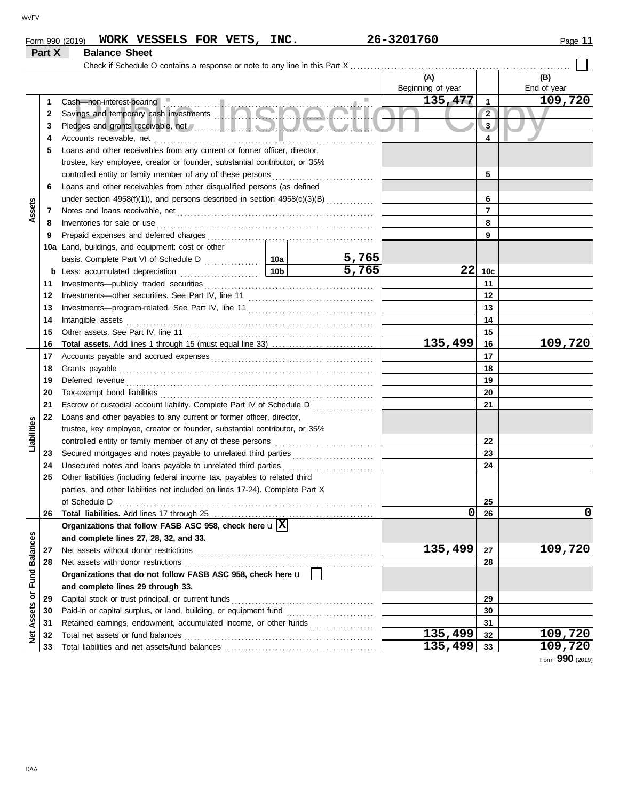| Form 990 (2019) |                      | WORK VESSELS FOR T | VETS, | INC. | 26-3201760 | Page |
|-----------------|----------------------|--------------------|-------|------|------------|------|
| Part X          | <b>Balance Sheet</b> |                    |       |      |            |      |

|                      |    |                                                                                                                                                                                                                                     |       | (A)               |                | (B)         |
|----------------------|----|-------------------------------------------------------------------------------------------------------------------------------------------------------------------------------------------------------------------------------------|-------|-------------------|----------------|-------------|
|                      |    |                                                                                                                                                                                                                                     |       | Beginning of year |                | End of year |
|                      | 1  | Cash-non-interest-bearing                                                                                                                                                                                                           |       | 135,477           | $\mathbf{1}$   | 109,720     |
|                      | 2  |                                                                                                                                                                                                                                     |       |                   | $\mathbf{2}$   |             |
|                      | 3  | Pledges and grants receivable, net <b>All and School and School and School and School and School and School and School</b>                                                                                                          |       |                   | 3              |             |
|                      | 4  |                                                                                                                                                                                                                                     |       |                   | 4              |             |
|                      | 5  | Loans and other receivables from any current or former officer, director,                                                                                                                                                           |       |                   |                |             |
|                      |    | trustee, key employee, creator or founder, substantial contributor, or 35%                                                                                                                                                          |       |                   |                |             |
|                      |    | controlled entity or family member of any of these persons                                                                                                                                                                          |       |                   | 5              |             |
|                      | 6  | Loans and other receivables from other disqualified persons (as defined                                                                                                                                                             |       |                   |                |             |
|                      |    | under section 4958(f)(1)), and persons described in section 4958(c)(3)(B)                                                                                                                                                           |       |                   | 6              |             |
| Assets               | 7  |                                                                                                                                                                                                                                     |       |                   | $\overline{7}$ |             |
|                      | 8  | Inventories for sale or use <i>communication</i> and the state of the state of the state of the state of the state of the state of the state of the state of the state of the state of the state of the state of the state of the s |       |                   | 8              |             |
|                      | 9  |                                                                                                                                                                                                                                     |       |                   | 9              |             |
|                      |    | 10a Land, buildings, and equipment: cost or other                                                                                                                                                                                   |       |                   |                |             |
|                      |    |                                                                                                                                                                                                                                     | 5,765 |                   |                |             |
|                      |    |                                                                                                                                                                                                                                     | 5,765 | 22                | 10c            |             |
|                      | 11 |                                                                                                                                                                                                                                     |       |                   | 11             |             |
|                      | 12 |                                                                                                                                                                                                                                     |       |                   | 12             |             |
|                      | 13 |                                                                                                                                                                                                                                     |       |                   | 13             |             |
|                      | 14 | Intangible assets                                                                                                                                                                                                                   |       |                   | 14             |             |
|                      | 15 |                                                                                                                                                                                                                                     |       |                   | 15             |             |
|                      | 16 |                                                                                                                                                                                                                                     |       | 135,499           | 16             | 109,720     |
|                      | 17 |                                                                                                                                                                                                                                     |       |                   | 17             |             |
|                      | 18 |                                                                                                                                                                                                                                     |       |                   | 18             |             |
|                      | 19 |                                                                                                                                                                                                                                     |       |                   | 19             |             |
|                      | 20 |                                                                                                                                                                                                                                     |       |                   | 20             |             |
|                      | 21 | Escrow or custodial account liability. Complete Part IV of Schedule D                                                                                                                                                               |       |                   | 21             |             |
|                      | 22 | Loans and other payables to any current or former officer, director,                                                                                                                                                                |       |                   |                |             |
| Liabilities          |    | trustee, key employee, creator or founder, substantial contributor, or 35%                                                                                                                                                          |       |                   |                |             |
|                      |    | controlled entity or family member of any of these persons                                                                                                                                                                          |       |                   | 22             |             |
|                      | 23 | Secured mortgages and notes payable to unrelated third parties                                                                                                                                                                      |       |                   | 23             |             |
|                      | 24 | Unsecured notes and loans payable to unrelated third parties                                                                                                                                                                        |       |                   | 24             |             |
|                      | 25 | Other liabilities (including federal income tax, payables to related third                                                                                                                                                          |       |                   |                |             |
|                      |    | parties, and other liabilities not included on lines 17-24). Complete Part X                                                                                                                                                        |       |                   |                |             |
|                      |    |                                                                                                                                                                                                                                     |       |                   | 25             |             |
|                      | 26 | Total liabilities. Add lines 17 through 25                                                                                                                                                                                          |       | 0                 | 26             | O           |
|                      |    | Organizations that follow FASB ASC 958, check here $\mathbf{u} \times$                                                                                                                                                              |       |                   |                |             |
|                      |    | and complete lines 27, 28, 32, and 33.                                                                                                                                                                                              |       |                   |                |             |
|                      | 27 | Net assets without donor restrictions                                                                                                                                                                                               |       | 135,499           | 27             | 109,720     |
|                      | 28 | Net assets with donor restrictions                                                                                                                                                                                                  |       |                   | 28             |             |
|                      |    | Organizations that do not follow FASB ASC 958, check here u                                                                                                                                                                         |       |                   |                |             |
| <b>Fund Balances</b> |    | and complete lines 29 through 33.                                                                                                                                                                                                   |       |                   |                |             |
| $\overline{\sigma}$  | 29 | Capital stock or trust principal, or current funds                                                                                                                                                                                  |       |                   | 29             |             |
|                      | 30 | Paid-in or capital surplus, or land, building, or equipment fund [                                                                                                                                                                  |       |                   | 30             |             |
| Assets               | 31 | Retained earnings, endowment, accumulated income, or other funds                                                                                                                                                                    |       |                   | 31             |             |
|                      | 32 | Total net assets or fund balances                                                                                                                                                                                                   |       | 135,499           | 32             | 109,720     |
| ğ                    | 33 |                                                                                                                                                                                                                                     |       | 135,499           | 33             | 109,720     |
|                      |    |                                                                                                                                                                                                                                     |       |                   |                | nnn         |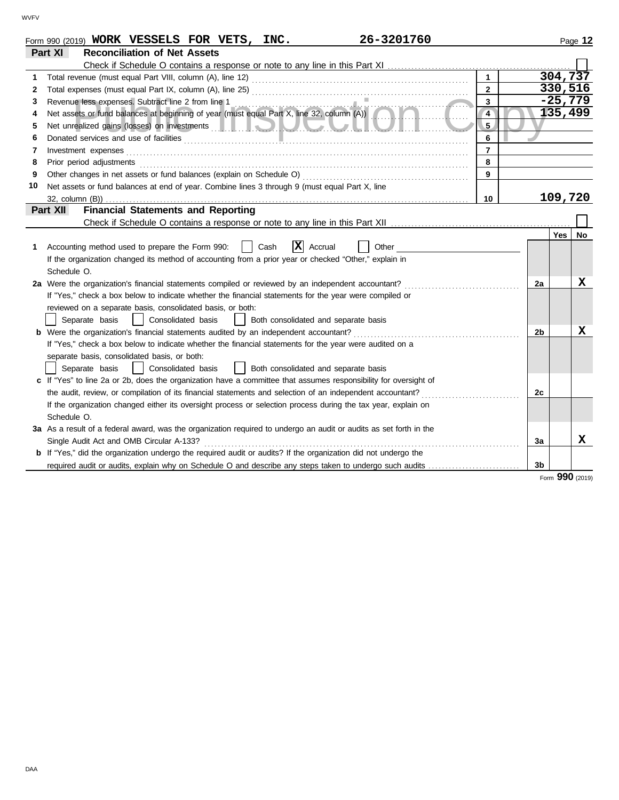|    | 26-3201760<br>Form 990 (2019) WORK VESSELS FOR VETS, INC.                                                                                                                                                                           |                |    |                | Page 12   |
|----|-------------------------------------------------------------------------------------------------------------------------------------------------------------------------------------------------------------------------------------|----------------|----|----------------|-----------|
|    | <b>Reconciliation of Net Assets</b><br>Part XI                                                                                                                                                                                      |                |    |                |           |
|    |                                                                                                                                                                                                                                     |                |    |                |           |
| 1  | Total revenue (must equal Part VIII, column (A), line 12) [2010] [2010] [2010] [2010] [2010] [2010] [2010] [20                                                                                                                      |                |    |                | 304,737   |
| 2  |                                                                                                                                                                                                                                     | $\mathbf{2}$   |    |                | 330,516   |
| 3  |                                                                                                                                                                                                                                     | $\mathbf{3}$   |    |                | $-25,779$ |
| 4  | Revenue less expenses. Subtract line 2 from line 1<br>Net assets or fund balances at beginning of year (must equal Part X, line 32, column (A))                                                                                     | $\overline{4}$ |    |                | 135,499   |
| 5  |                                                                                                                                                                                                                                     | 5 <sub>1</sub> |    |                |           |
| 6  |                                                                                                                                                                                                                                     | 6              |    |                |           |
| 7  | Investment expenses                                                                                                                                                                                                                 | $\overline{7}$ |    |                |           |
| 8  | Prior period adjustments <b>construction and construction</b> and and adjustments of the construction of the construction of the construction of the construction of the construction of the construction of the construction of th | 8              |    |                |           |
| 9  | Other changes in net assets or fund balances (explain on Schedule O)                                                                                                                                                                | 9              |    |                |           |
| 10 | Net assets or fund balances at end of year. Combine lines 3 through 9 (must equal Part X, line                                                                                                                                      |                |    |                |           |
|    | 32, column (B))                                                                                                                                                                                                                     | 10             |    |                | 109,720   |
|    | <b>Financial Statements and Reporting</b><br>Part XII                                                                                                                                                                               |                |    |                |           |
|    |                                                                                                                                                                                                                                     |                |    |                |           |
|    |                                                                                                                                                                                                                                     |                |    | Yes            | No        |
| 1  | X <br>Cash<br>Accounting method used to prepare the Form 990:<br>Accrual<br>Other                                                                                                                                                   |                |    |                |           |
|    | If the organization changed its method of accounting from a prior year or checked "Other," explain in                                                                                                                               |                |    |                |           |
|    | Schedule O.                                                                                                                                                                                                                         |                |    |                |           |
|    | 2a Were the organization's financial statements compiled or reviewed by an independent accountant?                                                                                                                                  |                |    | 2a             | x         |
|    | If "Yes," check a box below to indicate whether the financial statements for the year were compiled or                                                                                                                              |                |    |                |           |
|    | reviewed on a separate basis, consolidated basis, or both:                                                                                                                                                                          |                |    |                |           |
|    | Separate basis<br>  Consolidated basis<br>  Both consolidated and separate basis                                                                                                                                                    |                |    |                |           |
|    | <b>b</b> Were the organization's financial statements audited by an independent accountant?                                                                                                                                         |                |    | 2 <sub>b</sub> | x         |
|    | If "Yes," check a box below to indicate whether the financial statements for the year were audited on a                                                                                                                             |                |    |                |           |
|    | separate basis, consolidated basis, or both:                                                                                                                                                                                        |                |    |                |           |
|    | Consolidated basis<br>Both consolidated and separate basis<br>Separate basis<br>$\perp$                                                                                                                                             |                |    |                |           |
|    | c If "Yes" to line 2a or 2b, does the organization have a committee that assumes responsibility for oversight of                                                                                                                    |                |    |                |           |
|    | the audit, review, or compilation of its financial statements and selection of an independent accountant?                                                                                                                           |                | 2c |                |           |
|    | If the organization changed either its oversight process or selection process during the tax year, explain on                                                                                                                       |                |    |                |           |
|    | Schedule O.                                                                                                                                                                                                                         |                |    |                |           |
|    | 3a As a result of a federal award, was the organization required to undergo an audit or audits as set forth in the                                                                                                                  |                |    |                |           |
|    | Single Audit Act and OMB Circular A-133?                                                                                                                                                                                            |                | 3a |                | x         |
|    | b If "Yes," did the organization undergo the required audit or audits? If the organization did not undergo the                                                                                                                      |                |    |                |           |
|    |                                                                                                                                                                                                                                     |                | 3b |                |           |

Form **990** (2019)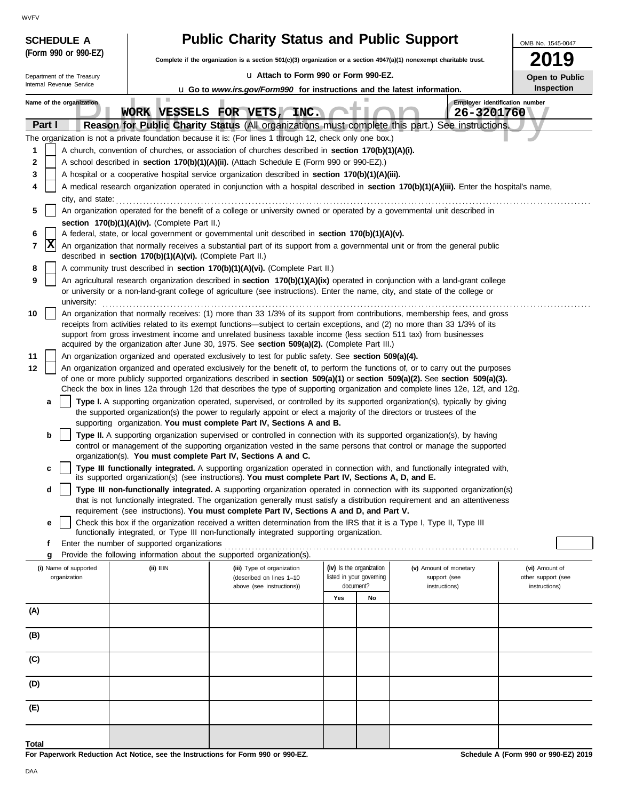| <b>SCHEDULE A</b>                     |                                                            | <b>Public Charity Status and Public Support</b>                                                                                                                                                                                                                                                                              |     |                                                      |                                        | OMB No. 1545-0047                    |
|---------------------------------------|------------------------------------------------------------|------------------------------------------------------------------------------------------------------------------------------------------------------------------------------------------------------------------------------------------------------------------------------------------------------------------------------|-----|------------------------------------------------------|----------------------------------------|--------------------------------------|
| (Form 990 or 990-EZ)                  |                                                            | Complete if the organization is a section $501(c)(3)$ organization or a section $4947(a)(1)$ nonexempt charitable trust.                                                                                                                                                                                                     |     |                                                      |                                        | 2019                                 |
| Department of the Treasury            |                                                            | u Attach to Form 990 or Form 990-EZ.                                                                                                                                                                                                                                                                                         |     |                                                      |                                        | Open to Public                       |
| Internal Revenue Service              |                                                            | <b>u</b> Go to www.irs.gov/Form990 for instructions and the latest information.                                                                                                                                                                                                                                              |     |                                                      |                                        | Inspection                           |
| Name of the organization              | ×.                                                         |                                                                                                                                                                                                                                                                                                                              |     |                                                      |                                        | Employer identification number       |
|                                       |                                                            | WORK VESSELS FOR VETS, INC.                                                                                                                                                                                                                                                                                                  |     |                                                      | 26-3201760                             |                                      |
| Part I                                |                                                            | Reason for Public Charity Status (All organizations must complete this part.)                                                                                                                                                                                                                                                |     |                                                      | See instructions.                      |                                      |
|                                       |                                                            | The organization is not a private foundation because it is: (For lines 1 through 12, check only one box.)                                                                                                                                                                                                                    |     |                                                      |                                        |                                      |
| 1<br>2                                |                                                            | A church, convention of churches, or association of churches described in section 170(b)(1)(A)(i).<br>A school described in section 170(b)(1)(A)(ii). (Attach Schedule E (Form 990 or 990-EZ).)                                                                                                                              |     |                                                      |                                        |                                      |
| 3                                     |                                                            | A hospital or a cooperative hospital service organization described in section 170(b)(1)(A)(iii).                                                                                                                                                                                                                            |     |                                                      |                                        |                                      |
| 4                                     |                                                            | A medical research organization operated in conjunction with a hospital described in section 170(b)(1)(A)(iii). Enter the hospital's name,                                                                                                                                                                                   |     |                                                      |                                        |                                      |
| city, and state:                      |                                                            |                                                                                                                                                                                                                                                                                                                              |     |                                                      |                                        |                                      |
| 5                                     |                                                            | An organization operated for the benefit of a college or university owned or operated by a governmental unit described in                                                                                                                                                                                                    |     |                                                      |                                        |                                      |
|                                       | section 170(b)(1)(A)(iv). (Complete Part II.)              |                                                                                                                                                                                                                                                                                                                              |     |                                                      |                                        |                                      |
| 6                                     |                                                            | A federal, state, or local government or governmental unit described in section 170(b)(1)(A)(v).                                                                                                                                                                                                                             |     |                                                      |                                        |                                      |
| X<br>7                                | described in section 170(b)(1)(A)(vi). (Complete Part II.) | An organization that normally receives a substantial part of its support from a governmental unit or from the general public                                                                                                                                                                                                 |     |                                                      |                                        |                                      |
| 8                                     |                                                            | A community trust described in section 170(b)(1)(A)(vi). (Complete Part II.)                                                                                                                                                                                                                                                 |     |                                                      |                                        |                                      |
| 9<br>university:                      |                                                            | An agricultural research organization described in section 170(b)(1)(A)(ix) operated in conjunction with a land-grant college<br>or university or a non-land-grant college of agriculture (see instructions). Enter the name, city, and state of the college or                                                              |     |                                                      |                                        |                                      |
| 10                                    |                                                            | An organization that normally receives: (1) more than 33 1/3% of its support from contributions, membership fees, and gross                                                                                                                                                                                                  |     |                                                      |                                        |                                      |
|                                       |                                                            | receipts from activities related to its exempt functions—subject to certain exceptions, and (2) no more than 33 1/3% of its                                                                                                                                                                                                  |     |                                                      |                                        |                                      |
|                                       |                                                            | support from gross investment income and unrelated business taxable income (less section 511 tax) from businesses<br>acquired by the organization after June 30, 1975. See section 509(a)(2). (Complete Part III.)                                                                                                           |     |                                                      |                                        |                                      |
| 11                                    |                                                            | An organization organized and operated exclusively to test for public safety. See section 509(a)(4).                                                                                                                                                                                                                         |     |                                                      |                                        |                                      |
| 12                                    |                                                            | An organization organized and operated exclusively for the benefit of, to perform the functions of, or to carry out the purposes                                                                                                                                                                                             |     |                                                      |                                        |                                      |
|                                       |                                                            | of one or more publicly supported organizations described in section 509(a)(1) or section 509(a)(2). See section 509(a)(3).                                                                                                                                                                                                  |     |                                                      |                                        |                                      |
|                                       |                                                            | Check the box in lines 12a through 12d that describes the type of supporting organization and complete lines 12e, 12f, and 12g.                                                                                                                                                                                              |     |                                                      |                                        |                                      |
| a                                     |                                                            | Type I. A supporting organization operated, supervised, or controlled by its supported organization(s), typically by giving<br>the supported organization(s) the power to regularly appoint or elect a majority of the directors or trustees of the<br>supporting organization. You must complete Part IV, Sections A and B. |     |                                                      |                                        |                                      |
| b                                     |                                                            | Type II. A supporting organization supervised or controlled in connection with its supported organization(s), by having                                                                                                                                                                                                      |     |                                                      |                                        |                                      |
|                                       |                                                            | control or management of the supporting organization vested in the same persons that control or manage the supported                                                                                                                                                                                                         |     |                                                      |                                        |                                      |
|                                       |                                                            | organization(s). You must complete Part IV, Sections A and C.                                                                                                                                                                                                                                                                |     |                                                      |                                        |                                      |
| c                                     |                                                            | Type III functionally integrated. A supporting organization operated in connection with, and functionally integrated with,<br>its supported organization(s) (see instructions). You must complete Part IV, Sections A, D, and E.                                                                                             |     |                                                      |                                        |                                      |
| d                                     |                                                            | Type III non-functionally integrated. A supporting organization operated in connection with its supported organization(s)<br>that is not functionally integrated. The organization generally must satisfy a distribution requirement and an attentiveness                                                                    |     |                                                      |                                        |                                      |
| е                                     |                                                            | requirement (see instructions). You must complete Part IV, Sections A and D, and Part V.<br>Check this box if the organization received a written determination from the IRS that it is a Type I, Type II, Type III                                                                                                          |     |                                                      |                                        |                                      |
|                                       |                                                            | functionally integrated, or Type III non-functionally integrated supporting organization.                                                                                                                                                                                                                                    |     |                                                      |                                        |                                      |
| f                                     | Enter the number of supported organizations                |                                                                                                                                                                                                                                                                                                                              |     |                                                      |                                        |                                      |
| g                                     |                                                            | Provide the following information about the supported organization(s).                                                                                                                                                                                                                                                       |     |                                                      |                                        |                                      |
| (i) Name of supported<br>organization | (ii) EIN                                                   | (iii) Type of organization<br>(described on lines 1-10                                                                                                                                                                                                                                                                       |     | (iv) Is the organization<br>listed in your governing | (v) Amount of monetary<br>support (see | (vi) Amount of<br>other support (see |
|                                       |                                                            | above (see instructions))                                                                                                                                                                                                                                                                                                    |     | document?                                            | instructions)                          | instructions)                        |
|                                       |                                                            |                                                                                                                                                                                                                                                                                                                              | Yes | No                                                   |                                        |                                      |
| (A)                                   |                                                            |                                                                                                                                                                                                                                                                                                                              |     |                                                      |                                        |                                      |
|                                       |                                                            |                                                                                                                                                                                                                                                                                                                              |     |                                                      |                                        |                                      |
| (B)                                   |                                                            |                                                                                                                                                                                                                                                                                                                              |     |                                                      |                                        |                                      |
| (C)                                   |                                                            |                                                                                                                                                                                                                                                                                                                              |     |                                                      |                                        |                                      |
| (D)                                   |                                                            |                                                                                                                                                                                                                                                                                                                              |     |                                                      |                                        |                                      |
| (E)                                   |                                                            |                                                                                                                                                                                                                                                                                                                              |     |                                                      |                                        |                                      |
| <b>Total</b>                          |                                                            |                                                                                                                                                                                                                                                                                                                              |     |                                                      |                                        |                                      |

**For Paperwork Reduction Act Notice, see the Instructions for Form 990 or 990-EZ.**

**Schedule A (Form 990 or 990-EZ) 2019**

**Total**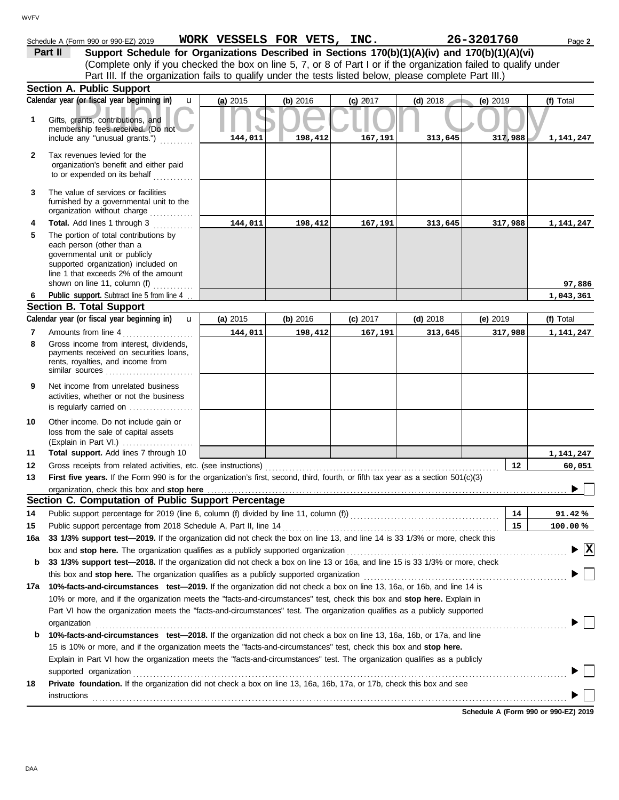|              | Schedule A (Form 990 or 990-EZ) 2019                                                                                                                                                                                                             |          | WORK VESSELS FOR VETS, INC. |            |            | 26-3201760 | Page 2                                        |
|--------------|--------------------------------------------------------------------------------------------------------------------------------------------------------------------------------------------------------------------------------------------------|----------|-----------------------------|------------|------------|------------|-----------------------------------------------|
|              | Support Schedule for Organizations Described in Sections 170(b)(1)(A)(iv) and 170(b)(1)(A)(vi)<br>Part II                                                                                                                                        |          |                             |            |            |            |                                               |
|              | (Complete only if you checked the box on line 5, 7, or 8 of Part I or if the organization failed to qualify under                                                                                                                                |          |                             |            |            |            |                                               |
|              | Part III. If the organization fails to qualify under the tests listed below, please complete Part III.)                                                                                                                                          |          |                             |            |            |            |                                               |
|              | Section A. Public Support                                                                                                                                                                                                                        |          |                             |            |            |            |                                               |
|              | Calendar year (or fiscal year beginning in)<br>$\mathbf{u}$                                                                                                                                                                                      | (a) 2015 | (b) 2016                    | $(c)$ 2017 | $(d)$ 2018 | (e) 2019   | (f) Total                                     |
| 1            | Gifts, grants, contributions, and                                                                                                                                                                                                                |          |                             |            |            |            |                                               |
|              | membership fees received. (Do not                                                                                                                                                                                                                |          |                             |            |            |            |                                               |
|              | include any "unusual grants.")                                                                                                                                                                                                                   | 144,011  | 198,412                     | 167,191    | 313,645    | 317,988    | 1,141,247                                     |
| $\mathbf{2}$ | Tax revenues levied for the<br>organization's benefit and either paid<br>to or expended on its behalf                                                                                                                                            |          |                             |            |            |            |                                               |
| 3            | The value of services or facilities<br>furnished by a governmental unit to the<br>organization without charge                                                                                                                                    |          |                             |            |            |            |                                               |
| 4            | Total. Add lines 1 through 3                                                                                                                                                                                                                     | 144,011  | 198,412                     | 167,191    | 313,645    | 317,988    | 1,141,247                                     |
| 5            | The portion of total contributions by<br>each person (other than a<br>governmental unit or publicly<br>supported organization) included on<br>line 1 that exceeds 2% of the amount                                                               |          |                             |            |            |            |                                               |
|              | shown on line 11, column (f)                                                                                                                                                                                                                     |          |                             |            |            |            | 97,886                                        |
| 6            | Public support. Subtract line 5 from line 4                                                                                                                                                                                                      |          |                             |            |            |            | 1,043,361                                     |
|              | <b>Section B. Total Support</b>                                                                                                                                                                                                                  |          |                             |            |            |            |                                               |
|              | Calendar year (or fiscal year beginning in)<br>$\mathbf{u}$                                                                                                                                                                                      | (a) 2015 | (b) 2016                    | $(c)$ 2017 | $(d)$ 2018 | (e) $2019$ | (f) Total                                     |
| 7            | Amounts from line 4                                                                                                                                                                                                                              | 144,011  | 198,412                     | 167,191    | 313,645    | 317,988    | 1,141,247                                     |
| 8            | Gross income from interest, dividends,<br>payments received on securities loans,<br>rents, royalties, and income from<br>similar sources                                                                                                         |          |                             |            |            |            |                                               |
| 9            | Net income from unrelated business<br>activities, whether or not the business<br>is regularly carried on $\ldots$ , $\ldots$                                                                                                                     |          |                             |            |            |            |                                               |
| 10           | Other income. Do not include gain or                                                                                                                                                                                                             |          |                             |            |            |            |                                               |
|              | loss from the sale of capital assets                                                                                                                                                                                                             |          |                             |            |            |            |                                               |
|              | (Explain in Part VI.)                                                                                                                                                                                                                            |          |                             |            |            |            |                                               |
| 11           | Total support. Add lines 7 through 10                                                                                                                                                                                                            |          |                             |            |            |            | 1,141,247                                     |
| 12           | Gross receipts from related activities, etc. (see instructions)                                                                                                                                                                                  |          |                             |            |            | $12 \,$    | 60,051                                        |
| 13           | First five years. If the Form 990 is for the organization's first, second, third, fourth, or fifth tax year as a section 501(c)(3)                                                                                                               |          |                             |            |            |            |                                               |
|              |                                                                                                                                                                                                                                                  |          |                             |            |            |            |                                               |
|              | Section C. Computation of Public Support Percentage                                                                                                                                                                                              |          |                             |            |            |            |                                               |
| 14           | Public support percentage for 2019 (line 6, column (f) divided by line 11, column (f)) [[[[[[[[[[[[[[[[[[[[[[                                                                                                                                    |          |                             |            |            | 14         | 91.42%                                        |
| 15           | Public support percentage from 2018 Schedule A, Part II, line 14                                                                                                                                                                                 |          |                             |            |            | 15         | 100.00%                                       |
| 16a          | 33 1/3% support test-2019. If the organization did not check the box on line 13, and line 14 is 33 1/3% or more, check this                                                                                                                      |          |                             |            |            |            | $\blacktriangleright$ $\overline{\mathbf{X}}$ |
|              | box and stop here. The organization qualifies as a publicly supported organization                                                                                                                                                               |          |                             |            |            |            |                                               |
| b            | 33 1/3% support test-2018. If the organization did not check a box on line 13 or 16a, and line 15 is 33 1/3% or more, check<br>this box and stop here. The organization qualifies as a publicly supported organization                           |          |                             |            |            |            |                                               |
| 17a          | 10%-facts-and-circumstances test-2019. If the organization did not check a box on line 13, 16a, or 16b, and line 14 is                                                                                                                           |          |                             |            |            |            |                                               |
|              | 10% or more, and if the organization meets the "facts-and-circumstances" test, check this box and stop here. Explain in                                                                                                                          |          |                             |            |            |            |                                               |
|              | Part VI how the organization meets the "facts-and-circumstances" test. The organization qualifies as a publicly supported                                                                                                                        |          |                             |            |            |            |                                               |
|              | organization                                                                                                                                                                                                                                     |          |                             |            |            |            |                                               |
| b            | 10%-facts-and-circumstances test-2018. If the organization did not check a box on line 13, 16a, 16b, or 17a, and line                                                                                                                            |          |                             |            |            |            |                                               |
|              | 15 is 10% or more, and if the organization meets the "facts-and-circumstances" test, check this box and stop here.<br>Explain in Part VI how the organization meets the "facts-and-circumstances" test. The organization qualifies as a publicly |          |                             |            |            |            |                                               |
|              | supported organization                                                                                                                                                                                                                           |          |                             |            |            |            |                                               |
| 18           | Private foundation. If the organization did not check a box on line 13, 16a, 16b, 17a, or 17b, check this box and see                                                                                                                            |          |                             |            |            |            |                                               |
|              | instructions                                                                                                                                                                                                                                     |          |                             |            |            |            |                                               |
|              |                                                                                                                                                                                                                                                  |          |                             |            |            |            |                                               |

**Schedule A (Form 990 or 990-EZ) 2019**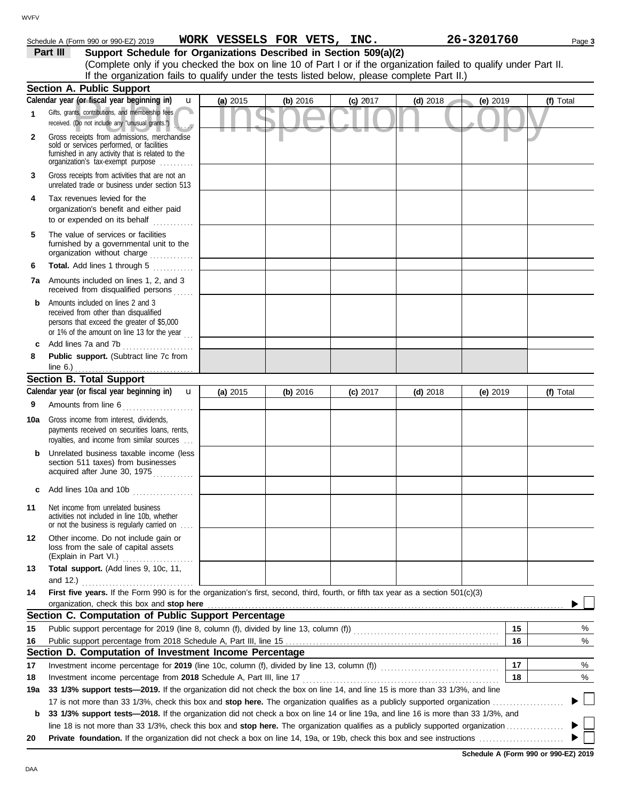## Schedule A (Form 990 or 990-EZ) 2019 Page **3 WORK VESSELS FOR VETS, INC. 26-3201760**

**Part III Support Schedule for Organizations Described in Section 509(a)(2)** (Complete only if you checked the box on line 10 of Part I or if the organization failed to qualify under Part II. If the organization fails to qualify under the tests listed below, please complete Part II.)

|     | <b>Section A. Public Support</b>                                                                                                                                                  |          |          |            |            |            |                |
|-----|-----------------------------------------------------------------------------------------------------------------------------------------------------------------------------------|----------|----------|------------|------------|------------|----------------|
|     | Calendar year (or fiscal year beginning in)<br>u                                                                                                                                  | (a) 2015 | (b) 2016 | $(c)$ 2017 | $(d)$ 2018 | (e) 2019   | (f) Total      |
| 1   | Gifts, grants, contributions, and membership fees<br>received. (Do not include any "unusual grants.")                                                                             |          |          |            |            |            |                |
| 2   | Gross receipts from admissions, merchandise<br>sold or services performed, or facilities<br>furnished in any activity that is related to the<br>organization's tax-exempt purpose |          |          |            |            |            |                |
| 3   | Gross receipts from activities that are not an<br>unrelated trade or business under section 513                                                                                   |          |          |            |            |            |                |
| 4   | Tax revenues levied for the<br>organization's benefit and either paid<br>to or expended on its behalf<br>.                                                                        |          |          |            |            |            |                |
| 5   | The value of services or facilities<br>furnished by a governmental unit to the<br>organization without charge                                                                     |          |          |            |            |            |                |
| 6   | Total. Add lines 1 through 5<br><u>.</u><br>.                                                                                                                                     |          |          |            |            |            |                |
| 7а  | Amounts included on lines 1, 2, and 3<br>received from disqualified persons<br>.                                                                                                  |          |          |            |            |            |                |
| b   | Amounts included on lines 2 and 3<br>received from other than disqualified<br>persons that exceed the greater of \$5,000<br>or 1% of the amount on line 13 for the year $\ldots$  |          |          |            |            |            |                |
| c   | Add lines 7a and 7b                                                                                                                                                               |          |          |            |            |            |                |
| 8   | Public support. (Subtract line 7c from<br>line $6.$ )                                                                                                                             |          |          |            |            |            |                |
|     | .<br><u>.</u><br><b>Section B. Total Support</b>                                                                                                                                  |          |          |            |            |            |                |
|     | Calendar year (or fiscal year beginning in)<br>$\mathbf{u}$                                                                                                                       | (a) 2015 | (b) 2016 | $(c)$ 2017 | $(d)$ 2018 | (e) $2019$ | (f) Total      |
| 9   | Amounts from line 6                                                                                                                                                               |          |          |            |            |            |                |
|     | .                                                                                                                                                                                 |          |          |            |            |            |                |
| 10a | Gross income from interest, dividends,<br>payments received on securities loans, rents,<br>royalties, and income from similar sources                                             |          |          |            |            |            |                |
| b   | Unrelated business taxable income (less<br>section 511 taxes) from businesses<br>acquired after June 30, 1975                                                                     |          |          |            |            |            |                |
| c   | Add lines 10a and 10b                                                                                                                                                             |          |          |            |            |            |                |
| 11  | Net income from unrelated business<br>activities not included in line 10b, whether<br>or not the business is regularly carried on                                                 |          |          |            |            |            |                |
| 12  | Other income. Do not include gain or<br>loss from the sale of capital assets<br>(Explain in Part VI.)                                                                             |          |          |            |            |            |                |
| 13  | Total support. (Add lines 9, 10c, 11,                                                                                                                                             |          |          |            |            |            |                |
|     | and 12.)                                                                                                                                                                          |          |          |            |            |            |                |
| 14  | First five years. If the Form 990 is for the organization's first, second, third, fourth, or fifth tax year as a section 501(c)(3)<br>organization, check this box and stop here  |          |          |            |            |            |                |
|     | Section C. Computation of Public Support Percentage                                                                                                                               |          |          |            |            |            |                |
| 15  |                                                                                                                                                                                   |          |          |            |            | 15         | $\%$           |
| 16  |                                                                                                                                                                                   |          |          |            |            | 16         | $\%$           |
|     | Section D. Computation of Investment Income Percentage                                                                                                                            |          |          |            |            |            |                |
| 17  |                                                                                                                                                                                   |          |          |            |            | 17         | %              |
| 18  | Investment income percentage from 2018 Schedule A, Part III, line 17                                                                                                              |          |          |            |            | 18         | %              |
| 19a | 33 1/3% support tests-2019. If the organization did not check the box on line 14, and line 15 is more than 33 1/3%, and line                                                      |          |          |            |            |            |                |
|     | 17 is not more than 33 1/3%, check this box and stop here. The organization qualifies as a publicly supported organization                                                        |          |          |            |            |            | $\mathbb{R}^n$ |
| b   | 33 1/3% support tests-2018. If the organization did not check a box on line 14 or line 19a, and line 16 is more than 33 1/3%, and                                                 |          |          |            |            |            |                |
|     |                                                                                                                                                                                   |          |          |            |            |            | $\mathbf{L}$   |
| 20  |                                                                                                                                                                                   |          |          |            |            |            |                |

**Schedule A (Form 990 or 990-EZ) 2019**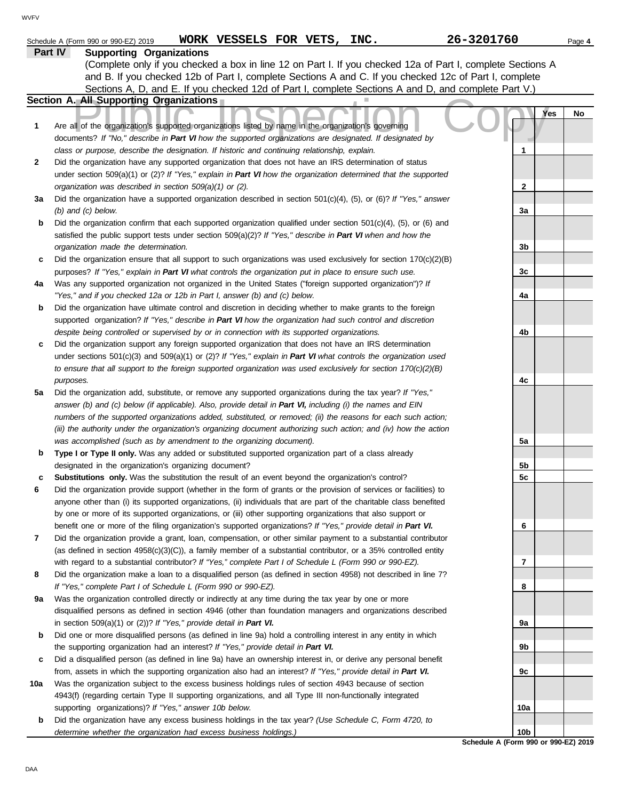|     | WORK VESSELS FOR VETS, INC.<br>Schedule A (Form 990 or 990-EZ) 2019                                                      | 26-3201760                           | Page 4 |
|-----|--------------------------------------------------------------------------------------------------------------------------|--------------------------------------|--------|
|     | Part IV<br><b>Supporting Organizations</b>                                                                               |                                      |        |
|     | (Complete only if you checked a box in line 12 on Part I. If you checked 12a of Part I, complete Sections A              |                                      |        |
|     | and B. If you checked 12b of Part I, complete Sections A and C. If you checked 12c of Part I, complete                   |                                      |        |
|     | Sections A, D, and E. If you checked 12d of Part I, complete Sections A and D, and complete Part V.)                     |                                      |        |
|     | <b>Section A. All Supporting Organizations</b>                                                                           |                                      |        |
|     |                                                                                                                          | Yes                                  | No     |
| 1   | Are all of the organization's supported organizations listed by name in the organization's governing                     |                                      |        |
|     | documents? If "No," describe in Part VI how the supported organizations are designated. If designated by                 |                                      |        |
|     | class or purpose, describe the designation. If historic and continuing relationship, explain.                            | 1                                    |        |
| 2   | Did the organization have any supported organization that does not have an IRS determination of status                   |                                      |        |
|     | under section 509(a)(1) or (2)? If "Yes," explain in Part VI how the organization determined that the supported          |                                      |        |
|     | organization was described in section 509(a)(1) or (2).                                                                  | 2                                    |        |
| За  | Did the organization have a supported organization described in section $501(c)(4)$ , (5), or (6)? If "Yes," answer      |                                      |        |
|     | $(b)$ and $(c)$ below.                                                                                                   | 3a                                   |        |
| b   | Did the organization confirm that each supported organization qualified under section $501(c)(4)$ , $(5)$ , or $(6)$ and |                                      |        |
|     | satisfied the public support tests under section 509(a)(2)? If "Yes," describe in Part VI when and how the               |                                      |        |
|     | organization made the determination.                                                                                     | 3b                                   |        |
| c   | Did the organization ensure that all support to such organizations was used exclusively for section $170(c)(2)(B)$       |                                      |        |
|     | purposes? If "Yes," explain in Part VI what controls the organization put in place to ensure such use.                   | 3c                                   |        |
| 4a  | Was any supported organization not organized in the United States ("foreign supported organization")? If                 |                                      |        |
|     | "Yes," and if you checked 12a or 12b in Part I, answer (b) and (c) below.                                                | 4a                                   |        |
| b   | Did the organization have ultimate control and discretion in deciding whether to make grants to the foreign              |                                      |        |
|     | supported organization? If "Yes," describe in Part VI how the organization had such control and discretion               |                                      |        |
|     | despite being controlled or supervised by or in connection with its supported organizations.                             | 4b                                   |        |
| c   | Did the organization support any foreign supported organization that does not have an IRS determination                  |                                      |        |
|     | under sections $501(c)(3)$ and $509(a)(1)$ or (2)? If "Yes," explain in Part VI what controls the organization used      |                                      |        |
|     | to ensure that all support to the foreign supported organization was used exclusively for section $170(c)(2)(B)$         |                                      |        |
|     | purposes.                                                                                                                | 4c                                   |        |
| 5a  | Did the organization add, substitute, or remove any supported organizations during the tax year? If "Yes,"               |                                      |        |
|     | answer (b) and (c) below (if applicable). Also, provide detail in Part VI, including (i) the names and EIN               |                                      |        |
|     | numbers of the supported organizations added, substituted, or removed; (ii) the reasons for each such action;            |                                      |        |
|     | (iii) the authority under the organization's organizing document authorizing such action; and (iv) how the action        |                                      |        |
|     | was accomplished (such as by amendment to the organizing document).                                                      | 5a                                   |        |
| b   | Type I or Type II only. Was any added or substituted supported organization part of a class already                      |                                      |        |
|     | designated in the organization's organizing document?                                                                    | 5b                                   |        |
|     | <b>Substitutions only.</b> Was the substitution the result of an event beyond the organization's control?                | 5 <sub>c</sub>                       |        |
| 6   | Did the organization provide support (whether in the form of grants or the provision of services or facilities) to       |                                      |        |
|     | anyone other than (i) its supported organizations, (ii) individuals that are part of the charitable class benefited      |                                      |        |
|     | by one or more of its supported organizations, or (iii) other supporting organizations that also support or              |                                      |        |
|     | benefit one or more of the filing organization's supported organizations? If "Yes," provide detail in Part VI.           | 6                                    |        |
| 7   | Did the organization provide a grant, loan, compensation, or other similar payment to a substantial contributor          |                                      |        |
|     | (as defined in section $4958(c)(3)(C)$ ), a family member of a substantial contributor, or a 35% controlled entity       |                                      |        |
|     | with regard to a substantial contributor? If "Yes," complete Part I of Schedule L (Form 990 or 990-EZ).                  | 7                                    |        |
| 8   | Did the organization make a loan to a disqualified person (as defined in section 4958) not described in line 7?          |                                      |        |
|     | If "Yes," complete Part I of Schedule L (Form 990 or 990-EZ).                                                            | 8                                    |        |
| 9а  | Was the organization controlled directly or indirectly at any time during the tax year by one or more                    |                                      |        |
|     | disqualified persons as defined in section 4946 (other than foundation managers and organizations described              |                                      |        |
|     | in section $509(a)(1)$ or (2))? If "Yes," provide detail in Part VI.                                                     | 9а                                   |        |
| b   | Did one or more disqualified persons (as defined in line 9a) hold a controlling interest in any entity in which          |                                      |        |
|     | the supporting organization had an interest? If "Yes," provide detail in Part VI.                                        | 9b                                   |        |
| c   | Did a disqualified person (as defined in line 9a) have an ownership interest in, or derive any personal benefit          |                                      |        |
|     | from, assets in which the supporting organization also had an interest? If "Yes," provide detail in Part VI.             | 9с                                   |        |
| 10a | Was the organization subject to the excess business holdings rules of section 4943 because of section                    |                                      |        |
|     | 4943(f) (regarding certain Type II supporting organizations, and all Type III non-functionally integrated                |                                      |        |
|     | supporting organizations)? If "Yes," answer 10b below.                                                                   | 10a                                  |        |
| b   | Did the organization have any excess business holdings in the tax year? (Use Schedule C, Form 4720, to                   |                                      |        |
|     | determine whether the organization had excess business holdings.)                                                        | 10 <sub>b</sub>                      |        |
|     |                                                                                                                          | Schedule A (Form 990 or 990-EZ) 2019 |        |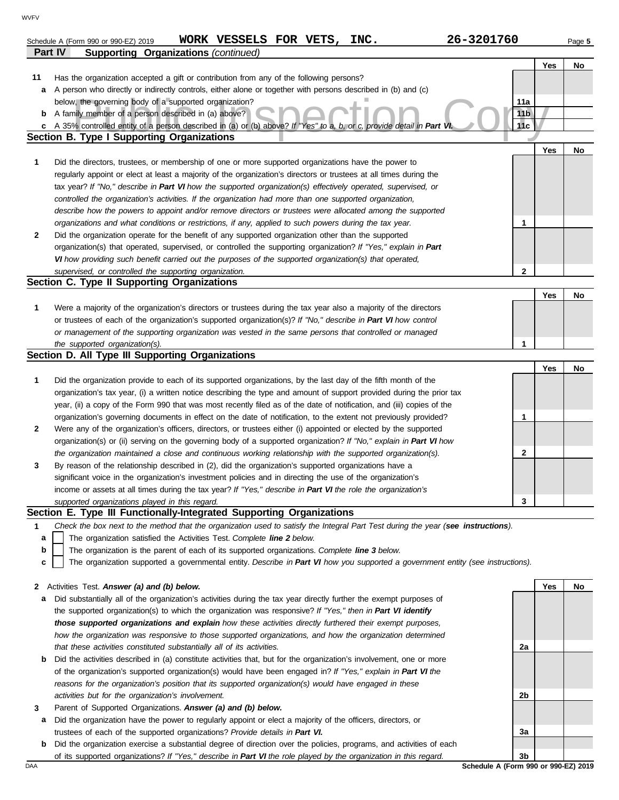| 26-3201760<br>WORK VESSELS FOR VETS, INC.<br>Schedule A (Form 990 or 990-EZ) 2019<br>Page 5<br><b>Supporting Organizations (continued)</b><br>Part IV<br>Yes<br>No<br>11<br>Has the organization accepted a gift or contribution from any of the following persons?<br>A person who directly or indirectly controls, either alone or together with persons described in (b) and (c)<br>a<br>below, the governing body of a supported organization?<br>11a<br>11 <sub>b</sub><br>A family member of a person described in (a) above?<br>b<br>11c<br>A 35% controlled entity of a person described in (a) or (b) above? If "Yes" to a, b, or c, provide detail in Part VI<br>C<br><b>Section B. Type I Supporting Organizations</b><br>Yes<br>No<br>1<br>Did the directors, trustees, or membership of one or more supported organizations have the power to<br>regularly appoint or elect at least a majority of the organization's directors or trustees at all times during the<br>tax year? If "No," describe in Part VI how the supported organization(s) effectively operated, supervised, or<br>controlled the organization's activities. If the organization had more than one supported organization,<br>describe how the powers to appoint and/or remove directors or trustees were allocated among the supported<br>organizations and what conditions or restrictions, if any, applied to such powers during the tax year.<br>$\mathbf 1$<br>$\mathbf{2}$<br>Did the organization operate for the benefit of any supported organization other than the supported<br>organization(s) that operated, supervised, or controlled the supporting organization? If "Yes," explain in Part<br>VI how providing such benefit carried out the purposes of the supported organization(s) that operated,<br>supervised, or controlled the supporting organization.<br>$\mathbf{2}$<br>Section C. Type II Supporting Organizations<br>Yes<br>No<br>1<br>Were a majority of the organization's directors or trustees during the tax year also a majority of the directors<br>or trustees of each of the organization's supported organization(s)? If "No," describe in Part VI how control<br>or management of the supporting organization was vested in the same persons that controlled or managed<br>the supported organization(s).<br>1<br>Section D. All Type III Supporting Organizations<br>Yes<br>No<br>1<br>Did the organization provide to each of its supported organizations, by the last day of the fifth month of the<br>organization's tax year, (i) a written notice describing the type and amount of support provided during the prior tax<br>year, (ii) a copy of the Form 990 that was most recently filed as of the date of notification, and (iii) copies of the<br>organization's governing documents in effect on the date of notification, to the extent not previously provided?<br>1<br>$\mathbf{2}$<br>Were any of the organization's officers, directors, or trustees either (i) appointed or elected by the supported<br>organization(s) or (ii) serving on the governing body of a supported organization? If "No," explain in Part VI how<br>the organization maintained a close and continuous working relationship with the supported organization(s).<br>2<br>By reason of the relationship described in (2), did the organization's supported organizations have a<br>3<br>significant voice in the organization's investment policies and in directing the use of the organization's<br>income or assets at all times during the tax year? If "Yes," describe in Part VI the role the organization's<br>supported organizations played in this regard.<br>3<br>Section E. Type III Functionally-Integrated Supporting Organizations<br>Check the box next to the method that the organization used to satisfy the Integral Part Test during the year (see instructions).<br>1<br>The organization satisfied the Activities Test. Complete line 2 below.<br>а<br>The organization is the parent of each of its supported organizations. Complete line 3 below.<br>b |
|-----------------------------------------------------------------------------------------------------------------------------------------------------------------------------------------------------------------------------------------------------------------------------------------------------------------------------------------------------------------------------------------------------------------------------------------------------------------------------------------------------------------------------------------------------------------------------------------------------------------------------------------------------------------------------------------------------------------------------------------------------------------------------------------------------------------------------------------------------------------------------------------------------------------------------------------------------------------------------------------------------------------------------------------------------------------------------------------------------------------------------------------------------------------------------------------------------------------------------------------------------------------------------------------------------------------------------------------------------------------------------------------------------------------------------------------------------------------------------------------------------------------------------------------------------------------------------------------------------------------------------------------------------------------------------------------------------------------------------------------------------------------------------------------------------------------------------------------------------------------------------------------------------------------------------------------------------------------------------------------------------------------------------------------------------------------------------------------------------------------------------------------------------------------------------------------------------------------------------------------------------------------------------------------------------------------------------------------------------------------------------------------------------------------------------------------------------------------------------------------------------------------------------------------------------------------------------------------------------------------------------------------------------------------------------------------------------------------------------------------------------------------------------------------------------------------------------------------------------------------------------------------------------------------------------------------------------------------------------------------------------------------------------------------------------------------------------------------------------------------------------------------------------------------------------------------------------------------------------------------------------------------------------------------------------------------------------------------------------------------------------------------------------------------------------------------------------------------------------------------------------------------------------------------------------------------------------------------------------------------------------------------------------------------------------------------------------------------------------------------------------------------------------------------------------------------------------------------------------------------------------------------------------------------------------------------------------------------------------------------------------------------------------------------------------------------------------------------------------|
|                                                                                                                                                                                                                                                                                                                                                                                                                                                                                                                                                                                                                                                                                                                                                                                                                                                                                                                                                                                                                                                                                                                                                                                                                                                                                                                                                                                                                                                                                                                                                                                                                                                                                                                                                                                                                                                                                                                                                                                                                                                                                                                                                                                                                                                                                                                                                                                                                                                                                                                                                                                                                                                                                                                                                                                                                                                                                                                                                                                                                                                                                                                                                                                                                                                                                                                                                                                                                                                                                                                                                                                                                                                                                                                                                                                                                                                                                                                                                                                                                                                                                                     |
|                                                                                                                                                                                                                                                                                                                                                                                                                                                                                                                                                                                                                                                                                                                                                                                                                                                                                                                                                                                                                                                                                                                                                                                                                                                                                                                                                                                                                                                                                                                                                                                                                                                                                                                                                                                                                                                                                                                                                                                                                                                                                                                                                                                                                                                                                                                                                                                                                                                                                                                                                                                                                                                                                                                                                                                                                                                                                                                                                                                                                                                                                                                                                                                                                                                                                                                                                                                                                                                                                                                                                                                                                                                                                                                                                                                                                                                                                                                                                                                                                                                                                                     |
|                                                                                                                                                                                                                                                                                                                                                                                                                                                                                                                                                                                                                                                                                                                                                                                                                                                                                                                                                                                                                                                                                                                                                                                                                                                                                                                                                                                                                                                                                                                                                                                                                                                                                                                                                                                                                                                                                                                                                                                                                                                                                                                                                                                                                                                                                                                                                                                                                                                                                                                                                                                                                                                                                                                                                                                                                                                                                                                                                                                                                                                                                                                                                                                                                                                                                                                                                                                                                                                                                                                                                                                                                                                                                                                                                                                                                                                                                                                                                                                                                                                                                                     |
|                                                                                                                                                                                                                                                                                                                                                                                                                                                                                                                                                                                                                                                                                                                                                                                                                                                                                                                                                                                                                                                                                                                                                                                                                                                                                                                                                                                                                                                                                                                                                                                                                                                                                                                                                                                                                                                                                                                                                                                                                                                                                                                                                                                                                                                                                                                                                                                                                                                                                                                                                                                                                                                                                                                                                                                                                                                                                                                                                                                                                                                                                                                                                                                                                                                                                                                                                                                                                                                                                                                                                                                                                                                                                                                                                                                                                                                                                                                                                                                                                                                                                                     |
|                                                                                                                                                                                                                                                                                                                                                                                                                                                                                                                                                                                                                                                                                                                                                                                                                                                                                                                                                                                                                                                                                                                                                                                                                                                                                                                                                                                                                                                                                                                                                                                                                                                                                                                                                                                                                                                                                                                                                                                                                                                                                                                                                                                                                                                                                                                                                                                                                                                                                                                                                                                                                                                                                                                                                                                                                                                                                                                                                                                                                                                                                                                                                                                                                                                                                                                                                                                                                                                                                                                                                                                                                                                                                                                                                                                                                                                                                                                                                                                                                                                                                                     |
|                                                                                                                                                                                                                                                                                                                                                                                                                                                                                                                                                                                                                                                                                                                                                                                                                                                                                                                                                                                                                                                                                                                                                                                                                                                                                                                                                                                                                                                                                                                                                                                                                                                                                                                                                                                                                                                                                                                                                                                                                                                                                                                                                                                                                                                                                                                                                                                                                                                                                                                                                                                                                                                                                                                                                                                                                                                                                                                                                                                                                                                                                                                                                                                                                                                                                                                                                                                                                                                                                                                                                                                                                                                                                                                                                                                                                                                                                                                                                                                                                                                                                                     |
|                                                                                                                                                                                                                                                                                                                                                                                                                                                                                                                                                                                                                                                                                                                                                                                                                                                                                                                                                                                                                                                                                                                                                                                                                                                                                                                                                                                                                                                                                                                                                                                                                                                                                                                                                                                                                                                                                                                                                                                                                                                                                                                                                                                                                                                                                                                                                                                                                                                                                                                                                                                                                                                                                                                                                                                                                                                                                                                                                                                                                                                                                                                                                                                                                                                                                                                                                                                                                                                                                                                                                                                                                                                                                                                                                                                                                                                                                                                                                                                                                                                                                                     |
|                                                                                                                                                                                                                                                                                                                                                                                                                                                                                                                                                                                                                                                                                                                                                                                                                                                                                                                                                                                                                                                                                                                                                                                                                                                                                                                                                                                                                                                                                                                                                                                                                                                                                                                                                                                                                                                                                                                                                                                                                                                                                                                                                                                                                                                                                                                                                                                                                                                                                                                                                                                                                                                                                                                                                                                                                                                                                                                                                                                                                                                                                                                                                                                                                                                                                                                                                                                                                                                                                                                                                                                                                                                                                                                                                                                                                                                                                                                                                                                                                                                                                                     |
|                                                                                                                                                                                                                                                                                                                                                                                                                                                                                                                                                                                                                                                                                                                                                                                                                                                                                                                                                                                                                                                                                                                                                                                                                                                                                                                                                                                                                                                                                                                                                                                                                                                                                                                                                                                                                                                                                                                                                                                                                                                                                                                                                                                                                                                                                                                                                                                                                                                                                                                                                                                                                                                                                                                                                                                                                                                                                                                                                                                                                                                                                                                                                                                                                                                                                                                                                                                                                                                                                                                                                                                                                                                                                                                                                                                                                                                                                                                                                                                                                                                                                                     |
|                                                                                                                                                                                                                                                                                                                                                                                                                                                                                                                                                                                                                                                                                                                                                                                                                                                                                                                                                                                                                                                                                                                                                                                                                                                                                                                                                                                                                                                                                                                                                                                                                                                                                                                                                                                                                                                                                                                                                                                                                                                                                                                                                                                                                                                                                                                                                                                                                                                                                                                                                                                                                                                                                                                                                                                                                                                                                                                                                                                                                                                                                                                                                                                                                                                                                                                                                                                                                                                                                                                                                                                                                                                                                                                                                                                                                                                                                                                                                                                                                                                                                                     |
|                                                                                                                                                                                                                                                                                                                                                                                                                                                                                                                                                                                                                                                                                                                                                                                                                                                                                                                                                                                                                                                                                                                                                                                                                                                                                                                                                                                                                                                                                                                                                                                                                                                                                                                                                                                                                                                                                                                                                                                                                                                                                                                                                                                                                                                                                                                                                                                                                                                                                                                                                                                                                                                                                                                                                                                                                                                                                                                                                                                                                                                                                                                                                                                                                                                                                                                                                                                                                                                                                                                                                                                                                                                                                                                                                                                                                                                                                                                                                                                                                                                                                                     |
|                                                                                                                                                                                                                                                                                                                                                                                                                                                                                                                                                                                                                                                                                                                                                                                                                                                                                                                                                                                                                                                                                                                                                                                                                                                                                                                                                                                                                                                                                                                                                                                                                                                                                                                                                                                                                                                                                                                                                                                                                                                                                                                                                                                                                                                                                                                                                                                                                                                                                                                                                                                                                                                                                                                                                                                                                                                                                                                                                                                                                                                                                                                                                                                                                                                                                                                                                                                                                                                                                                                                                                                                                                                                                                                                                                                                                                                                                                                                                                                                                                                                                                     |
|                                                                                                                                                                                                                                                                                                                                                                                                                                                                                                                                                                                                                                                                                                                                                                                                                                                                                                                                                                                                                                                                                                                                                                                                                                                                                                                                                                                                                                                                                                                                                                                                                                                                                                                                                                                                                                                                                                                                                                                                                                                                                                                                                                                                                                                                                                                                                                                                                                                                                                                                                                                                                                                                                                                                                                                                                                                                                                                                                                                                                                                                                                                                                                                                                                                                                                                                                                                                                                                                                                                                                                                                                                                                                                                                                                                                                                                                                                                                                                                                                                                                                                     |
|                                                                                                                                                                                                                                                                                                                                                                                                                                                                                                                                                                                                                                                                                                                                                                                                                                                                                                                                                                                                                                                                                                                                                                                                                                                                                                                                                                                                                                                                                                                                                                                                                                                                                                                                                                                                                                                                                                                                                                                                                                                                                                                                                                                                                                                                                                                                                                                                                                                                                                                                                                                                                                                                                                                                                                                                                                                                                                                                                                                                                                                                                                                                                                                                                                                                                                                                                                                                                                                                                                                                                                                                                                                                                                                                                                                                                                                                                                                                                                                                                                                                                                     |
|                                                                                                                                                                                                                                                                                                                                                                                                                                                                                                                                                                                                                                                                                                                                                                                                                                                                                                                                                                                                                                                                                                                                                                                                                                                                                                                                                                                                                                                                                                                                                                                                                                                                                                                                                                                                                                                                                                                                                                                                                                                                                                                                                                                                                                                                                                                                                                                                                                                                                                                                                                                                                                                                                                                                                                                                                                                                                                                                                                                                                                                                                                                                                                                                                                                                                                                                                                                                                                                                                                                                                                                                                                                                                                                                                                                                                                                                                                                                                                                                                                                                                                     |
|                                                                                                                                                                                                                                                                                                                                                                                                                                                                                                                                                                                                                                                                                                                                                                                                                                                                                                                                                                                                                                                                                                                                                                                                                                                                                                                                                                                                                                                                                                                                                                                                                                                                                                                                                                                                                                                                                                                                                                                                                                                                                                                                                                                                                                                                                                                                                                                                                                                                                                                                                                                                                                                                                                                                                                                                                                                                                                                                                                                                                                                                                                                                                                                                                                                                                                                                                                                                                                                                                                                                                                                                                                                                                                                                                                                                                                                                                                                                                                                                                                                                                                     |
|                                                                                                                                                                                                                                                                                                                                                                                                                                                                                                                                                                                                                                                                                                                                                                                                                                                                                                                                                                                                                                                                                                                                                                                                                                                                                                                                                                                                                                                                                                                                                                                                                                                                                                                                                                                                                                                                                                                                                                                                                                                                                                                                                                                                                                                                                                                                                                                                                                                                                                                                                                                                                                                                                                                                                                                                                                                                                                                                                                                                                                                                                                                                                                                                                                                                                                                                                                                                                                                                                                                                                                                                                                                                                                                                                                                                                                                                                                                                                                                                                                                                                                     |
|                                                                                                                                                                                                                                                                                                                                                                                                                                                                                                                                                                                                                                                                                                                                                                                                                                                                                                                                                                                                                                                                                                                                                                                                                                                                                                                                                                                                                                                                                                                                                                                                                                                                                                                                                                                                                                                                                                                                                                                                                                                                                                                                                                                                                                                                                                                                                                                                                                                                                                                                                                                                                                                                                                                                                                                                                                                                                                                                                                                                                                                                                                                                                                                                                                                                                                                                                                                                                                                                                                                                                                                                                                                                                                                                                                                                                                                                                                                                                                                                                                                                                                     |
|                                                                                                                                                                                                                                                                                                                                                                                                                                                                                                                                                                                                                                                                                                                                                                                                                                                                                                                                                                                                                                                                                                                                                                                                                                                                                                                                                                                                                                                                                                                                                                                                                                                                                                                                                                                                                                                                                                                                                                                                                                                                                                                                                                                                                                                                                                                                                                                                                                                                                                                                                                                                                                                                                                                                                                                                                                                                                                                                                                                                                                                                                                                                                                                                                                                                                                                                                                                                                                                                                                                                                                                                                                                                                                                                                                                                                                                                                                                                                                                                                                                                                                     |
|                                                                                                                                                                                                                                                                                                                                                                                                                                                                                                                                                                                                                                                                                                                                                                                                                                                                                                                                                                                                                                                                                                                                                                                                                                                                                                                                                                                                                                                                                                                                                                                                                                                                                                                                                                                                                                                                                                                                                                                                                                                                                                                                                                                                                                                                                                                                                                                                                                                                                                                                                                                                                                                                                                                                                                                                                                                                                                                                                                                                                                                                                                                                                                                                                                                                                                                                                                                                                                                                                                                                                                                                                                                                                                                                                                                                                                                                                                                                                                                                                                                                                                     |
|                                                                                                                                                                                                                                                                                                                                                                                                                                                                                                                                                                                                                                                                                                                                                                                                                                                                                                                                                                                                                                                                                                                                                                                                                                                                                                                                                                                                                                                                                                                                                                                                                                                                                                                                                                                                                                                                                                                                                                                                                                                                                                                                                                                                                                                                                                                                                                                                                                                                                                                                                                                                                                                                                                                                                                                                                                                                                                                                                                                                                                                                                                                                                                                                                                                                                                                                                                                                                                                                                                                                                                                                                                                                                                                                                                                                                                                                                                                                                                                                                                                                                                     |
|                                                                                                                                                                                                                                                                                                                                                                                                                                                                                                                                                                                                                                                                                                                                                                                                                                                                                                                                                                                                                                                                                                                                                                                                                                                                                                                                                                                                                                                                                                                                                                                                                                                                                                                                                                                                                                                                                                                                                                                                                                                                                                                                                                                                                                                                                                                                                                                                                                                                                                                                                                                                                                                                                                                                                                                                                                                                                                                                                                                                                                                                                                                                                                                                                                                                                                                                                                                                                                                                                                                                                                                                                                                                                                                                                                                                                                                                                                                                                                                                                                                                                                     |
|                                                                                                                                                                                                                                                                                                                                                                                                                                                                                                                                                                                                                                                                                                                                                                                                                                                                                                                                                                                                                                                                                                                                                                                                                                                                                                                                                                                                                                                                                                                                                                                                                                                                                                                                                                                                                                                                                                                                                                                                                                                                                                                                                                                                                                                                                                                                                                                                                                                                                                                                                                                                                                                                                                                                                                                                                                                                                                                                                                                                                                                                                                                                                                                                                                                                                                                                                                                                                                                                                                                                                                                                                                                                                                                                                                                                                                                                                                                                                                                                                                                                                                     |
|                                                                                                                                                                                                                                                                                                                                                                                                                                                                                                                                                                                                                                                                                                                                                                                                                                                                                                                                                                                                                                                                                                                                                                                                                                                                                                                                                                                                                                                                                                                                                                                                                                                                                                                                                                                                                                                                                                                                                                                                                                                                                                                                                                                                                                                                                                                                                                                                                                                                                                                                                                                                                                                                                                                                                                                                                                                                                                                                                                                                                                                                                                                                                                                                                                                                                                                                                                                                                                                                                                                                                                                                                                                                                                                                                                                                                                                                                                                                                                                                                                                                                                     |
|                                                                                                                                                                                                                                                                                                                                                                                                                                                                                                                                                                                                                                                                                                                                                                                                                                                                                                                                                                                                                                                                                                                                                                                                                                                                                                                                                                                                                                                                                                                                                                                                                                                                                                                                                                                                                                                                                                                                                                                                                                                                                                                                                                                                                                                                                                                                                                                                                                                                                                                                                                                                                                                                                                                                                                                                                                                                                                                                                                                                                                                                                                                                                                                                                                                                                                                                                                                                                                                                                                                                                                                                                                                                                                                                                                                                                                                                                                                                                                                                                                                                                                     |
|                                                                                                                                                                                                                                                                                                                                                                                                                                                                                                                                                                                                                                                                                                                                                                                                                                                                                                                                                                                                                                                                                                                                                                                                                                                                                                                                                                                                                                                                                                                                                                                                                                                                                                                                                                                                                                                                                                                                                                                                                                                                                                                                                                                                                                                                                                                                                                                                                                                                                                                                                                                                                                                                                                                                                                                                                                                                                                                                                                                                                                                                                                                                                                                                                                                                                                                                                                                                                                                                                                                                                                                                                                                                                                                                                                                                                                                                                                                                                                                                                                                                                                     |
|                                                                                                                                                                                                                                                                                                                                                                                                                                                                                                                                                                                                                                                                                                                                                                                                                                                                                                                                                                                                                                                                                                                                                                                                                                                                                                                                                                                                                                                                                                                                                                                                                                                                                                                                                                                                                                                                                                                                                                                                                                                                                                                                                                                                                                                                                                                                                                                                                                                                                                                                                                                                                                                                                                                                                                                                                                                                                                                                                                                                                                                                                                                                                                                                                                                                                                                                                                                                                                                                                                                                                                                                                                                                                                                                                                                                                                                                                                                                                                                                                                                                                                     |
|                                                                                                                                                                                                                                                                                                                                                                                                                                                                                                                                                                                                                                                                                                                                                                                                                                                                                                                                                                                                                                                                                                                                                                                                                                                                                                                                                                                                                                                                                                                                                                                                                                                                                                                                                                                                                                                                                                                                                                                                                                                                                                                                                                                                                                                                                                                                                                                                                                                                                                                                                                                                                                                                                                                                                                                                                                                                                                                                                                                                                                                                                                                                                                                                                                                                                                                                                                                                                                                                                                                                                                                                                                                                                                                                                                                                                                                                                                                                                                                                                                                                                                     |
|                                                                                                                                                                                                                                                                                                                                                                                                                                                                                                                                                                                                                                                                                                                                                                                                                                                                                                                                                                                                                                                                                                                                                                                                                                                                                                                                                                                                                                                                                                                                                                                                                                                                                                                                                                                                                                                                                                                                                                                                                                                                                                                                                                                                                                                                                                                                                                                                                                                                                                                                                                                                                                                                                                                                                                                                                                                                                                                                                                                                                                                                                                                                                                                                                                                                                                                                                                                                                                                                                                                                                                                                                                                                                                                                                                                                                                                                                                                                                                                                                                                                                                     |
|                                                                                                                                                                                                                                                                                                                                                                                                                                                                                                                                                                                                                                                                                                                                                                                                                                                                                                                                                                                                                                                                                                                                                                                                                                                                                                                                                                                                                                                                                                                                                                                                                                                                                                                                                                                                                                                                                                                                                                                                                                                                                                                                                                                                                                                                                                                                                                                                                                                                                                                                                                                                                                                                                                                                                                                                                                                                                                                                                                                                                                                                                                                                                                                                                                                                                                                                                                                                                                                                                                                                                                                                                                                                                                                                                                                                                                                                                                                                                                                                                                                                                                     |
|                                                                                                                                                                                                                                                                                                                                                                                                                                                                                                                                                                                                                                                                                                                                                                                                                                                                                                                                                                                                                                                                                                                                                                                                                                                                                                                                                                                                                                                                                                                                                                                                                                                                                                                                                                                                                                                                                                                                                                                                                                                                                                                                                                                                                                                                                                                                                                                                                                                                                                                                                                                                                                                                                                                                                                                                                                                                                                                                                                                                                                                                                                                                                                                                                                                                                                                                                                                                                                                                                                                                                                                                                                                                                                                                                                                                                                                                                                                                                                                                                                                                                                     |
|                                                                                                                                                                                                                                                                                                                                                                                                                                                                                                                                                                                                                                                                                                                                                                                                                                                                                                                                                                                                                                                                                                                                                                                                                                                                                                                                                                                                                                                                                                                                                                                                                                                                                                                                                                                                                                                                                                                                                                                                                                                                                                                                                                                                                                                                                                                                                                                                                                                                                                                                                                                                                                                                                                                                                                                                                                                                                                                                                                                                                                                                                                                                                                                                                                                                                                                                                                                                                                                                                                                                                                                                                                                                                                                                                                                                                                                                                                                                                                                                                                                                                                     |
|                                                                                                                                                                                                                                                                                                                                                                                                                                                                                                                                                                                                                                                                                                                                                                                                                                                                                                                                                                                                                                                                                                                                                                                                                                                                                                                                                                                                                                                                                                                                                                                                                                                                                                                                                                                                                                                                                                                                                                                                                                                                                                                                                                                                                                                                                                                                                                                                                                                                                                                                                                                                                                                                                                                                                                                                                                                                                                                                                                                                                                                                                                                                                                                                                                                                                                                                                                                                                                                                                                                                                                                                                                                                                                                                                                                                                                                                                                                                                                                                                                                                                                     |
|                                                                                                                                                                                                                                                                                                                                                                                                                                                                                                                                                                                                                                                                                                                                                                                                                                                                                                                                                                                                                                                                                                                                                                                                                                                                                                                                                                                                                                                                                                                                                                                                                                                                                                                                                                                                                                                                                                                                                                                                                                                                                                                                                                                                                                                                                                                                                                                                                                                                                                                                                                                                                                                                                                                                                                                                                                                                                                                                                                                                                                                                                                                                                                                                                                                                                                                                                                                                                                                                                                                                                                                                                                                                                                                                                                                                                                                                                                                                                                                                                                                                                                     |
|                                                                                                                                                                                                                                                                                                                                                                                                                                                                                                                                                                                                                                                                                                                                                                                                                                                                                                                                                                                                                                                                                                                                                                                                                                                                                                                                                                                                                                                                                                                                                                                                                                                                                                                                                                                                                                                                                                                                                                                                                                                                                                                                                                                                                                                                                                                                                                                                                                                                                                                                                                                                                                                                                                                                                                                                                                                                                                                                                                                                                                                                                                                                                                                                                                                                                                                                                                                                                                                                                                                                                                                                                                                                                                                                                                                                                                                                                                                                                                                                                                                                                                     |
|                                                                                                                                                                                                                                                                                                                                                                                                                                                                                                                                                                                                                                                                                                                                                                                                                                                                                                                                                                                                                                                                                                                                                                                                                                                                                                                                                                                                                                                                                                                                                                                                                                                                                                                                                                                                                                                                                                                                                                                                                                                                                                                                                                                                                                                                                                                                                                                                                                                                                                                                                                                                                                                                                                                                                                                                                                                                                                                                                                                                                                                                                                                                                                                                                                                                                                                                                                                                                                                                                                                                                                                                                                                                                                                                                                                                                                                                                                                                                                                                                                                                                                     |
|                                                                                                                                                                                                                                                                                                                                                                                                                                                                                                                                                                                                                                                                                                                                                                                                                                                                                                                                                                                                                                                                                                                                                                                                                                                                                                                                                                                                                                                                                                                                                                                                                                                                                                                                                                                                                                                                                                                                                                                                                                                                                                                                                                                                                                                                                                                                                                                                                                                                                                                                                                                                                                                                                                                                                                                                                                                                                                                                                                                                                                                                                                                                                                                                                                                                                                                                                                                                                                                                                                                                                                                                                                                                                                                                                                                                                                                                                                                                                                                                                                                                                                     |
|                                                                                                                                                                                                                                                                                                                                                                                                                                                                                                                                                                                                                                                                                                                                                                                                                                                                                                                                                                                                                                                                                                                                                                                                                                                                                                                                                                                                                                                                                                                                                                                                                                                                                                                                                                                                                                                                                                                                                                                                                                                                                                                                                                                                                                                                                                                                                                                                                                                                                                                                                                                                                                                                                                                                                                                                                                                                                                                                                                                                                                                                                                                                                                                                                                                                                                                                                                                                                                                                                                                                                                                                                                                                                                                                                                                                                                                                                                                                                                                                                                                                                                     |
|                                                                                                                                                                                                                                                                                                                                                                                                                                                                                                                                                                                                                                                                                                                                                                                                                                                                                                                                                                                                                                                                                                                                                                                                                                                                                                                                                                                                                                                                                                                                                                                                                                                                                                                                                                                                                                                                                                                                                                                                                                                                                                                                                                                                                                                                                                                                                                                                                                                                                                                                                                                                                                                                                                                                                                                                                                                                                                                                                                                                                                                                                                                                                                                                                                                                                                                                                                                                                                                                                                                                                                                                                                                                                                                                                                                                                                                                                                                                                                                                                                                                                                     |
|                                                                                                                                                                                                                                                                                                                                                                                                                                                                                                                                                                                                                                                                                                                                                                                                                                                                                                                                                                                                                                                                                                                                                                                                                                                                                                                                                                                                                                                                                                                                                                                                                                                                                                                                                                                                                                                                                                                                                                                                                                                                                                                                                                                                                                                                                                                                                                                                                                                                                                                                                                                                                                                                                                                                                                                                                                                                                                                                                                                                                                                                                                                                                                                                                                                                                                                                                                                                                                                                                                                                                                                                                                                                                                                                                                                                                                                                                                                                                                                                                                                                                                     |
|                                                                                                                                                                                                                                                                                                                                                                                                                                                                                                                                                                                                                                                                                                                                                                                                                                                                                                                                                                                                                                                                                                                                                                                                                                                                                                                                                                                                                                                                                                                                                                                                                                                                                                                                                                                                                                                                                                                                                                                                                                                                                                                                                                                                                                                                                                                                                                                                                                                                                                                                                                                                                                                                                                                                                                                                                                                                                                                                                                                                                                                                                                                                                                                                                                                                                                                                                                                                                                                                                                                                                                                                                                                                                                                                                                                                                                                                                                                                                                                                                                                                                                     |
|                                                                                                                                                                                                                                                                                                                                                                                                                                                                                                                                                                                                                                                                                                                                                                                                                                                                                                                                                                                                                                                                                                                                                                                                                                                                                                                                                                                                                                                                                                                                                                                                                                                                                                                                                                                                                                                                                                                                                                                                                                                                                                                                                                                                                                                                                                                                                                                                                                                                                                                                                                                                                                                                                                                                                                                                                                                                                                                                                                                                                                                                                                                                                                                                                                                                                                                                                                                                                                                                                                                                                                                                                                                                                                                                                                                                                                                                                                                                                                                                                                                                                                     |
|                                                                                                                                                                                                                                                                                                                                                                                                                                                                                                                                                                                                                                                                                                                                                                                                                                                                                                                                                                                                                                                                                                                                                                                                                                                                                                                                                                                                                                                                                                                                                                                                                                                                                                                                                                                                                                                                                                                                                                                                                                                                                                                                                                                                                                                                                                                                                                                                                                                                                                                                                                                                                                                                                                                                                                                                                                                                                                                                                                                                                                                                                                                                                                                                                                                                                                                                                                                                                                                                                                                                                                                                                                                                                                                                                                                                                                                                                                                                                                                                                                                                                                     |
| The organization supported a governmental entity. Describe in Part VI how you supported a government entity (see instructions).<br>c                                                                                                                                                                                                                                                                                                                                                                                                                                                                                                                                                                                                                                                                                                                                                                                                                                                                                                                                                                                                                                                                                                                                                                                                                                                                                                                                                                                                                                                                                                                                                                                                                                                                                                                                                                                                                                                                                                                                                                                                                                                                                                                                                                                                                                                                                                                                                                                                                                                                                                                                                                                                                                                                                                                                                                                                                                                                                                                                                                                                                                                                                                                                                                                                                                                                                                                                                                                                                                                                                                                                                                                                                                                                                                                                                                                                                                                                                                                                                                |
|                                                                                                                                                                                                                                                                                                                                                                                                                                                                                                                                                                                                                                                                                                                                                                                                                                                                                                                                                                                                                                                                                                                                                                                                                                                                                                                                                                                                                                                                                                                                                                                                                                                                                                                                                                                                                                                                                                                                                                                                                                                                                                                                                                                                                                                                                                                                                                                                                                                                                                                                                                                                                                                                                                                                                                                                                                                                                                                                                                                                                                                                                                                                                                                                                                                                                                                                                                                                                                                                                                                                                                                                                                                                                                                                                                                                                                                                                                                                                                                                                                                                                                     |
| Activities Test. Answer (a) and (b) below.<br>Yes<br>No<br>$\mathbf{z}$                                                                                                                                                                                                                                                                                                                                                                                                                                                                                                                                                                                                                                                                                                                                                                                                                                                                                                                                                                                                                                                                                                                                                                                                                                                                                                                                                                                                                                                                                                                                                                                                                                                                                                                                                                                                                                                                                                                                                                                                                                                                                                                                                                                                                                                                                                                                                                                                                                                                                                                                                                                                                                                                                                                                                                                                                                                                                                                                                                                                                                                                                                                                                                                                                                                                                                                                                                                                                                                                                                                                                                                                                                                                                                                                                                                                                                                                                                                                                                                                                             |
| Did substantially all of the organization's activities during the tax year directly further the exempt purposes of<br>а                                                                                                                                                                                                                                                                                                                                                                                                                                                                                                                                                                                                                                                                                                                                                                                                                                                                                                                                                                                                                                                                                                                                                                                                                                                                                                                                                                                                                                                                                                                                                                                                                                                                                                                                                                                                                                                                                                                                                                                                                                                                                                                                                                                                                                                                                                                                                                                                                                                                                                                                                                                                                                                                                                                                                                                                                                                                                                                                                                                                                                                                                                                                                                                                                                                                                                                                                                                                                                                                                                                                                                                                                                                                                                                                                                                                                                                                                                                                                                             |
| the supported organization(s) to which the organization was responsive? If "Yes," then in Part VI identify                                                                                                                                                                                                                                                                                                                                                                                                                                                                                                                                                                                                                                                                                                                                                                                                                                                                                                                                                                                                                                                                                                                                                                                                                                                                                                                                                                                                                                                                                                                                                                                                                                                                                                                                                                                                                                                                                                                                                                                                                                                                                                                                                                                                                                                                                                                                                                                                                                                                                                                                                                                                                                                                                                                                                                                                                                                                                                                                                                                                                                                                                                                                                                                                                                                                                                                                                                                                                                                                                                                                                                                                                                                                                                                                                                                                                                                                                                                                                                                          |
|                                                                                                                                                                                                                                                                                                                                                                                                                                                                                                                                                                                                                                                                                                                                                                                                                                                                                                                                                                                                                                                                                                                                                                                                                                                                                                                                                                                                                                                                                                                                                                                                                                                                                                                                                                                                                                                                                                                                                                                                                                                                                                                                                                                                                                                                                                                                                                                                                                                                                                                                                                                                                                                                                                                                                                                                                                                                                                                                                                                                                                                                                                                                                                                                                                                                                                                                                                                                                                                                                                                                                                                                                                                                                                                                                                                                                                                                                                                                                                                                                                                                                                     |
|                                                                                                                                                                                                                                                                                                                                                                                                                                                                                                                                                                                                                                                                                                                                                                                                                                                                                                                                                                                                                                                                                                                                                                                                                                                                                                                                                                                                                                                                                                                                                                                                                                                                                                                                                                                                                                                                                                                                                                                                                                                                                                                                                                                                                                                                                                                                                                                                                                                                                                                                                                                                                                                                                                                                                                                                                                                                                                                                                                                                                                                                                                                                                                                                                                                                                                                                                                                                                                                                                                                                                                                                                                                                                                                                                                                                                                                                                                                                                                                                                                                                                                     |
| those supported organizations and explain how these activities directly furthered their exempt purposes,                                                                                                                                                                                                                                                                                                                                                                                                                                                                                                                                                                                                                                                                                                                                                                                                                                                                                                                                                                                                                                                                                                                                                                                                                                                                                                                                                                                                                                                                                                                                                                                                                                                                                                                                                                                                                                                                                                                                                                                                                                                                                                                                                                                                                                                                                                                                                                                                                                                                                                                                                                                                                                                                                                                                                                                                                                                                                                                                                                                                                                                                                                                                                                                                                                                                                                                                                                                                                                                                                                                                                                                                                                                                                                                                                                                                                                                                                                                                                                                            |
| how the organization was responsive to those supported organizations, and how the organization determined                                                                                                                                                                                                                                                                                                                                                                                                                                                                                                                                                                                                                                                                                                                                                                                                                                                                                                                                                                                                                                                                                                                                                                                                                                                                                                                                                                                                                                                                                                                                                                                                                                                                                                                                                                                                                                                                                                                                                                                                                                                                                                                                                                                                                                                                                                                                                                                                                                                                                                                                                                                                                                                                                                                                                                                                                                                                                                                                                                                                                                                                                                                                                                                                                                                                                                                                                                                                                                                                                                                                                                                                                                                                                                                                                                                                                                                                                                                                                                                           |
| that these activities constituted substantially all of its activities.<br>2a                                                                                                                                                                                                                                                                                                                                                                                                                                                                                                                                                                                                                                                                                                                                                                                                                                                                                                                                                                                                                                                                                                                                                                                                                                                                                                                                                                                                                                                                                                                                                                                                                                                                                                                                                                                                                                                                                                                                                                                                                                                                                                                                                                                                                                                                                                                                                                                                                                                                                                                                                                                                                                                                                                                                                                                                                                                                                                                                                                                                                                                                                                                                                                                                                                                                                                                                                                                                                                                                                                                                                                                                                                                                                                                                                                                                                                                                                                                                                                                                                        |
| Did the activities described in (a) constitute activities that, but for the organization's involvement, one or more<br>b                                                                                                                                                                                                                                                                                                                                                                                                                                                                                                                                                                                                                                                                                                                                                                                                                                                                                                                                                                                                                                                                                                                                                                                                                                                                                                                                                                                                                                                                                                                                                                                                                                                                                                                                                                                                                                                                                                                                                                                                                                                                                                                                                                                                                                                                                                                                                                                                                                                                                                                                                                                                                                                                                                                                                                                                                                                                                                                                                                                                                                                                                                                                                                                                                                                                                                                                                                                                                                                                                                                                                                                                                                                                                                                                                                                                                                                                                                                                                                            |
| of the organization's supported organization(s) would have been engaged in? If "Yes," explain in Part VI the<br>reasons for the organization's position that its supported organization(s) would have engaged in these                                                                                                                                                                                                                                                                                                                                                                                                                                                                                                                                                                                                                                                                                                                                                                                                                                                                                                                                                                                                                                                                                                                                                                                                                                                                                                                                                                                                                                                                                                                                                                                                                                                                                                                                                                                                                                                                                                                                                                                                                                                                                                                                                                                                                                                                                                                                                                                                                                                                                                                                                                                                                                                                                                                                                                                                                                                                                                                                                                                                                                                                                                                                                                                                                                                                                                                                                                                                                                                                                                                                                                                                                                                                                                                                                                                                                                                                              |

- **3** Parent of Supported Organizations. *Answer (a) and (b) below.*
	- **a** Did the organization have the power to regularly appoint or elect a majority of the officers, directors, or trustees of each of the supported organizations? *Provide details in Part VI.*
	- **b** Did the organization exercise a substantial degree of direction over the policies, programs, and activities of each of its supported organizations? *If "Yes," describe in Part VI the role played by the organization in this regard.*

**3b**

**3a**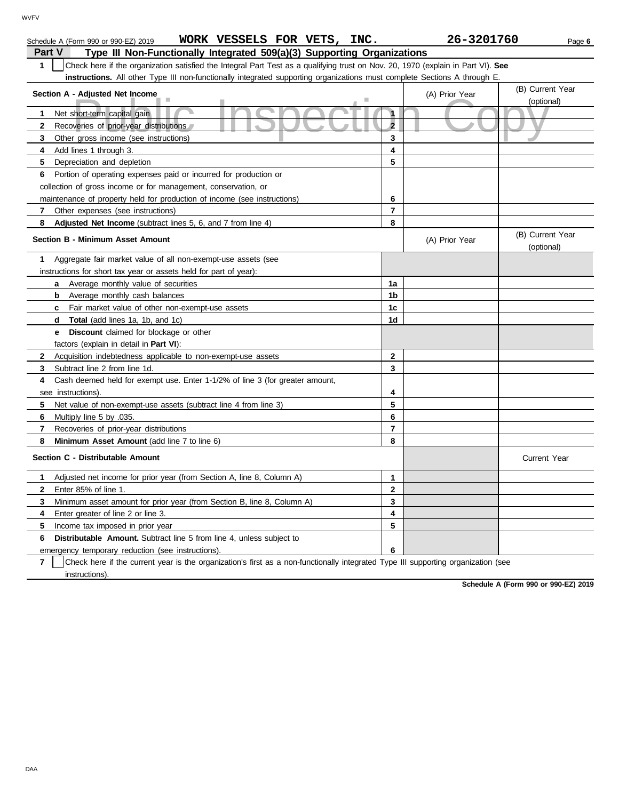| WORK VESSELS FOR VETS, INC.<br>Schedule A (Form 990 or 990-EZ) 2019                                                                              |                         | 26-3201760     | Page 6                         |
|--------------------------------------------------------------------------------------------------------------------------------------------------|-------------------------|----------------|--------------------------------|
| Type III Non-Functionally Integrated 509(a)(3) Supporting Organizations<br>Part V                                                                |                         |                |                                |
| Check here if the organization satisfied the Integral Part Test as a qualifying trust on Nov. 20, 1970 (explain in Part VI). See<br>$\mathbf{1}$ |                         |                |                                |
| <b>instructions.</b> All other Type III non-functionally integrated supporting organizations must complete Sections A through E.                 |                         |                |                                |
|                                                                                                                                                  |                         |                | (B) Current Year               |
| Section A - Adjusted Net Income                                                                                                                  |                         | (A) Prior Year | (optional)                     |
| Net short-term capital gain<br>1                                                                                                                 | $\mathbf{1}$            |                |                                |
| $\mathbf{2}$<br>Recoveries of prior-year distributions                                                                                           | $\overline{\mathbf{2}}$ |                |                                |
| 3<br>Other gross income (see instructions)                                                                                                       | 3                       |                |                                |
| Add lines 1 through 3.<br>4                                                                                                                      | 4                       |                |                                |
| 5<br>Depreciation and depletion                                                                                                                  | 5                       |                |                                |
| Portion of operating expenses paid or incurred for production or<br>6                                                                            |                         |                |                                |
| collection of gross income or for management, conservation, or                                                                                   |                         |                |                                |
| maintenance of property held for production of income (see instructions)                                                                         | 6                       |                |                                |
| 7<br>Other expenses (see instructions)                                                                                                           | 7                       |                |                                |
| 8<br>Adjusted Net Income (subtract lines 5, 6, and 7 from line 4)                                                                                | 8                       |                |                                |
| <b>Section B - Minimum Asset Amount</b>                                                                                                          |                         | (A) Prior Year | (B) Current Year<br>(optional) |
| 1<br>Aggregate fair market value of all non-exempt-use assets (see                                                                               |                         |                |                                |
| instructions for short tax year or assets held for part of year):                                                                                |                         |                |                                |
| <b>a</b> Average monthly value of securities                                                                                                     | 1a                      |                |                                |
| <b>b</b> Average monthly cash balances                                                                                                           | 1b                      |                |                                |
| Fair market value of other non-exempt-use assets<br>c.                                                                                           | 1c                      |                |                                |
| <b>Total</b> (add lines 1a, 1b, and 1c)<br>d                                                                                                     | 1d                      |                |                                |
| <b>Discount</b> claimed for blockage or other<br>е                                                                                               |                         |                |                                |
| factors (explain in detail in Part VI):                                                                                                          |                         |                |                                |
| Acquisition indebtedness applicable to non-exempt-use assets<br>$\mathbf{2}$                                                                     | $\mathbf{2}$            |                |                                |
| 3<br>Subtract line 2 from line 1d.                                                                                                               | 3                       |                |                                |
| Cash deemed held for exempt use. Enter 1-1/2% of line 3 (for greater amount,<br>4                                                                |                         |                |                                |
| see instructions).                                                                                                                               | 4                       |                |                                |
| 5<br>Net value of non-exempt-use assets (subtract line 4 from line 3)                                                                            | 5                       |                |                                |
| Multiply line 5 by .035.<br>6                                                                                                                    | 6                       |                |                                |
| 7<br>Recoveries of prior-year distributions                                                                                                      | $\overline{7}$          |                |                                |
| 8<br>Minimum Asset Amount (add line 7 to line 6)                                                                                                 | 8                       |                |                                |
| Section C - Distributable Amount                                                                                                                 |                         |                | Current Year                   |
| Adjusted net income for prior year (from Section A, line 8, Column A)<br>1                                                                       | $\mathbf{1}$            |                |                                |
| $\mathbf{2}$<br>Enter 85% of line 1.                                                                                                             | $\mathbf{2}$            |                |                                |
| 3<br>Minimum asset amount for prior year (from Section B, line 8, Column A)                                                                      | 3                       |                |                                |
| 4<br>Enter greater of line 2 or line 3.                                                                                                          | 4                       |                |                                |
| 5<br>Income tax imposed in prior year                                                                                                            | 5                       |                |                                |
| <b>Distributable Amount.</b> Subtract line 5 from line 4, unless subject to<br>6                                                                 |                         |                |                                |
| emergency temporary reduction (see instructions).                                                                                                | 6                       |                |                                |

**7** instructions). Check here if the current year is the organization's first as a non-functionally integrated Type III supporting organization (see

**Schedule A (Form 990 or 990-EZ) 2019**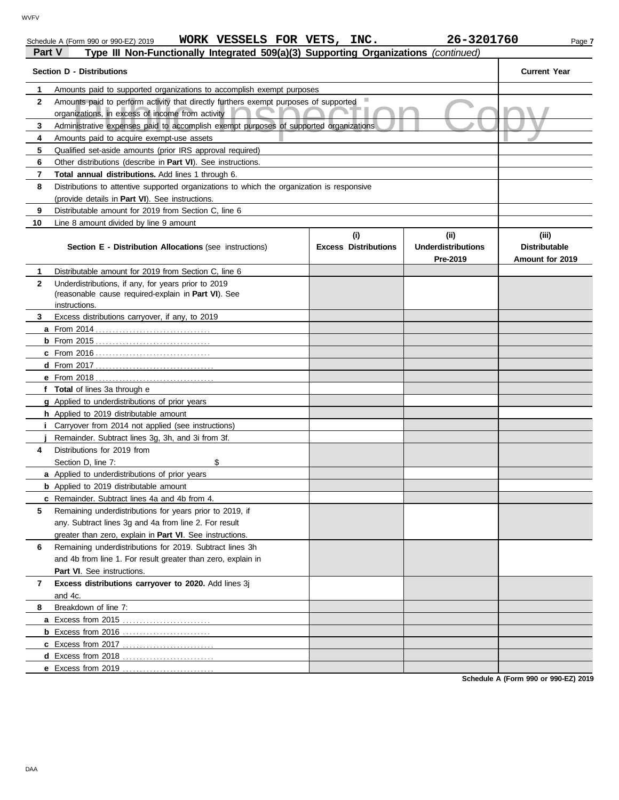| <b>WVFV</b>  |                                                                                                                                          |                                    |                                               |                                                  |
|--------------|------------------------------------------------------------------------------------------------------------------------------------------|------------------------------------|-----------------------------------------------|--------------------------------------------------|
|              | WORK VESSELS FOR VETS, INC.<br>Schedule A (Form 990 or 990-EZ) 2019                                                                      |                                    | 26-3201760                                    | Page 7                                           |
|              | Part V<br>Type III Non-Functionally Integrated 509(a)(3) Supporting Organizations (continued)                                            |                                    |                                               |                                                  |
|              | <b>Section D - Distributions</b>                                                                                                         |                                    |                                               | <b>Current Year</b>                              |
|              | Amounts paid to supported organizations to accomplish exempt purposes                                                                    |                                    |                                               |                                                  |
| $\mathbf{2}$ | Amounts paid to perform activity that directly furthers exempt purposes of supported<br>organizations, in excess of income from activity |                                    |                                               |                                                  |
| 3            | Administrative expenses paid to accomplish exempt purposes of supported organizations                                                    |                                    |                                               |                                                  |
| 4            | Amounts paid to acquire exempt-use assets                                                                                                |                                    |                                               |                                                  |
| 5            | Qualified set-aside amounts (prior IRS approval required)                                                                                |                                    |                                               |                                                  |
| 6            | Other distributions (describe in <b>Part VI</b> ). See instructions.                                                                     |                                    |                                               |                                                  |
|              | Total annual distributions. Add lines 1 through 6.                                                                                       |                                    |                                               |                                                  |
| 8            | Distributions to attentive supported organizations to which the organization is responsive                                               |                                    |                                               |                                                  |
|              | (provide details in Part VI). See instructions.                                                                                          |                                    |                                               |                                                  |
| 9            | Distributable amount for 2019 from Section C. line 6                                                                                     |                                    |                                               |                                                  |
| 10           | Line 8 amount divided by line 9 amount                                                                                                   |                                    |                                               |                                                  |
|              | <b>Section E - Distribution Allocations (see instructions)</b>                                                                           | (i)<br><b>Excess Distributions</b> | (ii)<br><b>Underdistributions</b><br>Pre-2019 | (iii)<br><b>Distributable</b><br>Amount for 2019 |
|              | Distributable amount for 2019 from Section C. line 6                                                                                     |                                    |                                               |                                                  |
| $\mathbf{2}$ | Underdistributions, if any, for years prior to 2019<br>(reasonable cause required-explain in <b>Part VI</b> ). See<br>instructions.      |                                    |                                               |                                                  |
| 3            | Excess distributions carryover, if any, to 2019                                                                                          |                                    |                                               |                                                  |

**8**

and 4c.

**5**

**4** Distributions for 2019 from

Part VI. See instructions.

Breakdown of line 7:

**f Total** of lines 3a through e

**a** From 2014 . . . . . . . . . . . . . . . . . . . . . . . . . . . . . . . . . . **b** From 2015 . . . . . . . . . . . . . . . . . . . . . . . . . . . . . . . . . . **c** From 2016 . . . . . . . . . . . . . . . . . . . . . . . . . . . . . . . . . . **d** From 2017 . . . . . . . . . . . . . . . . . . . . . . . . . . . . . . . . . . . **e** From 2018 . . . . . . . . . . . . . . . . . . . . . . . . . . . . . . . . . . .

**g** Applied to underdistributions of prior years **h** Applied to 2019 distributable amount

**a** Applied to underdistributions of prior years **b** Applied to 2019 distributable amount **c** Remainder. Subtract lines 4a and 4b from 4.

**i** Carryover from 2014 not applied (see instructions) **j** Remainder. Subtract lines 3g, 3h, and 3i from 3f.

Section D, line 7: \$

**7 Excess distributions carryover to 2020.** Add lines 3j

**a** Excess from 2015 . . . . . . . . . . . . . . . . . . . . . . . . . . **b** Excess from 2016 . . . . . . . . . . . . . . . . . . . . . . . . . . **c** Excess from 2017 . . . . . . . . . . . . . . . . . . . . . . . . . . . **d** Excess from 2018 . . . . . . . . . . . . . . . . . . . . . . . . . . . **e** Excess from 2019 . . . . . . . . . . . . . . . . . . . . . . . . . . .

**6** Remaining underdistributions for 2019. Subtract lines 3h

and 4b from line 1. For result greater than zero, explain in

Remaining underdistributions for years prior to 2019, if any. Subtract lines 3g and 4a from line 2. For result greater than zero, explain in **Part VI**. See instructions.

**Schedule A (Form 990 or 990-EZ) 2019**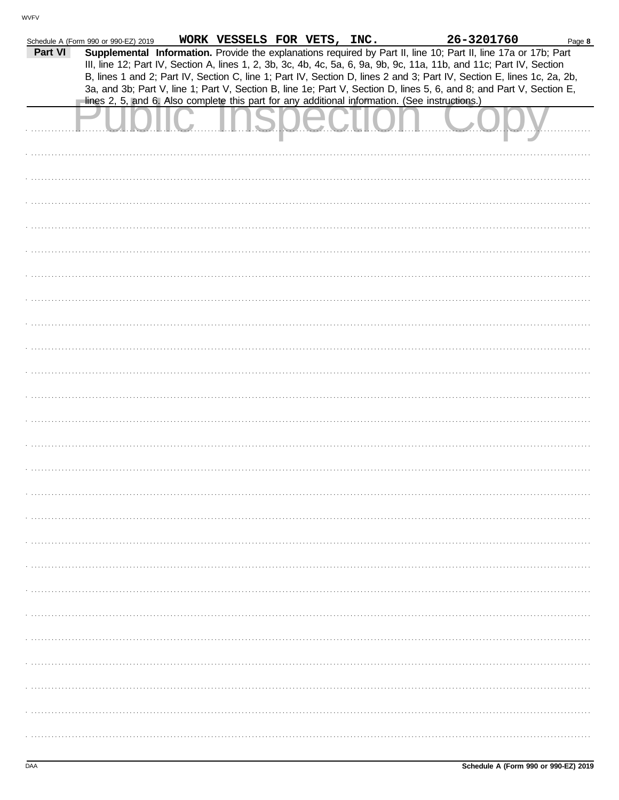|         | Schedule A (Form 990 or 990-EZ) 2019                                                           | WORK VESSELS FOR VETS, INC. |  |  | 26-3201760                                                                                                             | Page 8 |
|---------|------------------------------------------------------------------------------------------------|-----------------------------|--|--|------------------------------------------------------------------------------------------------------------------------|--------|
| Part VI |                                                                                                |                             |  |  | Supplemental Information. Provide the explanations required by Part II, line 10; Part II, line 17a or 17b; Part        |        |
|         |                                                                                                |                             |  |  | III, line 12; Part IV, Section A, lines 1, 2, 3b, 3c, 4b, 4c, 5a, 6, 9a, 9b, 9c, 11a, 11b, and 11c; Part IV, Section   |        |
|         |                                                                                                |                             |  |  | B, lines 1 and 2; Part IV, Section C, line 1; Part IV, Section D, lines 2 and 3; Part IV, Section E, lines 1c, 2a, 2b, |        |
|         |                                                                                                |                             |  |  | 3a, and 3b; Part V, line 1; Part V, Section B, line 1e; Part V, Section D, lines 5, 6, and 8; and Part V, Section E,   |        |
|         | lines 2, 5, and 6. Also complete this part for any additional information. (See instructions.) |                             |  |  |                                                                                                                        |        |
|         |                                                                                                |                             |  |  |                                                                                                                        |        |
|         |                                                                                                |                             |  |  |                                                                                                                        |        |
|         |                                                                                                |                             |  |  |                                                                                                                        |        |
|         |                                                                                                |                             |  |  |                                                                                                                        |        |
|         |                                                                                                |                             |  |  |                                                                                                                        |        |
|         |                                                                                                |                             |  |  |                                                                                                                        |        |
|         |                                                                                                |                             |  |  |                                                                                                                        |        |
|         |                                                                                                |                             |  |  |                                                                                                                        |        |
|         |                                                                                                |                             |  |  |                                                                                                                        |        |
|         |                                                                                                |                             |  |  |                                                                                                                        |        |
|         |                                                                                                |                             |  |  |                                                                                                                        |        |
|         |                                                                                                |                             |  |  |                                                                                                                        |        |
|         |                                                                                                |                             |  |  |                                                                                                                        |        |
|         |                                                                                                |                             |  |  |                                                                                                                        |        |
|         |                                                                                                |                             |  |  |                                                                                                                        |        |
|         |                                                                                                |                             |  |  |                                                                                                                        |        |
|         |                                                                                                |                             |  |  |                                                                                                                        |        |
|         |                                                                                                |                             |  |  |                                                                                                                        |        |
|         |                                                                                                |                             |  |  |                                                                                                                        |        |
|         |                                                                                                |                             |  |  |                                                                                                                        |        |
|         |                                                                                                |                             |  |  |                                                                                                                        |        |
|         |                                                                                                |                             |  |  |                                                                                                                        |        |
|         |                                                                                                |                             |  |  |                                                                                                                        |        |
|         |                                                                                                |                             |  |  |                                                                                                                        |        |
|         |                                                                                                |                             |  |  |                                                                                                                        |        |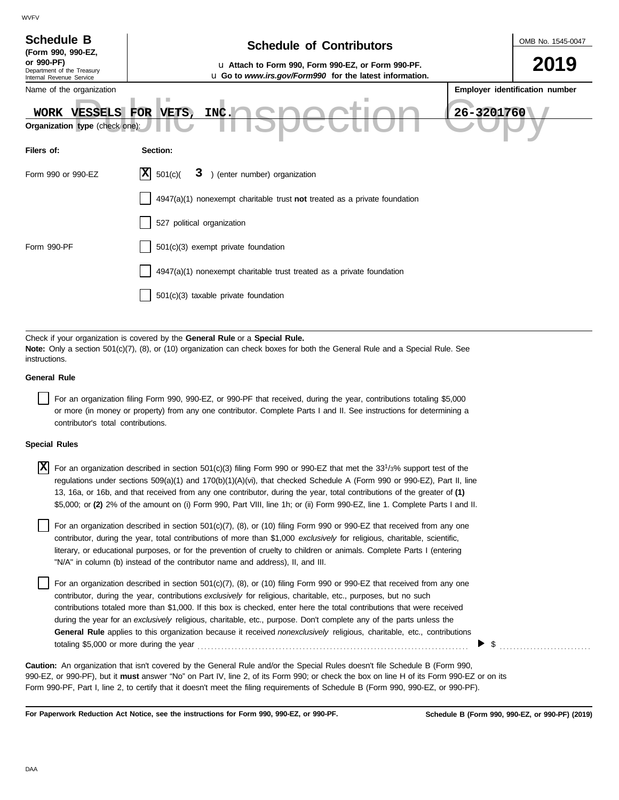| <b>Schedule B</b><br>(Form 990, 990-EZ,<br>or 990-PF)<br>Department of the Treasury<br>Internal Revenue Service<br>Name of the organization<br>WORK VESSELS<br>Organization type (check one):                                                                                       | OMB No. 1545-0047<br><b>Schedule of Contributors</b><br>2019<br>u Attach to Form 990, Form 990-EZ, or Form 990-PF.<br>u Go to www.irs.gov/Form990 for the latest information.<br>Employer identification number<br>26-3201760<br>FOR VETS,<br>INC. |  |  |  |  |  |  |
|-------------------------------------------------------------------------------------------------------------------------------------------------------------------------------------------------------------------------------------------------------------------------------------|----------------------------------------------------------------------------------------------------------------------------------------------------------------------------------------------------------------------------------------------------|--|--|--|--|--|--|
| Filers of:                                                                                                                                                                                                                                                                          | Section:                                                                                                                                                                                                                                           |  |  |  |  |  |  |
| Form 990 or 990-EZ                                                                                                                                                                                                                                                                  | 3 ) (enter number) organization<br>$ \mathbf{X} $ 501(c)(                                                                                                                                                                                          |  |  |  |  |  |  |
|                                                                                                                                                                                                                                                                                     | 4947(a)(1) nonexempt charitable trust not treated as a private foundation                                                                                                                                                                          |  |  |  |  |  |  |
|                                                                                                                                                                                                                                                                                     | 527 political organization                                                                                                                                                                                                                         |  |  |  |  |  |  |
| Form 990-PF                                                                                                                                                                                                                                                                         | 501(c)(3) exempt private foundation                                                                                                                                                                                                                |  |  |  |  |  |  |
|                                                                                                                                                                                                                                                                                     | 4947(a)(1) nonexempt charitable trust treated as a private foundation                                                                                                                                                                              |  |  |  |  |  |  |
|                                                                                                                                                                                                                                                                                     | 501(c)(3) taxable private foundation                                                                                                                                                                                                               |  |  |  |  |  |  |
|                                                                                                                                                                                                                                                                                     |                                                                                                                                                                                                                                                    |  |  |  |  |  |  |
| Check if your organization is covered by the General Rule or a Special Rule.<br>Note: Only a section 501(c)(7), (8), or (10) organization can check boxes for both the General Rule and a Special Rule. See<br>instructions.                                                        |                                                                                                                                                                                                                                                    |  |  |  |  |  |  |
| <b>General Rule</b>                                                                                                                                                                                                                                                                 |                                                                                                                                                                                                                                                    |  |  |  |  |  |  |
| For an organization filing Form 990, 990-EZ, or 990-PF that received, during the year, contributions totaling \$5,000<br>or more (in money or property) from any one contributor. Complete Parts I and II. See instructions for determining a<br>contributor's total contributions. |                                                                                                                                                                                                                                                    |  |  |  |  |  |  |

### **Special Rules**

| <b>X</b> For an organization described in section 501(c)(3) filing Form 990 or 990-EZ that met the 33 <sup>1</sup> /3% support test of the |
|--------------------------------------------------------------------------------------------------------------------------------------------|
| regulations under sections 509(a)(1) and 170(b)(1)(A)(vi), that checked Schedule A (Form 990 or 990-EZ), Part II, line                     |
| 13, 16a, or 16b, and that received from any one contributor, during the year, total contributions of the greater of (1)                    |
| \$5,000; or (2) 2% of the amount on (i) Form 990, Part VIII, line 1h; or (ii) Form 990-EZ, line 1. Complete Parts I and II.                |

literary, or educational purposes, or for the prevention of cruelty to children or animals. Complete Parts I (entering For an organization described in section 501(c)(7), (8), or (10) filing Form 990 or 990-EZ that received from any one contributor, during the year, total contributions of more than \$1,000 *exclusively* for religious, charitable, scientific, "N/A" in column (b) instead of the contributor name and address), II, and III.

For an organization described in section 501(c)(7), (8), or (10) filing Form 990 or 990-EZ that received from any one contributor, during the year, contributions *exclusively* for religious, charitable, etc., purposes, but no such contributions totaled more than \$1,000. If this box is checked, enter here the total contributions that were received during the year for an *exclusively* religious, charitable, etc., purpose. Don't complete any of the parts unless the **General Rule** applies to this organization because it received *nonexclusively* religious, charitable, etc., contributions totaling \$5,000 or more during the year . . . . . . . . . . . . . . . . . . . . . . . . . . . . . . . . . . . . . . . . . . . . . . . . . . . . . . . . . . . . . . . . . . . . . . . . . . . . . . . .

990-EZ, or 990-PF), but it **must** answer "No" on Part IV, line 2, of its Form 990; or check the box on line H of its Form 990-EZ or on its Form 990-PF, Part I, line 2, to certify that it doesn't meet the filing requirements of Schedule B (Form 990, 990-EZ, or 990-PF). **Caution:** An organization that isn't covered by the General Rule and/or the Special Rules doesn't file Schedule B (Form 990,

**For Paperwork Reduction Act Notice, see the instructions for Form 990, 990-EZ, or 990-PF.**

 $\triangleright$  \$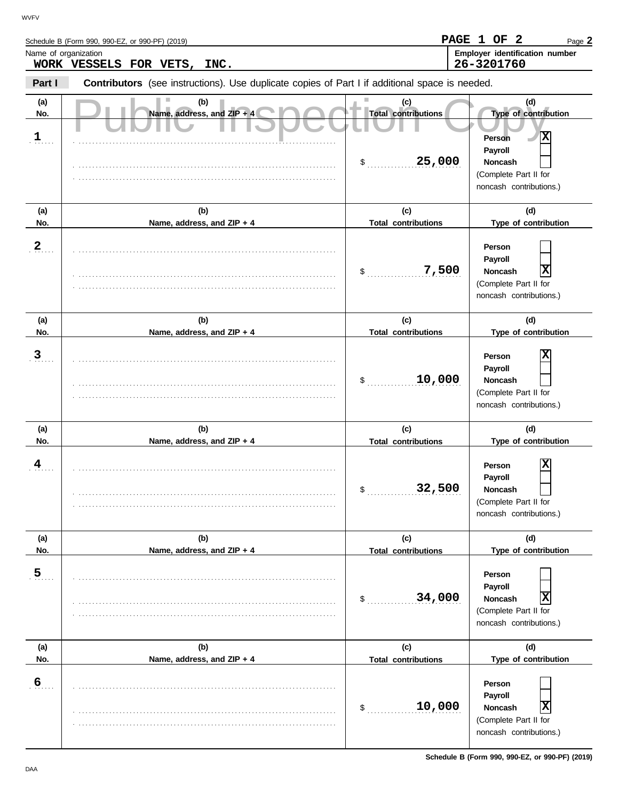|                              | Schedule B (Form 990, 990-EZ, or 990-PF) (2019)                                                |                                                   | PAGE 1 OF 2<br>Page 2                                                                                                                      |
|------------------------------|------------------------------------------------------------------------------------------------|---------------------------------------------------|--------------------------------------------------------------------------------------------------------------------------------------------|
| Name of organization         | WORK VESSELS FOR VETS, INC.                                                                    |                                                   | Employer identification number<br>26-3201760                                                                                               |
| Part I                       | Contributors (see instructions). Use duplicate copies of Part I if additional space is needed. |                                                   |                                                                                                                                            |
| (a)<br>No.<br>$\mathbf{1}$ . | (b)<br>Name, address, and ZIP + 4                                                              | (c)<br><b>Total contributions</b><br>25,000<br>\$ | (d)<br>Type of contribution<br>$\overline{\mathbf{x}}$<br>Person<br>Payroll<br>Noncash<br>(Complete Part II for<br>noncash contributions.) |
| (a)                          | (b)                                                                                            | (c)                                               | (d)                                                                                                                                        |
| No.                          | Name, address, and ZIP + 4                                                                     | <b>Total contributions</b>                        | Type of contribution                                                                                                                       |
| $\mathbf{2}$                 |                                                                                                | 7,500<br>\$                                       | Person<br>Payroll<br>X<br>Noncash<br>(Complete Part II for<br>noncash contributions.)                                                      |
| (a)                          | (b)                                                                                            | (c)                                               | (d)                                                                                                                                        |
| No.                          | Name, address, and ZIP + 4                                                                     | <b>Total contributions</b>                        | Type of contribution                                                                                                                       |
| $\overline{3}$               |                                                                                                | 10,000<br>\$                                      | Person<br>Payroll<br>Noncash<br>(Complete Part II for<br>noncash contributions.)                                                           |
| (a)                          | (b)                                                                                            | (c)                                               | (d)                                                                                                                                        |
| No.                          | Name, address, and ZIP + 4                                                                     | <b>Total contributions</b>                        | Type of contribution                                                                                                                       |
| 4                            |                                                                                                | 32,500<br>\$.                                     | х<br>Person<br>Payroll<br><b>Noncash</b><br>(Complete Part II for<br>noncash contributions.)                                               |
| (a)                          | (b)                                                                                            | (c)                                               | (d)                                                                                                                                        |
| No.                          | Name, address, and ZIP + 4                                                                     | <b>Total contributions</b>                        | Type of contribution                                                                                                                       |
| $\overline{5}$               |                                                                                                | 34,000<br>\$                                      | Person<br>Payroll<br>$\overline{\mathbf{x}}$<br>Noncash<br>(Complete Part II for<br>noncash contributions.)                                |
| (a)                          | (b)                                                                                            | (c)                                               | (d)                                                                                                                                        |
| No.                          | Name, address, and ZIP + 4                                                                     | <b>Total contributions</b>                        | Type of contribution                                                                                                                       |
| $6 \overline{6}$             |                                                                                                | 10,000<br>\$                                      | Person<br>Payroll<br>X<br>Noncash                                                                                                          |

. . . . . . . . . . . . . . . . . . . . . . . . . . . . . . . . . . . . . . . . . . . . . . . . . . . . . . . . . . . . . . . . . . . . . . . . . . . . .

(Complete Part II for noncash contributions.)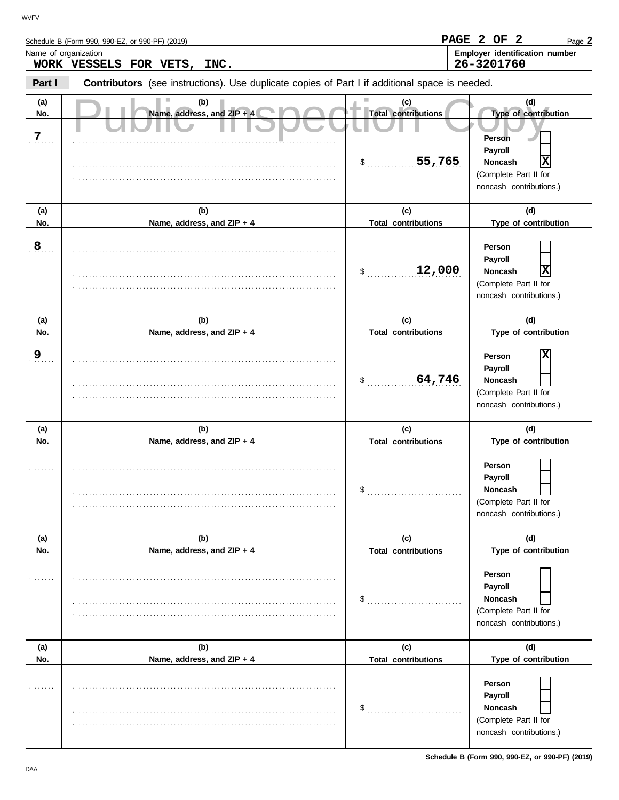|                              | Schedule B (Form 990, 990-EZ, or 990-PF) (2019)                                                |                                                              | $\overline{\mathbf{2}}$<br>PAGE 2 OF<br>Page 2                                                                       |
|------------------------------|------------------------------------------------------------------------------------------------|--------------------------------------------------------------|----------------------------------------------------------------------------------------------------------------------|
| Name of organization         | WORK VESSELS FOR VETS, INC.                                                                    |                                                              | Employer identification number<br>26-3201760                                                                         |
| Part I                       | Contributors (see instructions). Use duplicate copies of Part I if additional space is needed. |                                                              |                                                                                                                      |
| (a)<br>No.<br>$\overline{7}$ | (b)<br>Name, address, and ZIP + 4                                                              | (c)<br><b>Total contributions</b><br>55,765<br>$\mathsf{\$}$ | (d)<br>Type of contribution<br>Person<br>Payroll<br>x<br>Noncash<br>(Complete Part II for<br>noncash contributions.) |
| (a)<br>No.                   | (b)<br>Name, address, and ZIP + 4                                                              | (c)<br><b>Total contributions</b>                            | (d)<br>Type of contribution                                                                                          |
| 8                            |                                                                                                | 12,000<br>\$                                                 | Person<br>Payroll<br>$\overline{\mathbf{x}}$<br>Noncash<br>(Complete Part II for<br>noncash contributions.)          |
| (a)<br>No.                   | (b)<br>Name, address, and ZIP + 4                                                              | (c)<br><b>Total contributions</b>                            | (d)<br>Type of contribution                                                                                          |
| 9                            |                                                                                                | 64,746<br>\$                                                 | ΙX<br>Person<br>Payroll<br>Noncash<br>(Complete Part II for<br>noncash contributions.)                               |
| (a)<br>No.                   | (b)<br>Name, address, and ZIP + 4                                                              | (c)<br><b>Total contributions</b>                            | (d)<br>Type of contribution                                                                                          |
|                              |                                                                                                | $\mathbb{S}$                                                 | Person<br>Payroll<br>Noncash<br>(Complete Part II for<br>noncash contributions.)                                     |
| (a)<br>No.                   | (b)<br>Name, address, and ZIP + 4                                                              | (c)<br><b>Total contributions</b>                            | (d)<br>Type of contribution                                                                                          |
|                              |                                                                                                | \$                                                           | Person<br>Payroll<br>Noncash<br>(Complete Part II for<br>noncash contributions.)                                     |
| (a)<br>No.                   | (b)<br>Name, address, and ZIP + 4                                                              | (c)<br><b>Total contributions</b>                            | (d)<br>Type of contribution                                                                                          |
|                              |                                                                                                | \$                                                           | Person<br>Payroll<br>Noncash                                                                                         |

. . . . . . . . . . . . . . . . . . . . . . . . . . . . . . . . . . . . . . . . . . . . . . . . . . . . . . . . . . . . . . . . . . . . . . . . . . . . .

**Schedule B (Form 990, 990-EZ, or 990-PF) (2019)**

(Complete Part II for noncash contributions.)

**PAGE 2 OF 2**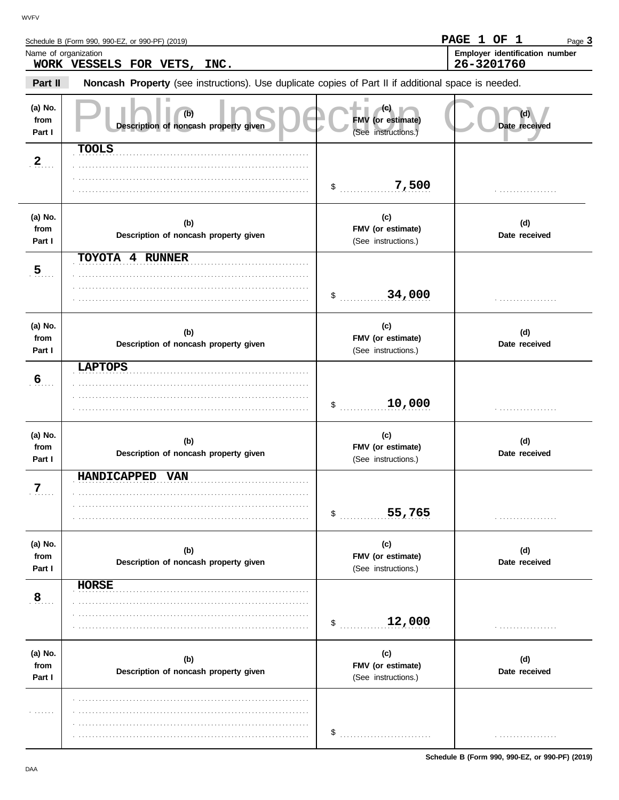Schedule B (Form 990, 990-EZ, or 990-PF) (2019)

|                           | Name of organization<br>WORK VESSELS FOR VETS, INC.                                                 |                                                 | Employer identification number<br>26-3201760 |  |  |  |
|---------------------------|-----------------------------------------------------------------------------------------------------|-------------------------------------------------|----------------------------------------------|--|--|--|
| Part II                   | Noncash Property (see instructions). Use duplicate copies of Part II if additional space is needed. |                                                 |                                              |  |  |  |
| (a) No.<br>from<br>Part I | (b)<br>Description of noncash property given                                                        | (c)<br>FMV (or estimate)<br>(See instructions.) | Date received                                |  |  |  |
| $2_{\ldots}$              | <b>TOOLS</b>                                                                                        | 7,500<br>\$                                     |                                              |  |  |  |
| (a) No.<br>from<br>Part I | (b)<br>Description of noncash property given                                                        | (c)<br>FMV (or estimate)<br>(See instructions.) | (d)<br>Date received                         |  |  |  |
| $5_{\ldots}$              | TOYOTA 4 RUNNER                                                                                     | 34,000<br>\$                                    |                                              |  |  |  |
| (a) No.<br>from<br>Part I | (b)<br>Description of noncash property given                                                        | (c)<br>FMV (or estimate)<br>(See instructions.) | (d)<br>Date received                         |  |  |  |
| $6_{\ldots}$              | <b>LAPTOPS</b>                                                                                      | 10,000<br>\$                                    |                                              |  |  |  |
| (a) No.<br>from<br>Part I | (b)<br>Description of noncash property given                                                        | (c)<br>FMV (or estimate)<br>(See instructions.) | (d)<br>Date received                         |  |  |  |
| $\overline{7}$            | HANDICAPPED<br>VAN                                                                                  | 55,765<br>\$                                    |                                              |  |  |  |
| (a) No.<br>from<br>Part I | (b)<br>Description of noncash property given                                                        | (c)<br>FMV (or estimate)<br>(See instructions.) | (d)<br>Date received                         |  |  |  |
| $\overline{8}$            | <b>HORSE</b>                                                                                        | 12,000<br>\$                                    |                                              |  |  |  |
| (a) No.<br>from<br>Part I | (b)<br>Description of noncash property given                                                        | (c)<br>FMV (or estimate)<br>(See instructions.) | (d)<br>Date received                         |  |  |  |
| .                         |                                                                                                     | \$                                              |                                              |  |  |  |

Schedule B (Form 990, 990-EZ, or 990-PF) (2019)

PAGE 1 OF 1

Page 3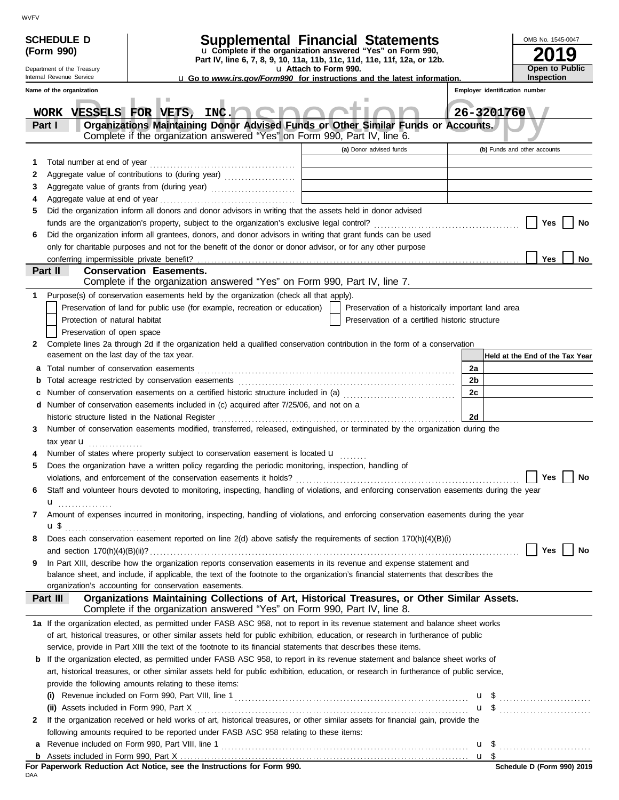|        | <b>SCHEDULE D</b>                                                                                          | Supplemental Financial Statements                                                                                                                                          |  |          |                                | OMB No. 1545-0047               |  |
|--------|------------------------------------------------------------------------------------------------------------|----------------------------------------------------------------------------------------------------------------------------------------------------------------------------|--|----------|--------------------------------|---------------------------------|--|
|        | (Form 990)                                                                                                 | u Complete if the organization answered "Yes" on Form 990,                                                                                                                 |  |          |                                |                                 |  |
|        | Department of the Treasury                                                                                 | Part IV, line 6, 7, 8, 9, 10, 11a, 11b, 11c, 11d, 11e, 11f, 12a, or 12b.<br>u Attach to Form 990.                                                                          |  |          |                                | Open to Public                  |  |
|        | Internal Revenue Service                                                                                   | <b>u</b> Go to <i>www.irs.gov/Form990</i> for instructions and the latest information.                                                                                     |  |          |                                | <b>Inspection</b>               |  |
|        | Name of the organization                                                                                   |                                                                                                                                                                            |  |          | Employer identification number |                                 |  |
|        |                                                                                                            | WORK VESSELS FOR VETS, INC.                                                                                                                                                |  |          | 26-3201760                     |                                 |  |
|        | Part I                                                                                                     | Organizations Maintaining Donor Advised Funds or Other Similar Funds or Accounts.<br>Complete if the organization answered "Yes" on Form 990, Part IV, line 6.             |  |          |                                |                                 |  |
|        |                                                                                                            | (a) Donor advised funds                                                                                                                                                    |  |          |                                | (b) Funds and other accounts    |  |
| 1      |                                                                                                            |                                                                                                                                                                            |  |          |                                |                                 |  |
| 2      |                                                                                                            |                                                                                                                                                                            |  |          |                                |                                 |  |
| 3      |                                                                                                            |                                                                                                                                                                            |  |          |                                |                                 |  |
| 4      | Aggregate value at end of year                                                                             |                                                                                                                                                                            |  |          |                                |                                 |  |
| 5      | Did the organization inform all donors and donor advisors in writing that the assets held in donor advised |                                                                                                                                                                            |  |          |                                |                                 |  |
|        |                                                                                                            |                                                                                                                                                                            |  |          |                                |                                 |  |
| 6      |                                                                                                            | Did the organization inform all grantees, donors, and donor advisors in writing that grant funds can be used                                                               |  |          |                                |                                 |  |
|        |                                                                                                            | only for charitable purposes and not for the benefit of the donor or donor advisor, or for any other purpose                                                               |  |          |                                | <b>Yes</b><br>No                |  |
|        | Part II                                                                                                    | <b>Conservation Easements.</b>                                                                                                                                             |  |          |                                |                                 |  |
|        |                                                                                                            | Complete if the organization answered "Yes" on Form 990, Part IV, line 7.                                                                                                  |  |          |                                |                                 |  |
| 1      |                                                                                                            | Purpose(s) of conservation easements held by the organization (check all that apply).                                                                                      |  |          |                                |                                 |  |
|        |                                                                                                            | Preservation of land for public use (for example, recreation or education)<br>Preservation of a historically important land area                                           |  |          |                                |                                 |  |
|        | Protection of natural habitat                                                                              | Preservation of a certified historic structure                                                                                                                             |  |          |                                |                                 |  |
|        | Preservation of open space                                                                                 |                                                                                                                                                                            |  |          |                                |                                 |  |
| 2      |                                                                                                            | Complete lines 2a through 2d if the organization held a qualified conservation contribution in the form of a conservation                                                  |  |          |                                |                                 |  |
|        | easement on the last day of the tax year.                                                                  |                                                                                                                                                                            |  |          |                                | Held at the End of the Tax Year |  |
| a      |                                                                                                            |                                                                                                                                                                            |  | 2a<br>2b |                                |                                 |  |
| b<br>c |                                                                                                            | Number of conservation easements on a certified historic structure included in (a) [11] Number of conservation easements on a certified historic structure included in (a) |  | 2c       |                                |                                 |  |
|        |                                                                                                            | d Number of conservation easements included in (c) acquired after 7/25/06, and not on a                                                                                    |  |          |                                |                                 |  |
|        |                                                                                                            | historic structure listed in the National Register                                                                                                                         |  | 2d       |                                |                                 |  |
| 3      |                                                                                                            | Number of conservation easements modified, transferred, released, extinguished, or terminated by the organization during the                                               |  |          |                                |                                 |  |
|        | tax year $\mathbf{u}$                                                                                      |                                                                                                                                                                            |  |          |                                |                                 |  |
|        |                                                                                                            | Number of states where property subject to conservation easement is located u                                                                                              |  |          |                                |                                 |  |
| 5      |                                                                                                            | Does the organization have a written policy regarding the periodic monitoring, inspection, handling of                                                                     |  |          |                                |                                 |  |
|        |                                                                                                            | violations, and enforcement of the conservation easements it holds? $\Box$ Yes $\Box$ No                                                                                   |  |          |                                |                                 |  |
| 6      |                                                                                                            | Staff and volunteer hours devoted to monitoring, inspecting, handling of violations, and enforcing conservation easements during the year                                  |  |          |                                |                                 |  |
| 7      |                                                                                                            | Amount of expenses incurred in monitoring, inspecting, handling of violations, and enforcing conservation easements during the year                                        |  |          |                                |                                 |  |
|        | <b>u</b> \$                                                                                                |                                                                                                                                                                            |  |          |                                |                                 |  |
| 8      |                                                                                                            | Does each conservation easement reported on line 2(d) above satisfy the requirements of section 170(h)(4)(B)(i)                                                            |  |          |                                |                                 |  |
|        |                                                                                                            |                                                                                                                                                                            |  |          |                                | Yes<br>No                       |  |
| 9      |                                                                                                            | In Part XIII, describe how the organization reports conservation easements in its revenue and expense statement and                                                        |  |          |                                |                                 |  |
|        |                                                                                                            | balance sheet, and include, if applicable, the text of the footnote to the organization's financial statements that describes the                                          |  |          |                                |                                 |  |
|        |                                                                                                            | organization's accounting for conservation easements.                                                                                                                      |  |          |                                |                                 |  |
|        | Part III                                                                                                   | Organizations Maintaining Collections of Art, Historical Treasures, or Other Similar Assets.<br>Complete if the organization answered "Yes" on Form 990, Part IV, line 8.  |  |          |                                |                                 |  |
|        |                                                                                                            | 1a If the organization elected, as permitted under FASB ASC 958, not to report in its revenue statement and balance sheet works                                            |  |          |                                |                                 |  |
|        |                                                                                                            | of art, historical treasures, or other similar assets held for public exhibition, education, or research in furtherance of public                                          |  |          |                                |                                 |  |
|        |                                                                                                            | service, provide in Part XIII the text of the footnote to its financial statements that describes these items.                                                             |  |          |                                |                                 |  |
|        |                                                                                                            | <b>b</b> If the organization elected, as permitted under FASB ASC 958, to report in its revenue statement and balance sheet works of                                       |  |          |                                |                                 |  |
|        |                                                                                                            | art, historical treasures, or other similar assets held for public exhibition, education, or research in furtherance of public service,                                    |  |          |                                |                                 |  |
|        |                                                                                                            | provide the following amounts relating to these items:                                                                                                                     |  |          |                                |                                 |  |
|        |                                                                                                            |                                                                                                                                                                            |  |          |                                | $\mathbf{u}$ \$                 |  |
|        |                                                                                                            |                                                                                                                                                                            |  |          |                                |                                 |  |
| 2      |                                                                                                            | If the organization received or held works of art, historical treasures, or other similar assets for financial gain, provide the                                           |  |          |                                |                                 |  |
| a      |                                                                                                            | following amounts required to be reported under FASB ASC 958 relating to these items:                                                                                      |  | u \$     |                                |                                 |  |
|        |                                                                                                            |                                                                                                                                                                            |  |          |                                |                                 |  |
|        |                                                                                                            | For Paperwork Reduction Act Notice, see the Instructions for Form 990.                                                                                                     |  |          |                                | Schedule D (Form 990) 2019      |  |
| DAA    |                                                                                                            |                                                                                                                                                                            |  |          |                                |                                 |  |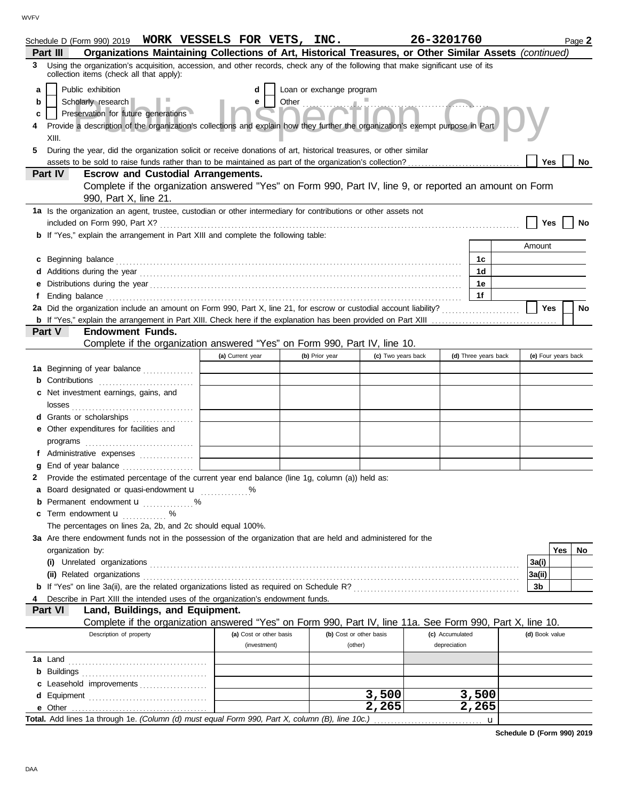| Part III | Schedule D (Form 990) 2019 WORK VESSELS FOR VETS, INC.<br>Organizations Maintaining Collections of Art, Historical Treasures, or Other Similar Assets (continued)                                                                    |                                              |                          |                    | 26-3201760      |                      |                     |     | Page 2 |
|----------|--------------------------------------------------------------------------------------------------------------------------------------------------------------------------------------------------------------------------------------|----------------------------------------------|--------------------------|--------------------|-----------------|----------------------|---------------------|-----|--------|
| 3        | Using the organization's acquisition, accession, and other records, check any of the following that make significant use of its                                                                                                      |                                              |                          |                    |                 |                      |                     |     |        |
|          | collection items (check all that apply):                                                                                                                                                                                             |                                              |                          |                    |                 |                      |                     |     |        |
| a        | Public exhibition                                                                                                                                                                                                                    | d                                            | Loan or exchange program |                    |                 |                      |                     |     |        |
| b        | Scholarly research                                                                                                                                                                                                                   | е                                            | Other $\frac{1}{2}$      |                    | $\alpha$        |                      |                     |     |        |
| c        | Preservation for future generations                                                                                                                                                                                                  |                                              |                          |                    |                 |                      |                     |     |        |
| 4        | Provide a description of the organization's collections and explain how they further the organization's exempt purpose in Part                                                                                                       |                                              |                          |                    |                 |                      |                     |     |        |
|          | XIII.                                                                                                                                                                                                                                |                                              |                          |                    |                 |                      |                     |     |        |
| 5        | During the year, did the organization solicit or receive donations of art, historical treasures, or other similar                                                                                                                    |                                              |                          |                    |                 |                      |                     |     |        |
|          | Yes<br>No<br>Part IV<br><b>Escrow and Custodial Arrangements.</b>                                                                                                                                                                    |                                              |                          |                    |                 |                      |                     |     |        |
|          | Complete if the organization answered "Yes" on Form 990, Part IV, line 9, or reported an amount on Form                                                                                                                              |                                              |                          |                    |                 |                      |                     |     |        |
|          | 990, Part X, line 21.                                                                                                                                                                                                                |                                              |                          |                    |                 |                      |                     |     |        |
|          | 1a Is the organization an agent, trustee, custodian or other intermediary for contributions or other assets not                                                                                                                      |                                              |                          |                    |                 |                      |                     |     |        |
|          |                                                                                                                                                                                                                                      |                                              |                          |                    |                 |                      | Yes                 |     |        |
|          | <b>b</b> If "Yes," explain the arrangement in Part XIII and complete the following table:                                                                                                                                            |                                              |                          |                    |                 |                      |                     |     |        |
|          |                                                                                                                                                                                                                                      |                                              |                          |                    |                 |                      | Amount              |     |        |
|          | c Beginning balance <b>contract to the contract of the set of the contract of the contract of the contract of the contract of the contract of the contract of the contract of the contract of the contract of the contract of th</b> |                                              |                          |                    |                 | 1c                   |                     |     |        |
|          |                                                                                                                                                                                                                                      |                                              |                          |                    |                 | 1d                   |                     |     |        |
|          |                                                                                                                                                                                                                                      |                                              |                          |                    |                 | 1е                   |                     |     |        |
| f        | Ending balance <b>constructs</b> and constructs and constructs and constructs and constructs and constructs and constructs and constructs and constructs and constructs and constructs and constructs and constructs and constructs  |                                              |                          |                    |                 | 1f                   |                     |     |        |
|          | 2a Did the organization include an amount on Form 990, Part X, line 21, for escrow or custodial account liability?                                                                                                                   |                                              |                          |                    |                 |                      | <b>Yes</b>          |     | No     |
| Part V   | <b>Endowment Funds.</b>                                                                                                                                                                                                              |                                              |                          |                    |                 |                      |                     |     |        |
|          | Complete if the organization answered "Yes" on Form 990, Part IV, line 10.                                                                                                                                                           |                                              |                          |                    |                 |                      |                     |     |        |
|          |                                                                                                                                                                                                                                      | (a) Current year                             | (b) Prior year           | (c) Two years back |                 | (d) Three years back | (e) Four years back |     |        |
|          | 1a Beginning of year balance                                                                                                                                                                                                         |                                              |                          |                    |                 |                      |                     |     |        |
|          | <b>b</b> Contributions <b>contributions</b>                                                                                                                                                                                          |                                              |                          |                    |                 |                      |                     |     |        |
|          | c Net investment earnings, gains, and                                                                                                                                                                                                |                                              |                          |                    |                 |                      |                     |     |        |
|          |                                                                                                                                                                                                                                      |                                              |                          |                    |                 |                      |                     |     |        |
|          | d Grants or scholarships                                                                                                                                                                                                             |                                              |                          |                    |                 |                      |                     |     |        |
|          | e Other expenditures for facilities and                                                                                                                                                                                              |                                              |                          |                    |                 |                      |                     |     |        |
|          |                                                                                                                                                                                                                                      |                                              |                          |                    |                 |                      |                     |     |        |
|          | f Administrative expenses                                                                                                                                                                                                            |                                              |                          |                    |                 |                      |                     |     |        |
| g<br>2   | Provide the estimated percentage of the current year end balance (line 1g, column (a)) held as:                                                                                                                                      | the control of the control of the control of |                          |                    |                 |                      |                     |     |        |
|          | a Board designated or quasi-endowment u                                                                                                                                                                                              | ℅                                            |                          |                    |                 |                      |                     |     |        |
| b        | Permanent endowment <b>u</b> %                                                                                                                                                                                                       |                                              |                          |                    |                 |                      |                     |     |        |
|          | c Term endowment <b>u</b>                                                                                                                                                                                                            |                                              |                          |                    |                 |                      |                     |     |        |
|          | The percentages on lines 2a, 2b, and 2c should equal 100%.                                                                                                                                                                           |                                              |                          |                    |                 |                      |                     |     |        |
|          | 3a Are there endowment funds not in the possession of the organization that are held and administered for the                                                                                                                        |                                              |                          |                    |                 |                      |                     |     |        |
|          | organization by:                                                                                                                                                                                                                     |                                              |                          |                    |                 |                      |                     | Yes | No.    |
|          |                                                                                                                                                                                                                                      |                                              |                          |                    |                 |                      | 3a(i)               |     |        |
|          |                                                                                                                                                                                                                                      |                                              |                          |                    |                 |                      | 3a(ii)              |     |        |
|          |                                                                                                                                                                                                                                      |                                              |                          |                    |                 |                      | 3b                  |     |        |
| Part VI  | Describe in Part XIII the intended uses of the organization's endowment funds.<br>Land, Buildings, and Equipment.                                                                                                                    |                                              |                          |                    |                 |                      |                     |     |        |
|          | Complete if the organization answered "Yes" on Form 990, Part IV, line 11a. See Form 990, Part X, line 10.                                                                                                                           |                                              |                          |                    |                 |                      |                     |     |        |
|          | Description of property                                                                                                                                                                                                              | (a) Cost or other basis                      | (b) Cost or other basis  |                    | (c) Accumulated |                      | (d) Book value      |     |        |
|          |                                                                                                                                                                                                                                      | (investment)                                 | (other)                  |                    | depreciation    |                      |                     |     |        |
|          |                                                                                                                                                                                                                                      |                                              |                          |                    |                 |                      |                     |     |        |
|          |                                                                                                                                                                                                                                      |                                              |                          |                    |                 |                      |                     |     |        |
|          | c Leasehold improvements                                                                                                                                                                                                             |                                              |                          |                    |                 |                      |                     |     |        |
|          |                                                                                                                                                                                                                                      |                                              |                          | 3,500              |                 | 3,500                |                     |     |        |
|          | Total. Add lines 1a through 1e. (Column (d) must equal Form 990, Part X, column (B), line 10c.)                                                                                                                                      |                                              |                          | 2,265              |                 | 2,265                |                     |     |        |
|          |                                                                                                                                                                                                                                      |                                              |                          |                    |                 | $\mathbf u$          |                     |     |        |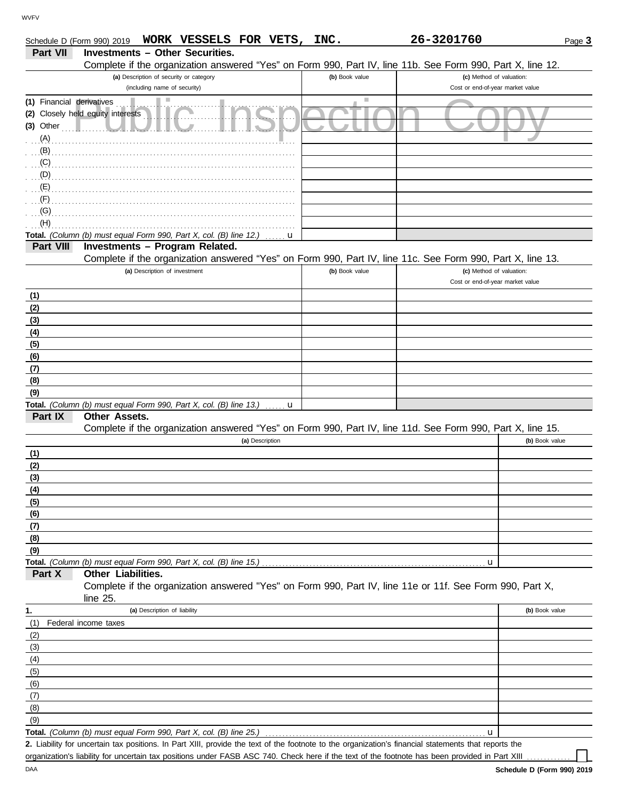DAA

| Schedule D (Form 990) 2019 | WORK VESSELS FOR VETS, INC.                                                                                |                | 26-3201760                       | Page 3         |
|----------------------------|------------------------------------------------------------------------------------------------------------|----------------|----------------------------------|----------------|
| Part VII                   | <b>Investments - Other Securities.</b>                                                                     |                |                                  |                |
|                            | Complete if the organization answered "Yes" on Form 990, Part IV, line 11b. See Form 990, Part X, line 12. |                |                                  |                |
|                            | (a) Description of security or category                                                                    | (b) Book value | (c) Method of valuation:         |                |
|                            | (including name of security)                                                                               |                | Cost or end-of-year market value |                |
| (1) Financial derivatives  |                                                                                                            | ٠              |                                  |                |
|                            | (2) Closely held equity interests                                                                          |                |                                  |                |
| $(3)$ Other                |                                                                                                            |                |                                  |                |
| (A)                        |                                                                                                            |                |                                  |                |
| $\overline{A}$ (B)         |                                                                                                            |                |                                  |                |
| (C)                        |                                                                                                            |                |                                  |                |
| (D)                        |                                                                                                            |                |                                  |                |
| (E)                        |                                                                                                            |                |                                  |                |
| (F)                        |                                                                                                            |                |                                  |                |
| (G)                        |                                                                                                            |                |                                  |                |
| (H)                        | Total. (Column (b) must equal Form 990, Part X, col. (B) line 12.)                                         |                |                                  |                |
| Part VIII                  | u<br>Investments - Program Related.                                                                        |                |                                  |                |
|                            | Complete if the organization answered "Yes" on Form 990, Part IV, line 11c. See Form 990, Part X, line 13. |                |                                  |                |
|                            | (a) Description of investment                                                                              | (b) Book value | (c) Method of valuation:         |                |
|                            |                                                                                                            |                | Cost or end-of-year market value |                |
| (1)                        |                                                                                                            |                |                                  |                |
| (2)                        |                                                                                                            |                |                                  |                |
| (3)                        |                                                                                                            |                |                                  |                |
| (4)                        |                                                                                                            |                |                                  |                |
| (5)                        |                                                                                                            |                |                                  |                |
| (6)                        |                                                                                                            |                |                                  |                |
| (7)                        |                                                                                                            |                |                                  |                |
| (8)                        |                                                                                                            |                |                                  |                |
| (9)                        |                                                                                                            |                |                                  |                |
|                            | Total. (Column (b) must equal Form 990, Part X, col. (B) line 13.)<br>. <b>. u</b>                         |                |                                  |                |
| Part IX                    | Other Assets.                                                                                              |                |                                  |                |
|                            | Complete if the organization answered "Yes" on Form 990, Part IV, line 11d. See Form 990, Part X, line 15. |                |                                  |                |
|                            | (a) Description                                                                                            |                |                                  | (b) Book value |
| (1)                        |                                                                                                            |                |                                  |                |
| (2)                        |                                                                                                            |                |                                  |                |
| (3)                        |                                                                                                            |                |                                  |                |
| <u>(4)</u>                 |                                                                                                            |                |                                  |                |
| (5)                        |                                                                                                            |                |                                  |                |
| (6)<br>(7)                 |                                                                                                            |                |                                  |                |
| (8)                        |                                                                                                            |                |                                  |                |
| (9)                        |                                                                                                            |                |                                  |                |
|                            | Total. (Column (b) must equal Form 990, Part X, col. (B) line 15.).                                        |                | u                                |                |
| Part X                     | Other Liabilities.                                                                                         |                |                                  |                |
|                            | Complete if the organization answered "Yes" on Form 990, Part IV, line 11e or 11f. See Form 990, Part X,   |                |                                  |                |
|                            | line $25$ .                                                                                                |                |                                  |                |
| 1.                         | (a) Description of liability                                                                               |                |                                  | (b) Book value |
| (1)                        | Federal income taxes                                                                                       |                |                                  |                |
| (2)                        |                                                                                                            |                |                                  |                |
| (3)                        |                                                                                                            |                |                                  |                |
| (4)                        |                                                                                                            |                |                                  |                |
| (5)                        |                                                                                                            |                |                                  |                |
| (6)                        |                                                                                                            |                |                                  |                |
| (7)                        |                                                                                                            |                |                                  |                |
| (8)                        |                                                                                                            |                |                                  |                |
| (9)                        |                                                                                                            |                |                                  |                |
|                            | Total. (Column (b) must equal Form 990, Part X, col. (B) line 25.)                                         |                | u                                |                |

Liability for uncertain tax positions. In Part XIII, provide the text of the footnote to the organization's financial statements that reports the **2.** organization's liability for uncertain tax positions under FASB ASC 740. Check here if the text of the footnote has been provided in Part XIII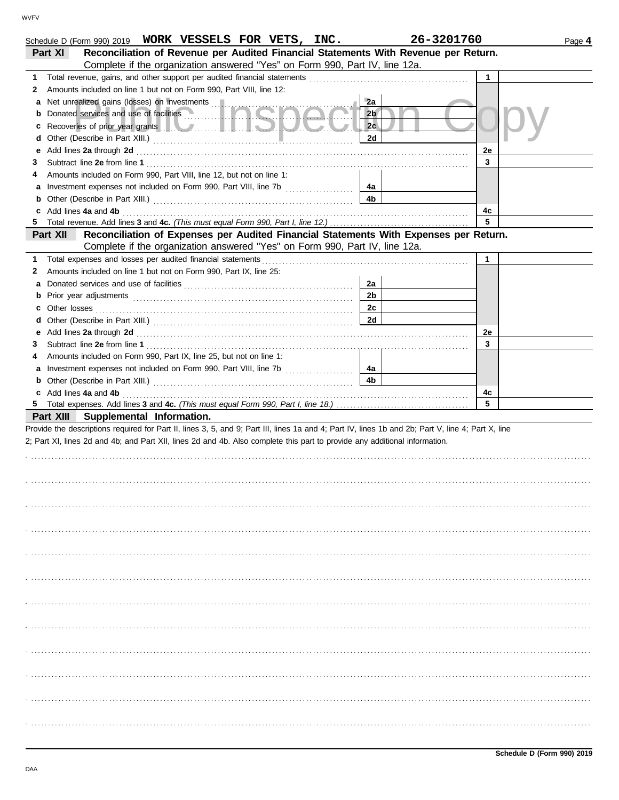|   | Schedule D (Form 990) 2019 WORK VESSELS FOR VETS, INC.                                                                                                                                                                                                            | 26-3201760     |    | Page 4 |  |
|---|-------------------------------------------------------------------------------------------------------------------------------------------------------------------------------------------------------------------------------------------------------------------|----------------|----|--------|--|
|   | Reconciliation of Revenue per Audited Financial Statements With Revenue per Return.<br>Part XI                                                                                                                                                                    |                |    |        |  |
|   | Complete if the organization answered "Yes" on Form 990, Part IV, line 12a.                                                                                                                                                                                       |                |    |        |  |
| 1 | Total revenue, gains, and other support per audited financial statements                                                                                                                                                                                          |                | 1  |        |  |
| 2 | Amounts included on line 1 but not on Form 990, Part VIII, line 12:                                                                                                                                                                                               |                |    |        |  |
| а | Net unrealized gains (losses) on investments                                                                                                                                                                                                                      | 2a             |    |        |  |
|   | Donated services and use of facilities                                                                                                                                                                                                                            | 2 <sub>b</sub> |    |        |  |
| c | Recoveries of prior year grants <b>the contract of the contract of prior</b>                                                                                                                                                                                      | 2c             |    |        |  |
| d |                                                                                                                                                                                                                                                                   | 2d             |    |        |  |
| е |                                                                                                                                                                                                                                                                   |                | 2e |        |  |
| 3 |                                                                                                                                                                                                                                                                   |                | 3  |        |  |
|   | Amounts included on Form 990, Part VIII, line 12, but not on line 1:                                                                                                                                                                                              |                |    |        |  |
|   |                                                                                                                                                                                                                                                                   | 4a             |    |        |  |
|   | <b>b</b> Other (Describe in Part XIII.) <b>CONSIDENT DESCRIPTION DESCRIPTION DESCRIPTION DESCRIPTION DESCRIPTION DESCRIPTION DESCRIPTION DESCRIPTION DESCRIPTION DESCRIPTION DESCRIPTION DESCRIPTION DESCRI</b>                                                   | 4b             |    |        |  |
|   | c Add lines 4a and 4b                                                                                                                                                                                                                                             |                | 4c |        |  |
|   |                                                                                                                                                                                                                                                                   |                | 5  |        |  |
|   | Reconciliation of Expenses per Audited Financial Statements With Expenses per Return.<br>Part XII                                                                                                                                                                 |                |    |        |  |
|   | Complete if the organization answered "Yes" on Form 990, Part IV, line 12a.                                                                                                                                                                                       |                |    |        |  |
| 1 | Total expenses and losses per audited financial statements                                                                                                                                                                                                        |                | 1  |        |  |
| 2 | Amounts included on line 1 but not on Form 990, Part IX, line 25:                                                                                                                                                                                                 |                |    |        |  |
| а |                                                                                                                                                                                                                                                                   | 2a             |    |        |  |
| b |                                                                                                                                                                                                                                                                   | 2 <sub>b</sub> |    |        |  |
|   |                                                                                                                                                                                                                                                                   | 2c             |    |        |  |
| d |                                                                                                                                                                                                                                                                   | 2d             |    |        |  |
| е |                                                                                                                                                                                                                                                                   |                | 2e |        |  |
| 3 |                                                                                                                                                                                                                                                                   |                | 3  |        |  |
|   | Amounts included on Form 990, Part IX, line 25, but not on line 1:                                                                                                                                                                                                |                |    |        |  |
|   | a Investment expenses not included on Form 990, Part VIII, line 7b [100] [100] [100] [100] [100] [100] [100] [100] [100] [100] [100] [100] [100] [100] [100] [100] [100] [100] [100] [100] [100] [100] [100] [100] [100] [100]                                    | 4a<br>4b       |    |        |  |
|   | <b>b</b> Other (Describe in Part XIII.) <b>CONSIDENT</b> 2014 12:2010 12:2010 12:2010 12:2010 12:2010 12:2010 12:2010 12:2010 12:2010 12:2010 12:2010 12:2010 12:2010 12:2010 12:2010 12:2010 12:2010 12:2010 12:2010 12:2010 12:2010 12<br>c Add lines 4a and 4b |                | 4c |        |  |
|   |                                                                                                                                                                                                                                                                   |                | 5  |        |  |
|   | Part XIII Supplemental Information.                                                                                                                                                                                                                               |                |    |        |  |
|   | Provide the descriptions required for Part II, lines 3, 5, and 9; Part III, lines 1a and 4; Part IV, lines 1b and 2b; Part V, line 4; Part X, line                                                                                                                |                |    |        |  |
|   | 2; Part XI, lines 2d and 4b; and Part XII, lines 2d and 4b. Also complete this part to provide any additional information.                                                                                                                                        |                |    |        |  |
|   |                                                                                                                                                                                                                                                                   |                |    |        |  |
|   |                                                                                                                                                                                                                                                                   |                |    |        |  |
|   |                                                                                                                                                                                                                                                                   |                |    |        |  |
|   |                                                                                                                                                                                                                                                                   |                |    |        |  |
|   |                                                                                                                                                                                                                                                                   |                |    |        |  |
|   |                                                                                                                                                                                                                                                                   |                |    |        |  |
|   |                                                                                                                                                                                                                                                                   |                |    |        |  |
|   |                                                                                                                                                                                                                                                                   |                |    |        |  |
|   |                                                                                                                                                                                                                                                                   |                |    |        |  |
|   |                                                                                                                                                                                                                                                                   |                |    |        |  |
|   |                                                                                                                                                                                                                                                                   |                |    |        |  |
|   |                                                                                                                                                                                                                                                                   |                |    |        |  |
|   |                                                                                                                                                                                                                                                                   |                |    |        |  |
|   |                                                                                                                                                                                                                                                                   |                |    |        |  |
|   |                                                                                                                                                                                                                                                                   |                |    |        |  |
|   |                                                                                                                                                                                                                                                                   |                |    |        |  |
|   |                                                                                                                                                                                                                                                                   |                |    |        |  |
|   |                                                                                                                                                                                                                                                                   |                |    |        |  |
|   |                                                                                                                                                                                                                                                                   |                |    |        |  |
|   |                                                                                                                                                                                                                                                                   |                |    |        |  |
|   |                                                                                                                                                                                                                                                                   |                |    |        |  |
|   |                                                                                                                                                                                                                                                                   |                |    |        |  |
|   |                                                                                                                                                                                                                                                                   |                |    |        |  |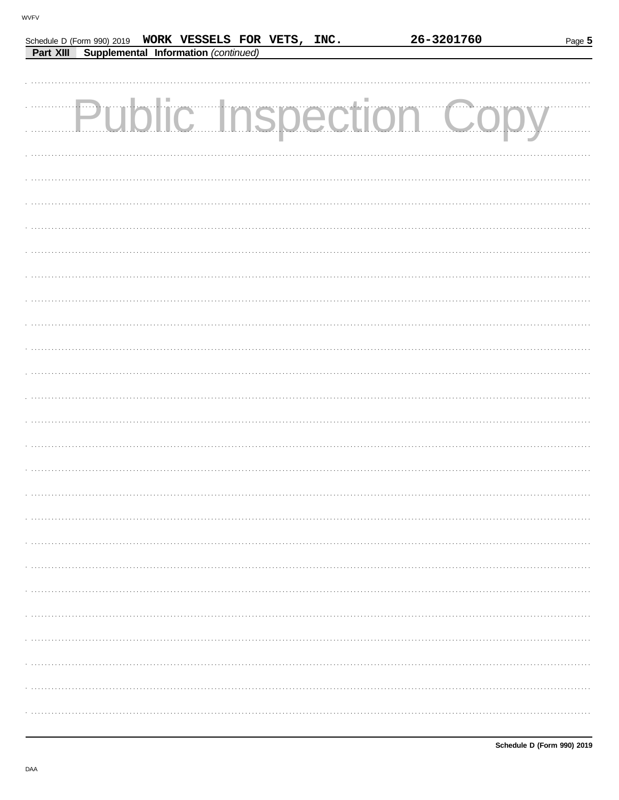| Schedule D (Form 990) 2019  WORK VESSELS FOR VETS, INC. | 26-3201760 | Page 5 |
|---------------------------------------------------------|------------|--------|
| Part XIII Supplemental Information (continued)          |            |        |
|                                                         |            |        |
|                                                         |            |        |
| Public Inspection Copy                                  |            |        |
|                                                         |            |        |
|                                                         |            |        |
|                                                         |            |        |
|                                                         |            |        |
|                                                         |            |        |
|                                                         |            |        |
|                                                         |            |        |
|                                                         |            |        |
|                                                         |            |        |
|                                                         |            |        |
|                                                         |            |        |
|                                                         |            |        |
|                                                         |            |        |
|                                                         |            |        |
|                                                         |            |        |
|                                                         |            |        |
|                                                         |            |        |
|                                                         |            |        |
|                                                         |            |        |
|                                                         |            |        |
|                                                         |            |        |
|                                                         |            |        |
|                                                         |            |        |
|                                                         |            |        |
|                                                         |            |        |
|                                                         |            |        |
|                                                         |            |        |
|                                                         |            |        |
|                                                         |            |        |
|                                                         |            |        |
|                                                         |            |        |
|                                                         |            |        |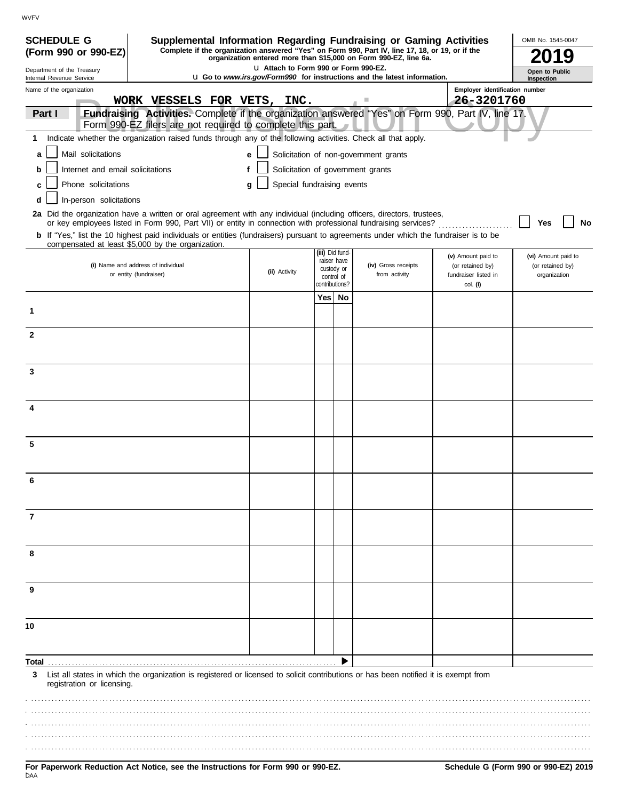| <b>SCHEDULE G</b><br>Supplemental Information Regarding Fundraising or Gaming Activities                                                                                                                                                 |                                                                                                                          |                                |                                       |                                          | OMB No. 1545-0047                |
|------------------------------------------------------------------------------------------------------------------------------------------------------------------------------------------------------------------------------------------|--------------------------------------------------------------------------------------------------------------------------|--------------------------------|---------------------------------------|------------------------------------------|----------------------------------|
| Complete if the organization answered "Yes" on Form 990, Part IV, line 17, 18, or 19, or if the<br>(Form 990 or 990-EZ)                                                                                                                  | organization entered more than \$15,000 on Form 990-EZ, line 6a.                                                         |                                |                                       |                                          |                                  |
| Department of the Treasury<br>Internal Revenue Service                                                                                                                                                                                   | LI Attach to Form 990 or Form 990-EZ.<br><b>u</b> Go to www.irs.gov/Form990 for instructions and the latest information. |                                |                                       |                                          | Open to Public<br>Inspection     |
| Name of the organization                                                                                                                                                                                                                 |                                                                                                                          |                                |                                       | Employer identification number           |                                  |
| WORK VESSELS FOR VETS, INC.<br>Fundraising Activities. Complete if the organization answered "Yes" on Form 990, Part IV, line 17.<br>Part I                                                                                              |                                                                                                                          |                                |                                       | 26-3201760                               |                                  |
| Form 990-EZ filers are not required to complete this part.                                                                                                                                                                               |                                                                                                                          |                                |                                       |                                          |                                  |
| Indicate whether the organization raised funds through any of the following activities. Check all that apply.<br>1.                                                                                                                      |                                                                                                                          |                                |                                       |                                          |                                  |
| Mail solicitations<br>a                                                                                                                                                                                                                  | е                                                                                                                        |                                | Solicitation of non-government grants |                                          |                                  |
| Internet and email solicitations<br>b                                                                                                                                                                                                    | f                                                                                                                        |                                | Solicitation of government grants     |                                          |                                  |
| Phone solicitations<br>C                                                                                                                                                                                                                 | Special fundraising events<br>a                                                                                          |                                |                                       |                                          |                                  |
| In-person solicitations<br>d                                                                                                                                                                                                             |                                                                                                                          |                                |                                       |                                          |                                  |
| 2a Did the organization have a written or oral agreement with any individual (including officers, directors, trustees,<br>or key employees listed in Form 990, Part VII) or entity in connection with professional fundraising services? |                                                                                                                          |                                |                                       |                                          | No<br>Yes                        |
| b If "Yes," list the 10 highest paid individuals or entities (fundraisers) pursuant to agreements under which the fundraiser is to be<br>compensated at least \$5,000 by the organization.                                               |                                                                                                                          |                                |                                       |                                          |                                  |
|                                                                                                                                                                                                                                          |                                                                                                                          | (iii) Did fund-<br>raiser have |                                       | (v) Amount paid to                       | (vi) Amount paid to              |
| (i) Name and address of individual<br>or entity (fundraiser)                                                                                                                                                                             | (ii) Activity                                                                                                            | custody or<br>control of       | (iv) Gross receipts<br>from activity  | (or retained by)<br>fundraiser listed in | (or retained by)<br>organization |
|                                                                                                                                                                                                                                          |                                                                                                                          | contributions?                 |                                       | col. (i)                                 |                                  |
|                                                                                                                                                                                                                                          |                                                                                                                          | Yes l                          | No                                    |                                          |                                  |
| 1                                                                                                                                                                                                                                        |                                                                                                                          |                                |                                       |                                          |                                  |
| $\mathbf{2}$                                                                                                                                                                                                                             |                                                                                                                          |                                |                                       |                                          |                                  |
|                                                                                                                                                                                                                                          |                                                                                                                          |                                |                                       |                                          |                                  |
| 3                                                                                                                                                                                                                                        |                                                                                                                          |                                |                                       |                                          |                                  |
|                                                                                                                                                                                                                                          |                                                                                                                          |                                |                                       |                                          |                                  |
|                                                                                                                                                                                                                                          |                                                                                                                          |                                |                                       |                                          |                                  |
| 4                                                                                                                                                                                                                                        |                                                                                                                          |                                |                                       |                                          |                                  |
|                                                                                                                                                                                                                                          |                                                                                                                          |                                |                                       |                                          |                                  |
| 5                                                                                                                                                                                                                                        |                                                                                                                          |                                |                                       |                                          |                                  |
|                                                                                                                                                                                                                                          |                                                                                                                          |                                |                                       |                                          |                                  |
|                                                                                                                                                                                                                                          |                                                                                                                          |                                |                                       |                                          |                                  |
|                                                                                                                                                                                                                                          |                                                                                                                          |                                |                                       |                                          |                                  |
| 7                                                                                                                                                                                                                                        |                                                                                                                          |                                |                                       |                                          |                                  |
|                                                                                                                                                                                                                                          |                                                                                                                          |                                |                                       |                                          |                                  |
|                                                                                                                                                                                                                                          |                                                                                                                          |                                |                                       |                                          |                                  |
| 8                                                                                                                                                                                                                                        |                                                                                                                          |                                |                                       |                                          |                                  |
|                                                                                                                                                                                                                                          |                                                                                                                          |                                |                                       |                                          |                                  |
| 9                                                                                                                                                                                                                                        |                                                                                                                          |                                |                                       |                                          |                                  |
|                                                                                                                                                                                                                                          |                                                                                                                          |                                |                                       |                                          |                                  |
| 10                                                                                                                                                                                                                                       |                                                                                                                          |                                |                                       |                                          |                                  |
|                                                                                                                                                                                                                                          |                                                                                                                          |                                |                                       |                                          |                                  |
| Total                                                                                                                                                                                                                                    |                                                                                                                          |                                |                                       |                                          |                                  |
| List all states in which the organization is registered or licensed to solicit contributions or has been notified it is exempt from<br>3<br>registration or licensing.                                                                   |                                                                                                                          |                                |                                       |                                          |                                  |
|                                                                                                                                                                                                                                          |                                                                                                                          |                                |                                       |                                          |                                  |
|                                                                                                                                                                                                                                          |                                                                                                                          |                                |                                       |                                          |                                  |
|                                                                                                                                                                                                                                          |                                                                                                                          |                                |                                       |                                          |                                  |
|                                                                                                                                                                                                                                          |                                                                                                                          |                                |                                       |                                          |                                  |
|                                                                                                                                                                                                                                          |                                                                                                                          |                                |                                       |                                          |                                  |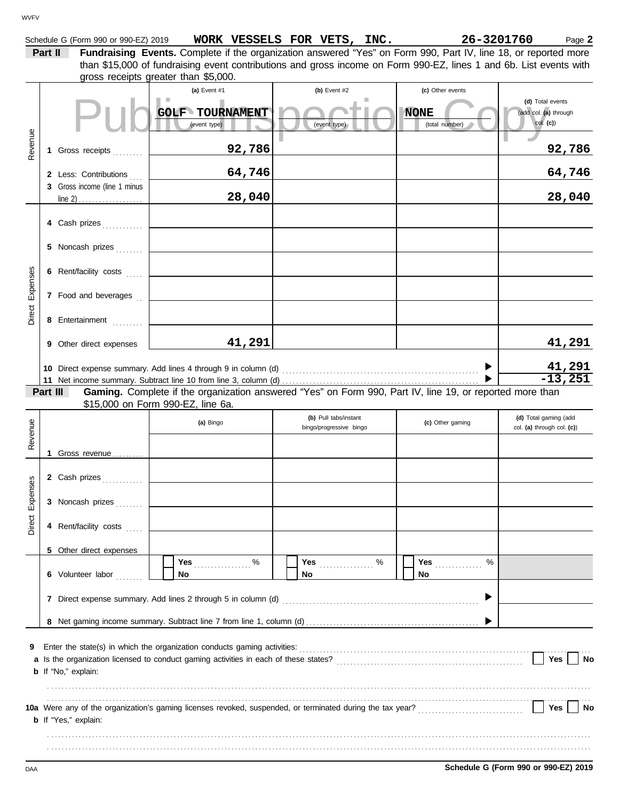# Schedule G (Form 990 or 990-EZ) 2019 **WORK VESSELS FOR VETS, INC. 26-3201760** Page 2

|         | Schedule G (Form 990 or 990-EZ) 2019 | WORK VESSELS FOR VETS, INC. |  | 26-3201760                                                                                                         | Page 2 |
|---------|--------------------------------------|-----------------------------|--|--------------------------------------------------------------------------------------------------------------------|--------|
| Part II |                                      |                             |  | Fundraising Events. Complete if the organization answered "Yes" on Form 990, Part IV, line 18, or reported more    |        |
|         |                                      |                             |  | than \$15,000 of fundraising event contributions and gross income on Form 990-EZ, lines 1 and 6b. List events with |        |
|         | gross receipts greater than \$5,000. |                             |  |                                                                                                                    |        |

|                 |          |                              | (a) Event $#1$<br><b>GOLF TOURNAMENT</b><br>(event type)                                                 | (b) Event #2<br>(event type) | (c) Other events<br><b>NONE</b><br>(total number) | (d) Total events<br>(add col. (a) through<br>col. (c) |
|-----------------|----------|------------------------------|----------------------------------------------------------------------------------------------------------|------------------------------|---------------------------------------------------|-------------------------------------------------------|
| Revenue         |          | 1 Gross receipts             | 92,786                                                                                                   |                              |                                                   | 92,786                                                |
|                 |          | 2 Less: Contributions        | 64,746                                                                                                   |                              |                                                   | 64,746                                                |
|                 |          | 3 Gross income (line 1 minus | 28,040                                                                                                   |                              |                                                   | 28,040                                                |
|                 |          | 4 Cash prizes                |                                                                                                          |                              |                                                   |                                                       |
|                 |          | 5 Noncash prizes             |                                                                                                          |                              |                                                   |                                                       |
|                 |          | 6 Rent/facility costs        |                                                                                                          |                              |                                                   |                                                       |
| Direct Expenses |          | 7 Food and beverages         |                                                                                                          |                              |                                                   |                                                       |
|                 |          | 8 Entertainment              |                                                                                                          |                              |                                                   |                                                       |
|                 |          | 9 Other direct expenses      | 41,291                                                                                                   |                              |                                                   | 41,291                                                |
|                 |          |                              |                                                                                                          |                              |                                                   | $\frac{41,291}{-13,251}$                              |
|                 | Part III |                              | Gaming. Complete if the organization answered "Yes" on Form 990, Part IV, line 19, or reported more than |                              |                                                   |                                                       |
|                 |          |                              | \$15,000 on Form 990-EZ, line 6a.                                                                        |                              |                                                   |                                                       |
|                 |          |                              |                                                                                                          | (b) Pull tabs/instant        |                                                   | (d) Total gaming (add                                 |
|                 |          |                              | (a) Bingo                                                                                                | bingo/progressive bingo      | (c) Other gaming                                  | col. (a) through col. (c))                            |
| Revenue         |          |                              |                                                                                                          |                              |                                                   |                                                       |
|                 |          | 1 Gross revenue              |                                                                                                          |                              |                                                   |                                                       |
|                 |          |                              |                                                                                                          |                              |                                                   |                                                       |
|                 |          | 2 Cash prizes                |                                                                                                          |                              |                                                   |                                                       |
| Expenses        |          | 3 Noncash prizes             |                                                                                                          |                              |                                                   |                                                       |
| Direct          |          | 4 Rent/facility costs        |                                                                                                          |                              |                                                   |                                                       |
|                 |          | 5 Other direct expenses      |                                                                                                          |                              |                                                   |                                                       |
|                 |          |                              | Yes<br>%<br>.                                                                                            | Yes<br>$\%$<br>.             | Yes<br>$\%$                                       |                                                       |
|                 |          | 6 Volunteer labor            | No                                                                                                       | No                           | No.                                               |                                                       |
|                 |          |                              | 7 Direct expense summary. Add lines 2 through 5 in column (d)                                            |                              |                                                   |                                                       |
|                 |          |                              |                                                                                                          |                              |                                                   |                                                       |
|                 |          |                              |                                                                                                          |                              |                                                   |                                                       |
| 9               |          |                              | Enter the state(s) in which the organization conducts gaming activities:                                 |                              |                                                   |                                                       |
|                 |          |                              |                                                                                                          |                              |                                                   | Yes<br>No                                             |
|                 |          | <b>b</b> If "No," explain:   |                                                                                                          |                              |                                                   |                                                       |
|                 |          |                              |                                                                                                          |                              |                                                   |                                                       |
|                 |          |                              |                                                                                                          |                              |                                                   |                                                       |
|                 |          |                              |                                                                                                          |                              |                                                   | Yes<br>No                                             |
|                 |          | <b>b</b> If "Yes," explain:  |                                                                                                          |                              |                                                   |                                                       |
|                 |          |                              |                                                                                                          |                              |                                                   |                                                       |
|                 |          |                              |                                                                                                          |                              |                                                   |                                                       |
| DAA             |          |                              |                                                                                                          |                              |                                                   | Schedule G (Form 990 or 990-EZ) 2019                  |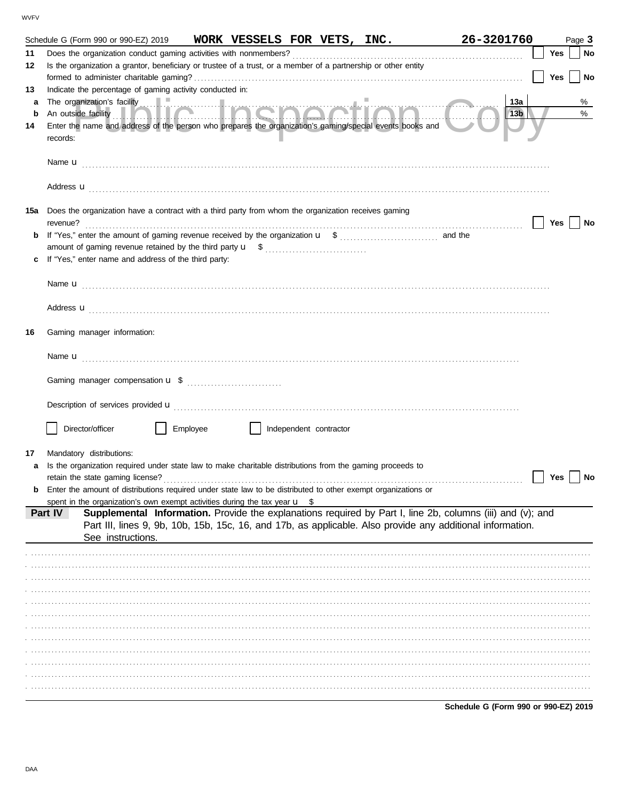|     |          | Schedule G (Form 990 or 990-EZ) 2019 |                                                                                                                | WORK VESSELS FOR VETS, INC. |  | 26-3201760                                                                                                 |     | Page 3    |
|-----|----------|--------------------------------------|----------------------------------------------------------------------------------------------------------------|-----------------------------|--|------------------------------------------------------------------------------------------------------------|-----|-----------|
| 11  |          |                                      | Does the organization conduct gaming activities with nonmembers?                                               |                             |  |                                                                                                            | Yes | No        |
| 12  |          |                                      | Is the organization a grantor, beneficiary or trustee of a trust, or a member of a partnership or other entity |                             |  |                                                                                                            |     |           |
|     |          |                                      |                                                                                                                |                             |  |                                                                                                            | Yes | $ $ No    |
| 13  |          |                                      | Indicate the percentage of gaming activity conducted in:                                                       |                             |  |                                                                                                            |     |           |
| a   |          |                                      |                                                                                                                |                             |  | 13a                                                                                                        |     | %         |
| b   |          |                                      |                                                                                                                |                             |  | 13b                                                                                                        |     | $\%$      |
| 14  |          |                                      | Enter the name and address of the person who prepares the organization's gaming/special events books and       |                             |  |                                                                                                            |     |           |
|     | records: |                                      |                                                                                                                |                             |  |                                                                                                            |     |           |
|     |          |                                      |                                                                                                                |                             |  |                                                                                                            |     |           |
|     |          |                                      |                                                                                                                |                             |  |                                                                                                            |     |           |
|     |          |                                      |                                                                                                                |                             |  | Name $\mathbf{u}$                                                                                          |     |           |
|     |          |                                      |                                                                                                                |                             |  |                                                                                                            |     |           |
|     |          |                                      |                                                                                                                |                             |  | Address <b>u</b>                                                                                           |     |           |
|     |          |                                      |                                                                                                                |                             |  |                                                                                                            |     |           |
| 15a |          |                                      | Does the organization have a contract with a third party from whom the organization receives gaming            |                             |  |                                                                                                            |     |           |
|     | revenue? |                                      |                                                                                                                |                             |  |                                                                                                            | Yes | No        |
| b   |          |                                      |                                                                                                                |                             |  |                                                                                                            |     |           |
|     |          |                                      |                                                                                                                |                             |  |                                                                                                            |     |           |
|     |          |                                      | If "Yes," enter name and address of the third party:                                                           |                             |  |                                                                                                            |     |           |
|     |          |                                      |                                                                                                                |                             |  |                                                                                                            |     |           |
|     |          |                                      |                                                                                                                |                             |  | Name $\mathbf{u}$                                                                                          |     |           |
|     |          |                                      |                                                                                                                |                             |  |                                                                                                            |     |           |
|     |          |                                      |                                                                                                                |                             |  | Address <b>u</b>                                                                                           |     |           |
|     |          |                                      |                                                                                                                |                             |  |                                                                                                            |     |           |
| 16  |          | Gaming manager information:          |                                                                                                                |                             |  |                                                                                                            |     |           |
|     |          |                                      |                                                                                                                |                             |  |                                                                                                            |     |           |
|     |          |                                      |                                                                                                                |                             |  |                                                                                                            |     |           |
|     |          |                                      |                                                                                                                |                             |  |                                                                                                            |     |           |
|     |          |                                      |                                                                                                                |                             |  |                                                                                                            |     |           |
|     |          |                                      |                                                                                                                |                             |  |                                                                                                            |     |           |
|     |          |                                      |                                                                                                                |                             |  |                                                                                                            |     |           |
|     |          |                                      |                                                                                                                |                             |  |                                                                                                            |     |           |
|     |          | Director/officer                     | Employee                                                                                                       | Independent contractor      |  |                                                                                                            |     |           |
|     |          |                                      |                                                                                                                |                             |  |                                                                                                            |     |           |
| 17  |          | Mandatory distributions:             |                                                                                                                |                             |  |                                                                                                            |     |           |
| a   |          |                                      | Is the organization required under state law to make charitable distributions from the gaming proceeds to      |                             |  |                                                                                                            |     |           |
|     |          |                                      |                                                                                                                |                             |  |                                                                                                            | Yes | <b>No</b> |
|     |          |                                      | Enter the amount of distributions required under state law to be distributed to other exempt organizations or  |                             |  |                                                                                                            |     |           |
|     |          |                                      | spent in the organization's own exempt activities during the tax year $\mathbf{u}$ \$                          |                             |  |                                                                                                            |     |           |
|     | Part IV  |                                      |                                                                                                                |                             |  | Supplemental Information. Provide the explanations required by Part I, line 2b, columns (iii) and (v); and |     |           |
|     |          |                                      |                                                                                                                |                             |  | Part III, lines 9, 9b, 10b, 15b, 15c, 16, and 17b, as applicable. Also provide any additional information. |     |           |
|     |          | See instructions.                    |                                                                                                                |                             |  |                                                                                                            |     |           |
|     |          |                                      |                                                                                                                |                             |  |                                                                                                            |     |           |
|     |          |                                      |                                                                                                                |                             |  |                                                                                                            |     |           |
|     |          |                                      |                                                                                                                |                             |  |                                                                                                            |     |           |
|     |          |                                      |                                                                                                                |                             |  |                                                                                                            |     |           |
|     |          |                                      |                                                                                                                |                             |  |                                                                                                            |     |           |
|     |          |                                      |                                                                                                                |                             |  |                                                                                                            |     |           |
|     |          |                                      |                                                                                                                |                             |  |                                                                                                            |     |           |
|     |          |                                      |                                                                                                                |                             |  |                                                                                                            |     |           |
|     |          |                                      |                                                                                                                |                             |  |                                                                                                            |     |           |
|     |          |                                      |                                                                                                                |                             |  |                                                                                                            |     |           |
|     |          |                                      |                                                                                                                |                             |  |                                                                                                            |     |           |
|     |          |                                      |                                                                                                                |                             |  |                                                                                                            |     |           |
|     |          |                                      |                                                                                                                |                             |  |                                                                                                            |     |           |
|     |          |                                      |                                                                                                                |                             |  |                                                                                                            |     |           |

Schedule G (Form 990 or 990-EZ) 2019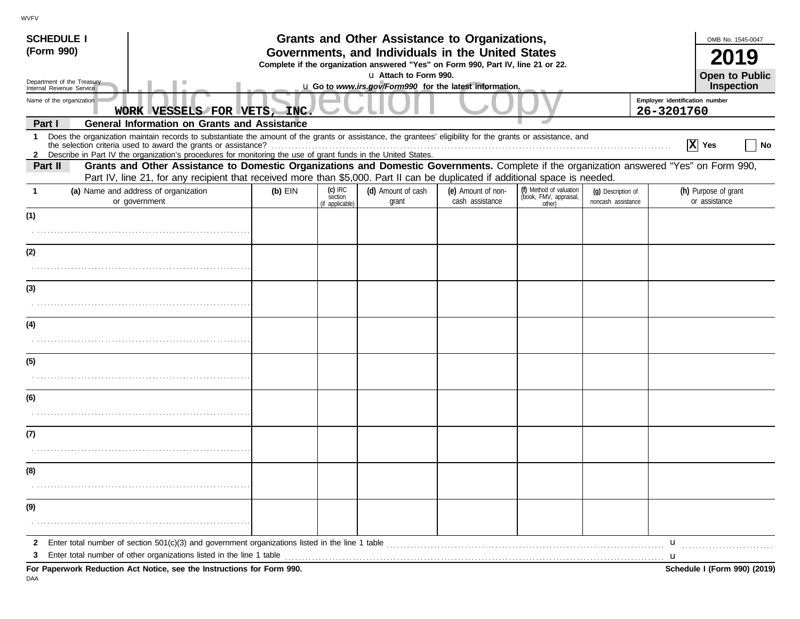| <b>SCHEDULE I</b><br>(Form 990)                      |                                                                                                                                                                                                                                                                                                                                                 | Grants and Other Assistance to Organizations,<br>Governments, and Individuals in the United States<br>Complete if the organization answered "Yes" on Form 990, Part IV, line 21 or 22. |                                         | OMB No. 1545-0047                                                                |                                       |                                                             |                                          |              |                                              |    |  |
|------------------------------------------------------|-------------------------------------------------------------------------------------------------------------------------------------------------------------------------------------------------------------------------------------------------------------------------------------------------------------------------------------------------|----------------------------------------------------------------------------------------------------------------------------------------------------------------------------------------|-----------------------------------------|----------------------------------------------------------------------------------|---------------------------------------|-------------------------------------------------------------|------------------------------------------|--------------|----------------------------------------------|----|--|
| Department of the Treasury                           |                                                                                                                                                                                                                                                                                                                                                 |                                                                                                                                                                                        |                                         | u Attach to Form 990.<br>u Go to www.irs.gov/Form990 for the latest information. |                                       |                                                             |                                          |              | <b>Open to Public</b>                        |    |  |
| Internal Revenue Service<br>Name of the organization | WORK VESSELS FOR VETS, INC.                                                                                                                                                                                                                                                                                                                     |                                                                                                                                                                                        |                                         |                                                                                  |                                       |                                                             |                                          | 26-3201760   | Inspection<br>Employer identification number |    |  |
| Part I                                               | <b>General Information on Grants and Assistance</b>                                                                                                                                                                                                                                                                                             |                                                                                                                                                                                        |                                         |                                                                                  |                                       |                                                             |                                          |              |                                              |    |  |
| $\mathbf{1}$                                         | Does the organization maintain records to substantiate the amount of the grants or assistance, the grantees' eligibility for the grants or assistance, and<br>the selection criteria used to award the grants or assistance?<br>2 Describe in Part IV the organization's procedures for monitoring the use of grant funds in the United States. |                                                                                                                                                                                        |                                         |                                                                                  |                                       |                                                             |                                          |              | $ X $ Yes                                    | No |  |
| Part II                                              | Grants and Other Assistance to Domestic Organizations and Domestic Governments. Complete if the organization answered "Yes" on Form 990,<br>Part IV, line 21, for any recipient that received more than \$5,000. Part II can be duplicated if additional space is needed.                                                                       |                                                                                                                                                                                        |                                         |                                                                                  |                                       |                                                             |                                          |              |                                              |    |  |
| -1                                                   | (a) Name and address of organization<br>or government                                                                                                                                                                                                                                                                                           | $(b)$ EIN                                                                                                                                                                              | $(c)$ IRC<br>section<br>(if applicable) | (d) Amount of cash<br>grant                                                      | (e) Amount of non-<br>cash assistance | (f) Method of valuation<br>(book, FMV, appraisal,<br>other) | (q) Description of<br>noncash assistance |              | (h) Purpose of grant<br>or assistance        |    |  |
| (1)                                                  |                                                                                                                                                                                                                                                                                                                                                 |                                                                                                                                                                                        |                                         |                                                                                  |                                       |                                                             |                                          |              |                                              |    |  |
|                                                      |                                                                                                                                                                                                                                                                                                                                                 |                                                                                                                                                                                        |                                         |                                                                                  |                                       |                                                             |                                          |              |                                              |    |  |
| (2)                                                  |                                                                                                                                                                                                                                                                                                                                                 |                                                                                                                                                                                        |                                         |                                                                                  |                                       |                                                             |                                          |              |                                              |    |  |
|                                                      |                                                                                                                                                                                                                                                                                                                                                 |                                                                                                                                                                                        |                                         |                                                                                  |                                       |                                                             |                                          |              |                                              |    |  |
| (3)                                                  |                                                                                                                                                                                                                                                                                                                                                 |                                                                                                                                                                                        |                                         |                                                                                  |                                       |                                                             |                                          |              |                                              |    |  |
|                                                      |                                                                                                                                                                                                                                                                                                                                                 |                                                                                                                                                                                        |                                         |                                                                                  |                                       |                                                             |                                          |              |                                              |    |  |
| (4)                                                  |                                                                                                                                                                                                                                                                                                                                                 |                                                                                                                                                                                        |                                         |                                                                                  |                                       |                                                             |                                          |              |                                              |    |  |
| (5)                                                  |                                                                                                                                                                                                                                                                                                                                                 |                                                                                                                                                                                        |                                         |                                                                                  |                                       |                                                             |                                          |              |                                              |    |  |
|                                                      |                                                                                                                                                                                                                                                                                                                                                 |                                                                                                                                                                                        |                                         |                                                                                  |                                       |                                                             |                                          |              |                                              |    |  |
| (6)                                                  |                                                                                                                                                                                                                                                                                                                                                 |                                                                                                                                                                                        |                                         |                                                                                  |                                       |                                                             |                                          |              |                                              |    |  |
|                                                      |                                                                                                                                                                                                                                                                                                                                                 |                                                                                                                                                                                        |                                         |                                                                                  |                                       |                                                             |                                          |              |                                              |    |  |
| (7)                                                  |                                                                                                                                                                                                                                                                                                                                                 |                                                                                                                                                                                        |                                         |                                                                                  |                                       |                                                             |                                          |              |                                              |    |  |
|                                                      |                                                                                                                                                                                                                                                                                                                                                 |                                                                                                                                                                                        |                                         |                                                                                  |                                       |                                                             |                                          |              |                                              |    |  |
| (8)                                                  |                                                                                                                                                                                                                                                                                                                                                 |                                                                                                                                                                                        |                                         |                                                                                  |                                       |                                                             |                                          |              |                                              |    |  |
|                                                      |                                                                                                                                                                                                                                                                                                                                                 |                                                                                                                                                                                        |                                         |                                                                                  |                                       |                                                             |                                          |              |                                              |    |  |
| (9)                                                  |                                                                                                                                                                                                                                                                                                                                                 |                                                                                                                                                                                        |                                         |                                                                                  |                                       |                                                             |                                          |              |                                              |    |  |
|                                                      |                                                                                                                                                                                                                                                                                                                                                 |                                                                                                                                                                                        |                                         |                                                                                  |                                       |                                                             |                                          |              |                                              |    |  |
| 3                                                    | Enter total number of other organizations listed in the line 1 table <i>manufacture in the content of the line</i> 1 table manufacture in the line 1 table                                                                                                                                                                                      |                                                                                                                                                                                        |                                         |                                                                                  |                                       |                                                             |                                          | $\mathbf{u}$ |                                              |    |  |
|                                                      | For Paperwork Reduction Act Notice, see the Instructions for Form 990.                                                                                                                                                                                                                                                                          |                                                                                                                                                                                        |                                         |                                                                                  |                                       |                                                             |                                          |              | Schedule I (Form 990) (2019)                 |    |  |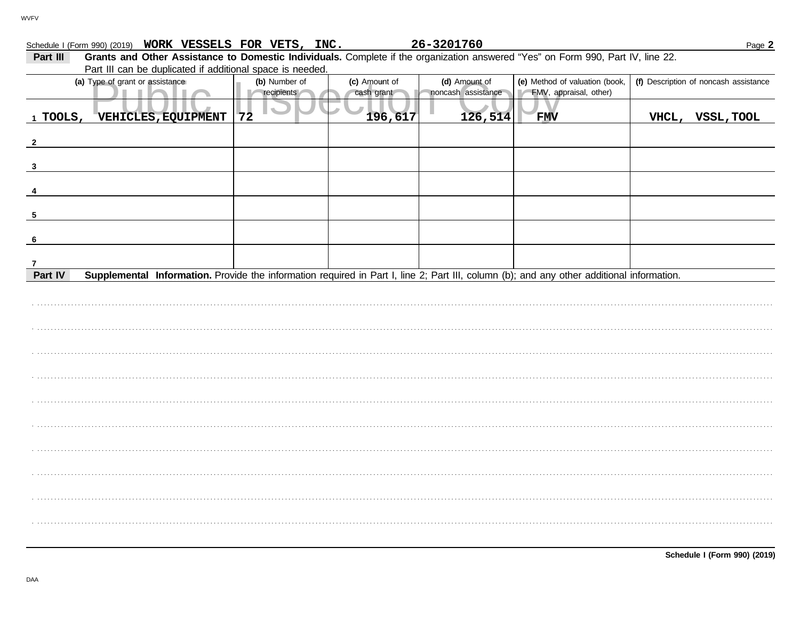|              | Schedule I (Form 990) (2019) WORK VESSELS FOR VETS, INC.                                                                                  |               |               | 26-3201760         |                                          | Page 2                                |  |
|--------------|-------------------------------------------------------------------------------------------------------------------------------------------|---------------|---------------|--------------------|------------------------------------------|---------------------------------------|--|
| Part III     | Grants and Other Assistance to Domestic Individuals. Complete if the organization answered "Yes" on Form 990, Part IV, line 22.           |               |               |                    |                                          |                                       |  |
|              | Part III can be duplicated if additional space is needed.                                                                                 |               |               |                    |                                          |                                       |  |
|              | (a) Type of grant or assistance                                                                                                           | (b) Number of | (c) Amount of | (d) Amount of      | (e) Method of valuation (book,           | (f) Description of noncash assistance |  |
|              | ш                                                                                                                                         | recipients    | cash grant    | noncash assistance | FMV, appraisal, other)<br>$\mathbb{R}^2$ |                                       |  |
| 1 TOOLS,     | <b>VEHICLES, EQUIPMENT</b>                                                                                                                | 72            | 196,617       | 126,514            | <b>FMV</b>                               | VHCL, VSSL, TOOL                      |  |
|              |                                                                                                                                           |               |               |                    |                                          |                                       |  |
| $\mathbf{2}$ |                                                                                                                                           |               |               |                    |                                          |                                       |  |
|              |                                                                                                                                           |               |               |                    |                                          |                                       |  |
| $\mathbf{3}$ |                                                                                                                                           |               |               |                    |                                          |                                       |  |
|              |                                                                                                                                           |               |               |                    |                                          |                                       |  |
|              |                                                                                                                                           |               |               |                    |                                          |                                       |  |
|              |                                                                                                                                           |               |               |                    |                                          |                                       |  |
| -5           |                                                                                                                                           |               |               |                    |                                          |                                       |  |
|              |                                                                                                                                           |               |               |                    |                                          |                                       |  |
| -6           |                                                                                                                                           |               |               |                    |                                          |                                       |  |
| 7            |                                                                                                                                           |               |               |                    |                                          |                                       |  |
| Part IV      | Supplemental Information. Provide the information required in Part I, line 2; Part III, column (b); and any other additional information. |               |               |                    |                                          |                                       |  |
|              |                                                                                                                                           |               |               |                    |                                          |                                       |  |
|              |                                                                                                                                           |               |               |                    |                                          |                                       |  |
|              |                                                                                                                                           |               |               |                    |                                          |                                       |  |
|              |                                                                                                                                           |               |               |                    |                                          |                                       |  |
|              |                                                                                                                                           |               |               |                    |                                          |                                       |  |
|              |                                                                                                                                           |               |               |                    |                                          |                                       |  |
|              |                                                                                                                                           |               |               |                    |                                          |                                       |  |
|              |                                                                                                                                           |               |               |                    |                                          |                                       |  |
|              |                                                                                                                                           |               |               |                    |                                          |                                       |  |
|              |                                                                                                                                           |               |               |                    |                                          |                                       |  |
|              |                                                                                                                                           |               |               |                    |                                          |                                       |  |
|              |                                                                                                                                           |               |               |                    |                                          |                                       |  |
|              |                                                                                                                                           |               |               |                    |                                          |                                       |  |
|              |                                                                                                                                           |               |               |                    |                                          |                                       |  |
|              |                                                                                                                                           |               |               |                    |                                          |                                       |  |
|              |                                                                                                                                           |               |               |                    |                                          |                                       |  |
|              |                                                                                                                                           |               |               |                    |                                          |                                       |  |
|              |                                                                                                                                           |               |               |                    |                                          |                                       |  |
|              |                                                                                                                                           |               |               |                    |                                          |                                       |  |
|              |                                                                                                                                           |               |               |                    |                                          |                                       |  |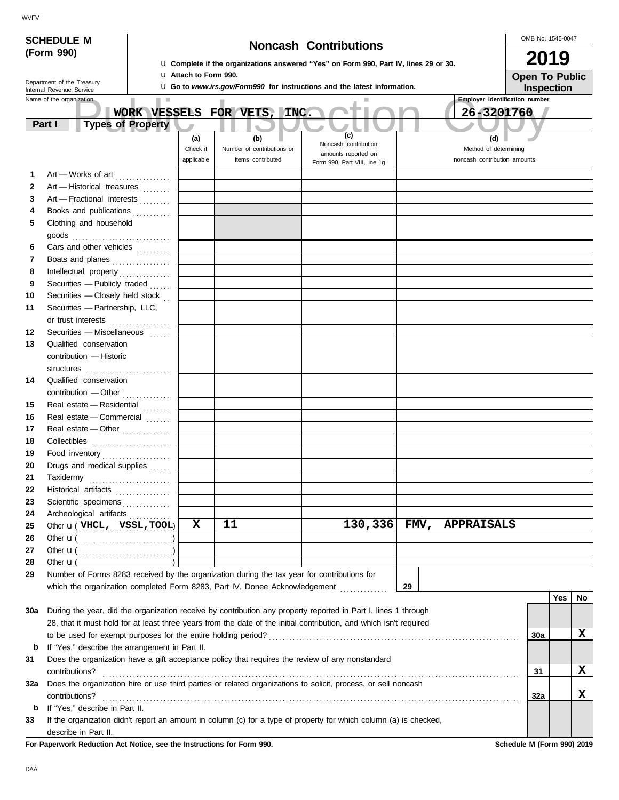|              | <b>SCHEDULE M</b>                                                                                                  |                              |                                                                                       |                                             |     |         |    |                              |                       | OMB No. 1545-0047                   |     |     |
|--------------|--------------------------------------------------------------------------------------------------------------------|------------------------------|---------------------------------------------------------------------------------------|---------------------------------------------|-----|---------|----|------------------------------|-----------------------|-------------------------------------|-----|-----|
|              | (Form 990)                                                                                                         |                              |                                                                                       | <b>Noncash Contributions</b>                |     |         |    |                              |                       | 2019                                |     |     |
|              |                                                                                                                    |                              | La Complete if the organizations answered "Yes" on Form 990, Part IV, lines 29 or 30. |                                             |     |         |    |                              |                       |                                     |     |     |
|              | Department of the Treasury                                                                                         | <b>u</b> Attach to Form 990. | <b>u</b> Go to www.irs.gov/Form990 for instructions and the latest information.       |                                             |     |         |    |                              |                       | <b>Open To Public</b><br>Inspection |     |     |
|              | Internal Revenue Service<br>Name of the organization                                                               |                              |                                                                                       |                                             |     |         |    |                              |                       | Employer identification number      |     |     |
|              |                                                                                                                    |                              | WORK VESSELS FOR VETS, INC.                                                           |                                             |     |         |    |                              | 26-3201760            |                                     |     |     |
|              | <b>Types of Property</b><br>Part I                                                                                 |                              |                                                                                       |                                             |     |         |    |                              |                       |                                     |     |     |
|              |                                                                                                                    | (a)                          | (b)                                                                                   |                                             | (c) |         |    |                              | (d) L                 |                                     |     |     |
|              |                                                                                                                    | Check if                     | Number of contributions or                                                            | Noncash contribution<br>amounts reported on |     |         |    |                              | Method of determining |                                     |     |     |
|              |                                                                                                                    | applicable                   | items contributed                                                                     | Form 990, Part VIII, line 1g                |     |         |    | noncash contribution amounts |                       |                                     |     |     |
| 1            | Art - Works of art<br>.                                                                                            |                              |                                                                                       |                                             |     |         |    |                              |                       |                                     |     |     |
| $\mathbf{2}$ | Art - Historical treasures                                                                                         |                              |                                                                                       |                                             |     |         |    |                              |                       |                                     |     |     |
| 3            | Art - Fractional interests                                                                                         |                              |                                                                                       |                                             |     |         |    |                              |                       |                                     |     |     |
| 4            | Books and publications                                                                                             |                              |                                                                                       |                                             |     |         |    |                              |                       |                                     |     |     |
| 5            | Clothing and household                                                                                             |                              |                                                                                       |                                             |     |         |    |                              |                       |                                     |     |     |
|              | goods                                                                                                              |                              |                                                                                       |                                             |     |         |    |                              |                       |                                     |     |     |
| 6            | Cars and other vehicles                                                                                            |                              |                                                                                       |                                             |     |         |    |                              |                       |                                     |     |     |
| 7            | Boats and planes                                                                                                   |                              |                                                                                       |                                             |     |         |    |                              |                       |                                     |     |     |
| 8            |                                                                                                                    |                              |                                                                                       |                                             |     |         |    |                              |                       |                                     |     |     |
| 9            | Securities - Publicly traded                                                                                       |                              |                                                                                       |                                             |     |         |    |                              |                       |                                     |     |     |
| 10           | Securities - Closely held stock                                                                                    |                              |                                                                                       |                                             |     |         |    |                              |                       |                                     |     |     |
| 11           | Securities - Partnership, LLC,                                                                                     |                              |                                                                                       |                                             |     |         |    |                              |                       |                                     |     |     |
| 12           | or trust interests<br>Securities - Miscellaneous                                                                   |                              |                                                                                       |                                             |     |         |    |                              |                       |                                     |     |     |
| 13           | Qualified conservation                                                                                             |                              |                                                                                       |                                             |     |         |    |                              |                       |                                     |     |     |
|              | contribution - Historic                                                                                            |                              |                                                                                       |                                             |     |         |    |                              |                       |                                     |     |     |
|              |                                                                                                                    |                              |                                                                                       |                                             |     |         |    |                              |                       |                                     |     |     |
| 14           | Qualified conservation                                                                                             |                              |                                                                                       |                                             |     |         |    |                              |                       |                                     |     |     |
|              | contribution - Other                                                                                               |                              |                                                                                       |                                             |     |         |    |                              |                       |                                     |     |     |
| 15           | Real estate - Residential                                                                                          |                              |                                                                                       |                                             |     |         |    |                              |                       |                                     |     |     |
| 16           | Real estate - Commercial                                                                                           |                              |                                                                                       |                                             |     |         |    |                              |                       |                                     |     |     |
| 17           | Real estate - Other                                                                                                |                              |                                                                                       |                                             |     |         |    |                              |                       |                                     |     |     |
| 18           | Collectibles                                                                                                       |                              |                                                                                       |                                             |     |         |    |                              |                       |                                     |     |     |
| 19           | Food inventory                                                                                                     |                              |                                                                                       |                                             |     |         |    |                              |                       |                                     |     |     |
| 20           | Drugs and medical supplies                                                                                         |                              |                                                                                       |                                             |     |         |    |                              |                       |                                     |     |     |
| 21           | Taxidermy                                                                                                          |                              |                                                                                       |                                             |     |         |    |                              |                       |                                     |     |     |
| 22           | Historical artifacts                                                                                               |                              |                                                                                       |                                             |     |         |    |                              |                       |                                     |     |     |
| 23           | Scientific specimens                                                                                               |                              |                                                                                       |                                             |     |         |    |                              |                       |                                     |     |     |
| 24           | Archeological artifacts                                                                                            |                              |                                                                                       |                                             |     |         |    |                              |                       |                                     |     |     |
| 25           | Other $\mathbf{u}$ ( VHCL, VSSL, TOOL)                                                                             | x                            | 11                                                                                    |                                             |     | 130,336 |    | FMV, APPRAISALS              |                       |                                     |     |     |
| 26           |                                                                                                                    |                              |                                                                                       |                                             |     |         |    |                              |                       |                                     |     |     |
| 27           | Other $\mathbf{u}(\dots, \dots, \dots, \dots, \dots)$                                                              |                              |                                                                                       |                                             |     |         |    |                              |                       |                                     |     |     |
| 28           | Other $\mathbf{u}$ (                                                                                               |                              |                                                                                       |                                             |     |         |    |                              |                       |                                     |     |     |
| 29           | Number of Forms 8283 received by the organization during the tax year for contributions for                        |                              |                                                                                       |                                             |     |         |    |                              |                       |                                     |     |     |
|              | which the organization completed Form 8283, Part IV, Donee Acknowledgement                                         |                              |                                                                                       |                                             |     |         | 29 |                              |                       |                                     | Yes | No. |
| 30a          | During the year, did the organization receive by contribution any property reported in Part I, lines 1 through     |                              |                                                                                       |                                             |     |         |    |                              |                       |                                     |     |     |
|              | 28, that it must hold for at least three years from the date of the initial contribution, and which isn't required |                              |                                                                                       |                                             |     |         |    |                              |                       |                                     |     |     |
|              | to be used for exempt purposes for the entire holding period?                                                      |                              |                                                                                       |                                             |     |         |    |                              |                       | <b>30a</b>                          |     | x   |
| b            | If "Yes," describe the arrangement in Part II.                                                                     |                              |                                                                                       |                                             |     |         |    |                              |                       |                                     |     |     |
| 31           | Does the organization have a gift acceptance policy that requires the review of any nonstandard                    |                              |                                                                                       |                                             |     |         |    |                              |                       |                                     |     |     |
|              | contributions?                                                                                                     |                              |                                                                                       |                                             |     |         |    |                              |                       | 31                                  |     | x   |
| 32a          | Does the organization hire or use third parties or related organizations to solicit, process, or sell noncash      |                              |                                                                                       |                                             |     |         |    |                              |                       |                                     |     |     |
|              | contributions?                                                                                                     |                              |                                                                                       |                                             |     |         |    |                              |                       | 32a                                 |     | x   |
| b            | If "Yes," describe in Part II.                                                                                     |                              |                                                                                       |                                             |     |         |    |                              |                       |                                     |     |     |
| 33           | If the organization didn't report an amount in column (c) for a type of property for which column (a) is checked,  |                              |                                                                                       |                                             |     |         |    |                              |                       |                                     |     |     |
|              | describe in Part II.                                                                                               |                              |                                                                                       |                                             |     |         |    |                              |                       |                                     |     |     |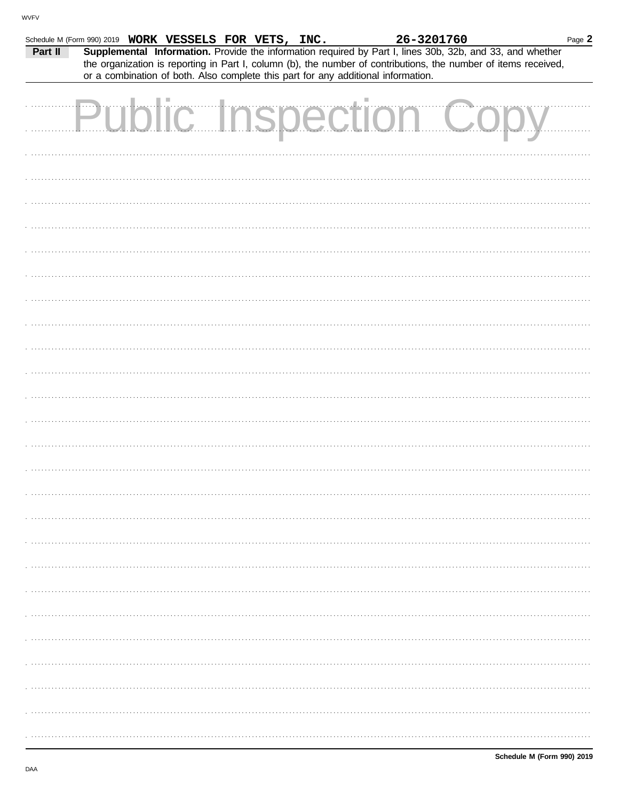| Schedule M (Form 990) 2019 WORK VESSELS FOR VETS, INC.                                                                                                                                               | 26-3201760 | Page 2 |
|------------------------------------------------------------------------------------------------------------------------------------------------------------------------------------------------------|------------|--------|
| Supplemental Information. Provide the information required by Part I, lines 30b, 32b, and 33, and whether<br>Part II                                                                                 |            |        |
| the organization is reporting in Part I, column (b), the number of contributions, the number of items received,<br>or a combination of both. Also complete this part for any additional information. |            |        |
|                                                                                                                                                                                                      |            |        |
| <b>Public Inspection Copy</b>                                                                                                                                                                        |            |        |
|                                                                                                                                                                                                      |            |        |
|                                                                                                                                                                                                      |            |        |
|                                                                                                                                                                                                      |            |        |
|                                                                                                                                                                                                      |            |        |
|                                                                                                                                                                                                      |            |        |
|                                                                                                                                                                                                      |            |        |
|                                                                                                                                                                                                      |            |        |
|                                                                                                                                                                                                      |            |        |
|                                                                                                                                                                                                      |            |        |
|                                                                                                                                                                                                      |            |        |
|                                                                                                                                                                                                      |            |        |
|                                                                                                                                                                                                      |            |        |
|                                                                                                                                                                                                      |            |        |
|                                                                                                                                                                                                      |            |        |
|                                                                                                                                                                                                      |            |        |
|                                                                                                                                                                                                      |            |        |
|                                                                                                                                                                                                      |            |        |
|                                                                                                                                                                                                      |            |        |
|                                                                                                                                                                                                      |            |        |
|                                                                                                                                                                                                      |            |        |
|                                                                                                                                                                                                      |            |        |
|                                                                                                                                                                                                      |            |        |
|                                                                                                                                                                                                      |            |        |
|                                                                                                                                                                                                      |            |        |
|                                                                                                                                                                                                      |            |        |
|                                                                                                                                                                                                      |            |        |
|                                                                                                                                                                                                      |            |        |
|                                                                                                                                                                                                      |            |        |
|                                                                                                                                                                                                      |            |        |
|                                                                                                                                                                                                      |            |        |
|                                                                                                                                                                                                      |            |        |
|                                                                                                                                                                                                      |            |        |
|                                                                                                                                                                                                      |            |        |
|                                                                                                                                                                                                      |            |        |
|                                                                                                                                                                                                      |            |        |
|                                                                                                                                                                                                      |            |        |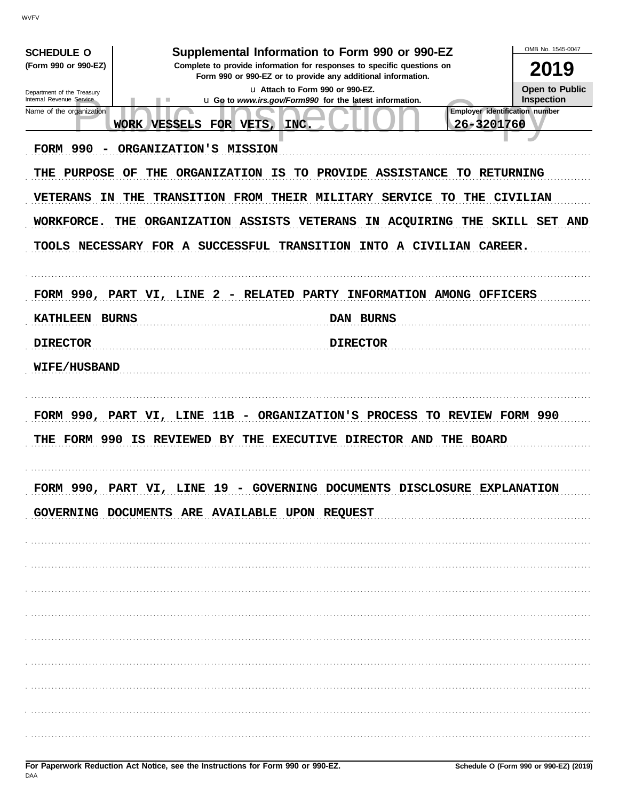| Supplemental Information to Form 990 or 990-EZ<br><b>SCHEDULE O</b>                                                                                            | OMB No. 1545-0047  |
|----------------------------------------------------------------------------------------------------------------------------------------------------------------|--------------------|
| (Form 990 or 990-EZ)<br>Complete to provide information for responses to specific questions on<br>Form 990 or 990-EZ or to provide any additional information. | 2019               |
| u Attach to Form 990 or 990-EZ.<br>Department of the Treasury<br>Internal Revenue Service                                                                      | Open to Public     |
| u Go to www.irs.gov/Form990 for the latest information.<br>٠<br>Employer identification number<br>Name of the organization                                     | Inspection         |
| 26-3201760<br>FOR VETS,<br>WORK VESSELS<br>INC.                                                                                                                |                    |
| <b>FORM 990</b><br>ORGANIZATION'S MISSION                                                                                                                      |                    |
| <b>ORGANIZATION</b><br><b>THE</b><br>PURPOSE<br>OF<br>THE<br>IS<br>PROVIDE ASSISTANCE TO RETURNING<br>TO.                                                      |                    |
| THE<br><b>TRANSITION FROM</b><br>THEIR MILITARY SERVICE<br><b>VETERANS</b><br>THE<br><b>IN</b><br>TО                                                           | <b>CIVILIAN</b>    |
| WORKFORCE.<br>ORGANIZATION ASSISTS<br>VETERANS<br>THE<br>IN ACQUIRING<br>THE<br>SKILL                                                                          | SET<br><b>AND</b>  |
| TOOLS NECESSARY FOR A SUCCESSFUL TRANSITION INTO A CIVILIAN CAREER.                                                                                            |                    |
|                                                                                                                                                                |                    |
| FORM 990, PART VI, LINE 2 - RELATED PARTY INFORMATION AMONG OFFICERS                                                                                           |                    |
|                                                                                                                                                                |                    |
| DAN BURNS<br><b>KATHLEEN BURNS</b>                                                                                                                             |                    |
| <b>DIRECTOR</b><br><b>DIRECTOR</b>                                                                                                                             |                    |
| <b>WIFE/HUSBAND</b>                                                                                                                                            |                    |
|                                                                                                                                                                |                    |
| FORM 990, PART VI, LINE 11B - ORGANIZATION'S PROCESS TO REVIEW FORM 990                                                                                        |                    |
| THE FORM 990 IS REVIEWED BY<br>THE EXECUTIVE DIRECTOR AND THE BOARD                                                                                            |                    |
|                                                                                                                                                                |                    |
| <b>DODM 990</b><br>DAPT WT<br><b>19</b><br>COVERNING DOCUMENTS<br><b>DISCLOSITRE</b><br>T.TNR                                                                  | <b>EXPLANATION</b> |
|                                                                                                                                                                |                    |
| GOVERNING DOCUMENTS ARE AVAILABLE UPON REQUEST                                                                                                                 |                    |
|                                                                                                                                                                |                    |
|                                                                                                                                                                |                    |
|                                                                                                                                                                |                    |
|                                                                                                                                                                |                    |
|                                                                                                                                                                |                    |
|                                                                                                                                                                |                    |
|                                                                                                                                                                |                    |
|                                                                                                                                                                |                    |
|                                                                                                                                                                |                    |
|                                                                                                                                                                |                    |